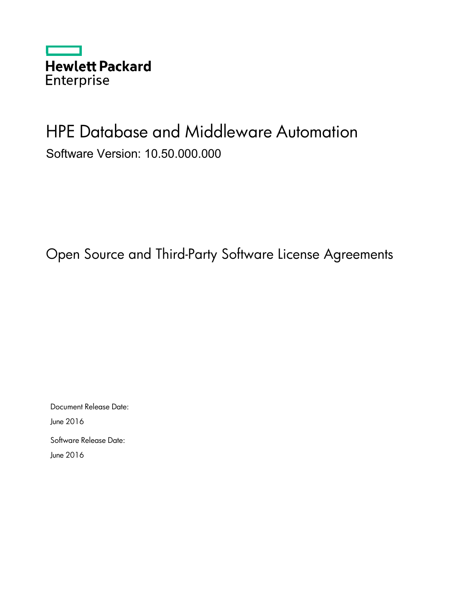

# HPE Database and Middleware Automation

Software Version: 10.50.000.000

Open Source and Third-Party Software License Agreements

Document Release Date: June 2016 Software Release Date:

June 2016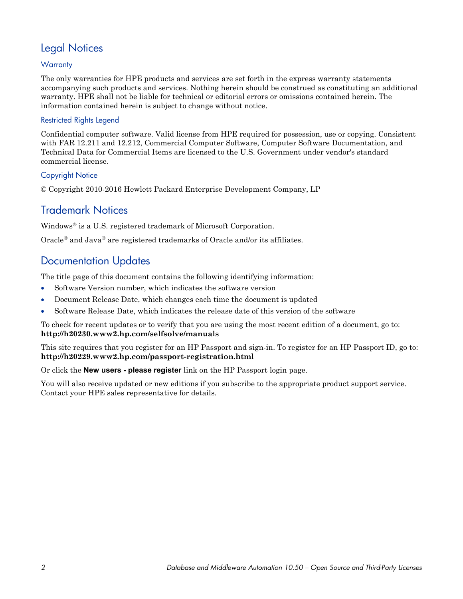### Legal Notices

#### **Warranty**

The only warranties for HPE products and services are set forth in the express warranty statements accompanying such products and services. Nothing herein should be construed as constituting an additional warranty. HPE shall not be liable for technical or editorial errors or omissions contained herein. The information contained herein is subject to change without notice.

#### Restricted Rights Legend

Confidential computer software. Valid license from HPE required for possession, use or copying. Consistent with FAR 12.211 and 12.212, Commercial Computer Software, Computer Software Documentation, and Technical Data for Commercial Items are licensed to the U.S. Government under vendor's standard commercial license.

#### Copyright Notice

© Copyright 2010-2016 Hewlett Packard Enterprise Development Company, LP

### Trademark Notices

Windows<sup>®</sup> is a U.S. registered trademark of Microsoft Corporation.

Oracle<sup>®</sup> and Java<sup>®</sup> are registered trademarks of Oracle and/or its affiliates.

### Documentation Updates

The title page of this document contains the following identifying information:

- Software Version number, which indicates the software version
- Document Release Date, which changes each time the document is updated
- Software Release Date, which indicates the release date of this version of the software

To check for recent updates or to verify that you are using the most recent edition of a document, go to: **<http://h20230.www2.hp.com/selfsolve/manuals>**

This site requires that you register for an HP Passport and sign-in. To register for an HP Passport ID, go to: **<http://h20229.www2.hp.com/passport-registration.html>**

Or click the **New users - please register** link on the HP Passport login page.

You will also receive updated or new editions if you subscribe to the appropriate product support service. Contact your HPE sales representative for details.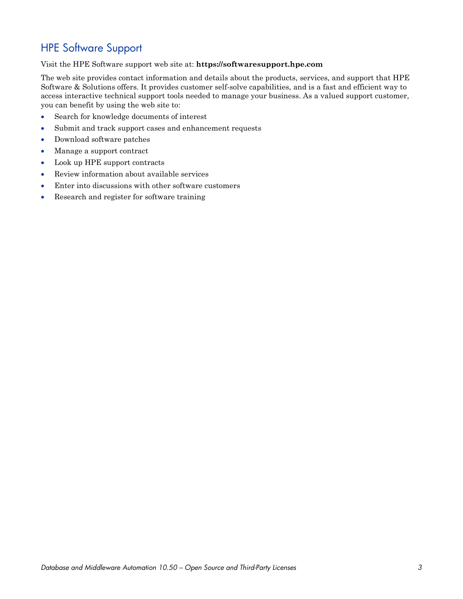### HPE Software Support

#### Visit the HPE Software support web site at: **[https://softwaresupport.hpe.com](https://softwaresupport.hpe.com/)**

The web site provides contact information and details about the products, services, and support that HPE Software & Solutions offers. It provides customer self-solve capabilities, and is a fast and efficient way to access interactive technical support tools needed to manage your business. As a valued support customer, you can benefit by using the web site to:

- Search for knowledge documents of interest
- Submit and track support cases and enhancement requests
- Download software patches
- Manage a support contract
- Look up HPE support contracts
- Review information about available services
- Enter into discussions with other software customers
- Research and register for software training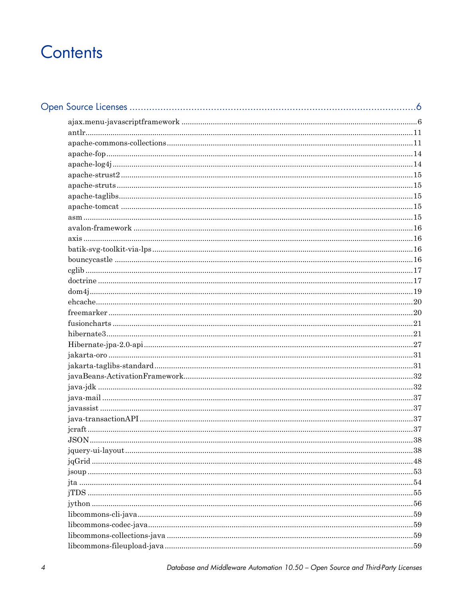## Contents

| .38 |
|-----|
|     |
|     |
|     |
|     |
|     |
|     |
|     |
|     |
|     |
|     |
|     |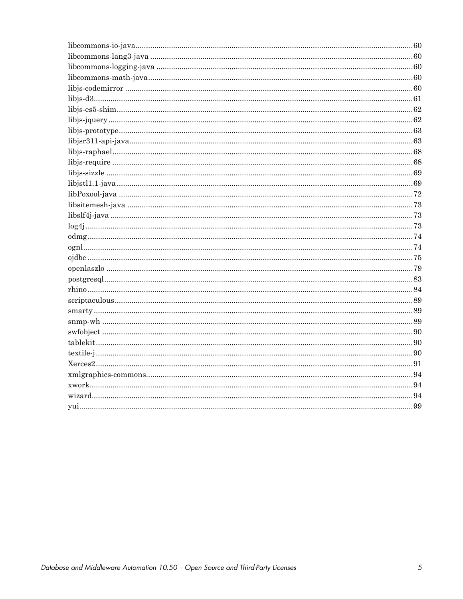| $libjs-d361$ |  |
|--------------|--|
|              |  |
|              |  |
|              |  |
|              |  |
|              |  |
|              |  |
|              |  |
|              |  |
|              |  |
|              |  |
|              |  |
|              |  |
|              |  |
|              |  |
|              |  |
|              |  |
|              |  |
|              |  |
|              |  |
|              |  |
|              |  |
|              |  |
|              |  |
|              |  |
|              |  |
|              |  |
|              |  |
|              |  |
|              |  |
|              |  |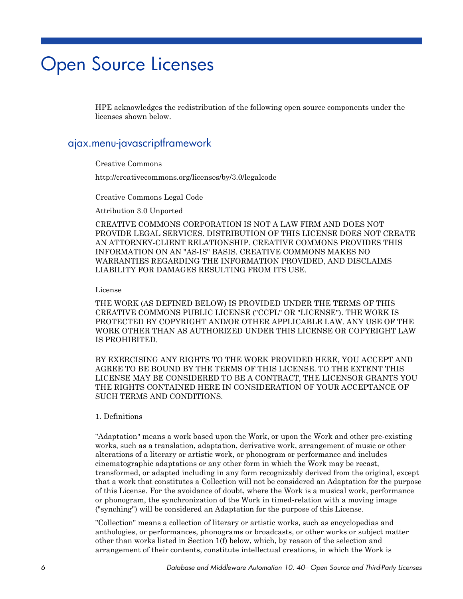# <span id="page-5-0"></span>Open Source Licenses

HPE acknowledges the redistribution of the following open source components under the licenses shown below.

### <span id="page-5-1"></span>ajax.menu-javascriptframework

Creative Commons

http://creativecommons.org/licenses/by/3.0/legalcode

Creative Commons Legal Code

Attribution 3.0 Unported

CREATIVE COMMONS CORPORATION IS NOT A LAW FIRM AND DOES NOT PROVIDE LEGAL SERVICES. DISTRIBUTION OF THIS LICENSE DOES NOT CREATE AN ATTORNEY-CLIENT RELATIONSHIP. CREATIVE COMMONS PROVIDES THIS INFORMATION ON AN "AS-IS" BASIS. CREATIVE COMMONS MAKES NO WARRANTIES REGARDING THE INFORMATION PROVIDED, AND DISCLAIMS LIABILITY FOR DAMAGES RESULTING FROM ITS USE.

#### License

THE WORK (AS DEFINED BELOW) IS PROVIDED UNDER THE TERMS OF THIS CREATIVE COMMONS PUBLIC LICENSE ("CCPL" OR "LICENSE"). THE WORK IS PROTECTED BY COPYRIGHT AND/OR OTHER APPLICABLE LAW. ANY USE OF THE WORK OTHER THAN AS AUTHORIZED UNDER THIS LICENSE OR COPYRIGHT LAW IS PROHIBITED.

BY EXERCISING ANY RIGHTS TO THE WORK PROVIDED HERE, YOU ACCEPT AND AGREE TO BE BOUND BY THE TERMS OF THIS LICENSE. TO THE EXTENT THIS LICENSE MAY BE CONSIDERED TO BE A CONTRACT, THE LICENSOR GRANTS YOU THE RIGHTS CONTAINED HERE IN CONSIDERATION OF YOUR ACCEPTANCE OF SUCH TERMS AND CONDITIONS.

#### 1. Definitions

"Adaptation" means a work based upon the Work, or upon the Work and other pre-existing works, such as a translation, adaptation, derivative work, arrangement of music or other alterations of a literary or artistic work, or phonogram or performance and includes cinematographic adaptations or any other form in which the Work may be recast, transformed, or adapted including in any form recognizably derived from the original, except that a work that constitutes a Collection will not be considered an Adaptation for the purpose of this License. For the avoidance of doubt, where the Work is a musical work, performance or phonogram, the synchronization of the Work in timed-relation with a moving image ("synching") will be considered an Adaptation for the purpose of this License.

"Collection" means a collection of literary or artistic works, such as encyclopedias and anthologies, or performances, phonograms or broadcasts, or other works or subject matter other than works listed in Section 1(f) below, which, by reason of the selection and arrangement of their contents, constitute intellectual creations, in which the Work is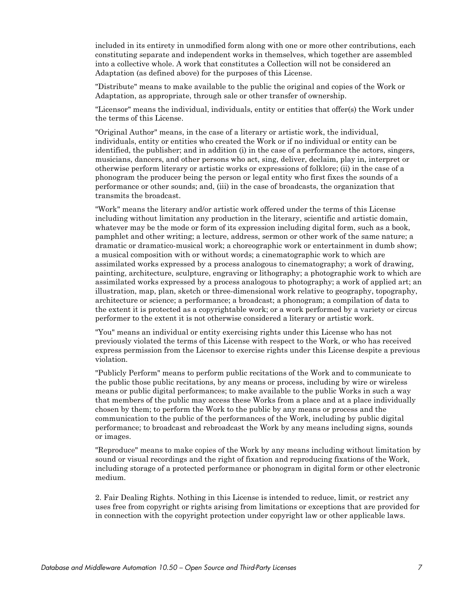included in its entirety in unmodified form along with one or more other contributions, each constituting separate and independent works in themselves, which together are assembled into a collective whole. A work that constitutes a Collection will not be considered an Adaptation (as defined above) for the purposes of this License.

"Distribute" means to make available to the public the original and copies of the Work or Adaptation, as appropriate, through sale or other transfer of ownership.

"Licensor" means the individual, individuals, entity or entities that offer(s) the Work under the terms of this License.

"Original Author" means, in the case of a literary or artistic work, the individual, individuals, entity or entities who created the Work or if no individual or entity can be identified, the publisher; and in addition (i) in the case of a performance the actors, singers, musicians, dancers, and other persons who act, sing, deliver, declaim, play in, interpret or otherwise perform literary or artistic works or expressions of folklore; (ii) in the case of a phonogram the producer being the person or legal entity who first fixes the sounds of a performance or other sounds; and, (iii) in the case of broadcasts, the organization that transmits the broadcast.

"Work" means the literary and/or artistic work offered under the terms of this License including without limitation any production in the literary, scientific and artistic domain, whatever may be the mode or form of its expression including digital form, such as a book, pamphlet and other writing; a lecture, address, sermon or other work of the same nature; a dramatic or dramatico-musical work; a choreographic work or entertainment in dumb show; a musical composition with or without words; a cinematographic work to which are assimilated works expressed by a process analogous to cinematography; a work of drawing, painting, architecture, sculpture, engraving or lithography; a photographic work to which are assimilated works expressed by a process analogous to photography; a work of applied art; an illustration, map, plan, sketch or three-dimensional work relative to geography, topography, architecture or science; a performance; a broadcast; a phonogram; a compilation of data to the extent it is protected as a copyrightable work; or a work performed by a variety or circus performer to the extent it is not otherwise considered a literary or artistic work.

"You" means an individual or entity exercising rights under this License who has not previously violated the terms of this License with respect to the Work, or who has received express permission from the Licensor to exercise rights under this License despite a previous violation.

"Publicly Perform" means to perform public recitations of the Work and to communicate to the public those public recitations, by any means or process, including by wire or wireless means or public digital performances; to make available to the public Works in such a way that members of the public may access these Works from a place and at a place individually chosen by them; to perform the Work to the public by any means or process and the communication to the public of the performances of the Work, including by public digital performance; to broadcast and rebroadcast the Work by any means including signs, sounds or images.

"Reproduce" means to make copies of the Work by any means including without limitation by sound or visual recordings and the right of fixation and reproducing fixations of the Work, including storage of a protected performance or phonogram in digital form or other electronic medium.

2. Fair Dealing Rights. Nothing in this License is intended to reduce, limit, or restrict any uses free from copyright or rights arising from limitations or exceptions that are provided for in connection with the copyright protection under copyright law or other applicable laws.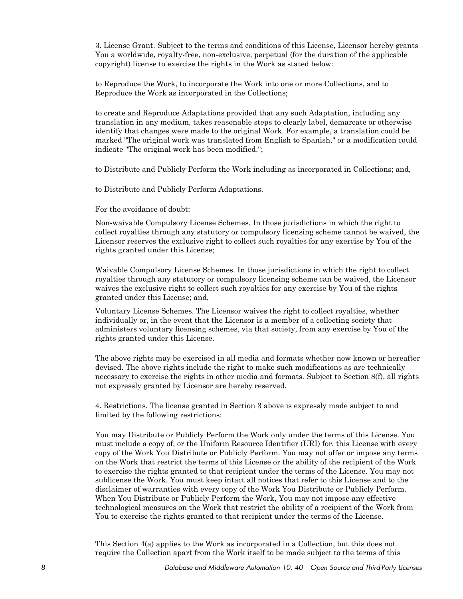3. License Grant. Subject to the terms and conditions of this License, Licensor hereby grants You a worldwide, royalty-free, non-exclusive, perpetual (for the duration of the applicable copyright) license to exercise the rights in the Work as stated below:

to Reproduce the Work, to incorporate the Work into one or more Collections, and to Reproduce the Work as incorporated in the Collections;

to create and Reproduce Adaptations provided that any such Adaptation, including any translation in any medium, takes reasonable steps to clearly label, demarcate or otherwise identify that changes were made to the original Work. For example, a translation could be marked "The original work was translated from English to Spanish," or a modification could indicate "The original work has been modified.";

to Distribute and Publicly Perform the Work including as incorporated in Collections; and,

to Distribute and Publicly Perform Adaptations.

For the avoidance of doubt:

Non-waivable Compulsory License Schemes. In those jurisdictions in which the right to collect royalties through any statutory or compulsory licensing scheme cannot be waived, the Licensor reserves the exclusive right to collect such royalties for any exercise by You of the rights granted under this License;

Waivable Compulsory License Schemes. In those jurisdictions in which the right to collect royalties through any statutory or compulsory licensing scheme can be waived, the Licensor waives the exclusive right to collect such royalties for any exercise by You of the rights granted under this License; and,

Voluntary License Schemes. The Licensor waives the right to collect royalties, whether individually or, in the event that the Licensor is a member of a collecting society that administers voluntary licensing schemes, via that society, from any exercise by You of the rights granted under this License.

The above rights may be exercised in all media and formats whether now known or hereafter devised. The above rights include the right to make such modifications as are technically necessary to exercise the rights in other media and formats. Subject to Section 8(f), all rights not expressly granted by Licensor are hereby reserved.

4. Restrictions. The license granted in Section 3 above is expressly made subject to and limited by the following restrictions:

You may Distribute or Publicly Perform the Work only under the terms of this License. You must include a copy of, or the Uniform Resource Identifier (URI) for, this License with every copy of the Work You Distribute or Publicly Perform. You may not offer or impose any terms on the Work that restrict the terms of this License or the ability of the recipient of the Work to exercise the rights granted to that recipient under the terms of the License. You may not sublicense the Work. You must keep intact all notices that refer to this License and to the disclaimer of warranties with every copy of the Work You Distribute or Publicly Perform. When You Distribute or Publicly Perform the Work, You may not impose any effective technological measures on the Work that restrict the ability of a recipient of the Work from You to exercise the rights granted to that recipient under the terms of the License.

This Section 4(a) applies to the Work as incorporated in a Collection, but this does not require the Collection apart from the Work itself to be made subject to the terms of this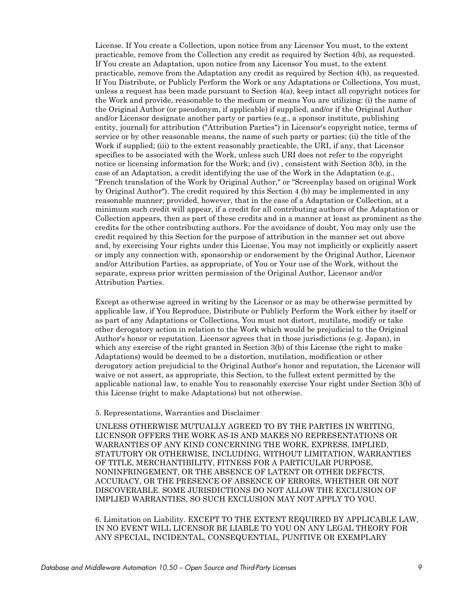License. If You create a Collection, upon notice from any Licensor You must, to the extent practicable, remove from the Collection any credit as required by Section 4(b), as requested. If You create an Adaptation, upon notice from any Licensor You must, to the extent practicable, remove from the Adaptation any credit as required by Section 4(b), as requested. If You Distribute, or Publicly Perform the Work or any Adaptations or Collections, You must, unless a request has been made pursuant to Section  $4(a)$ , keep intact all copyright notices for the Work and provide, reasonable to the medium or means You are utilizing: (i) the name of the Original Author (or pseudonym, if applicable) if supplied, and/or if the Original Author and/or Licensor designate another party or parties (e.g., a sponsor institute, publishing entity, journal) for attribution ("Attribution Parties") in Licensor's copyright notice, terms of service or by other reasonable means, the name of such party or parties; (ii) the title of the Work if supplied; (iii) to the extent reasonably practicable, the URI, if any, that Licensor specifies to be associated with the Work, unless such URI does not refer to the copyright notice or licensing information for the Work; and (iv) , consistent with Section 3(b), in the case of an Adaptation, a credit identifying the use of the Work in the Adaptation (e.g., "French translation of the Work by Original Author," or "Screenplay based on original Work by Original Author"). The credit required by this Section 4 (b) may be implemented in any reasonable manner; provided, however, that in the case of a Adaptation or Collection, at a minimum such credit will appear, if a credit for all contributing authors of the Adaptation or Collection appears, then as part of these credits and in a manner at least as prominent as the credits for the other contributing authors. For the avoidance of doubt, You may only use the credit required by this Section for the purpose of attribution in the manner set out above and, by exercising Your rights under this License, You may not implicitly or explicitly assert or imply any connection with, sponsorship or endorsement by the Original Author, Licensor and/or Attribution Parties, as appropriate, of You or Your use of the Work, without the separate, express prior written permission of the Original Author, Licensor and/or Attribution Parties.

Except as otherwise agreed in writing by the Licensor or as may be otherwise permitted by applicable law, if You Reproduce, Distribute or Publicly Perform the Work either by itself or as part of any Adaptations or Collections, You must not distort, mutilate, modify or take other derogatory action in relation to the Work which would be prejudicial to the Original Author's honor or reputation. Licensor agrees that in those jurisdictions (e.g. Japan), in which any exercise of the right granted in Section 3(b) of this License (the right to make Adaptations) would be deemed to be a distortion, mutilation, modification or other derogatory action prejudicial to the Original Author's honor and reputation, the Licensor will waive or not assert, as appropriate, this Section, to the fullest extent permitted by the applicable national law, to enable You to reasonably exercise Your right under Section 3(b) of this License (right to make Adaptations) but not otherwise.

#### 5. Representations, Warranties and Disclaimer

UNLESS OTHERWISE MUTUALLY AGREED TO BY THE PARTIES IN WRITING, LICENSOR OFFERS THE WORK AS-IS AND MAKES NO REPRESENTATIONS OR WARRANTIES OF ANY KIND CONCERNING THE WORK, EXPRESS, IMPLIED, STATUTORY OR OTHERWISE, INCLUDING, WITHOUT LIMITATION, WARRANTIES OF TITLE, MERCHANTIBILITY, FITNESS FOR A PARTICULAR PURPOSE, NONINFRINGEMENT, OR THE ABSENCE OF LATENT OR OTHER DEFECTS, ACCURACY, OR THE PRESENCE OF ABSENCE OF ERRORS, WHETHER OR NOT DISCOVERABLE. SOME JURISDICTIONS DO NOT ALLOW THE EXCLUSION OF IMPLIED WARRANTIES, SO SUCH EXCLUSION MAY NOT APPLY TO YOU.

6. Limitation on Liability. EXCEPT TO THE EXTENT REQUIRED BY APPLICABLE LAW, IN NO EVENT WILL LICENSOR BE LIABLE TO YOU ON ANY LEGAL THEORY FOR ANY SPECIAL, INCIDENTAL, CONSEQUENTIAL, PUNITIVE OR EXEMPLARY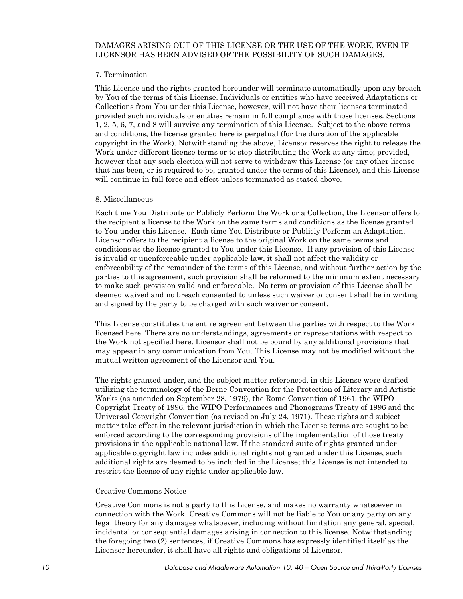#### DAMAGES ARISING OUT OF THIS LICENSE OR THE USE OF THE WORK, EVEN IF LICENSOR HAS BEEN ADVISED OF THE POSSIBILITY OF SUCH DAMAGES.

#### 7. Termination

This License and the rights granted hereunder will terminate automatically upon any breach by You of the terms of this License. Individuals or entities who have received Adaptations or Collections from You under this License, however, will not have their licenses terminated provided such individuals or entities remain in full compliance with those licenses. Sections 1, 2, 5, 6, 7, and 8 will survive any termination of this License. Subject to the above terms and conditions, the license granted here is perpetual (for the duration of the applicable copyright in the Work). Notwithstanding the above, Licensor reserves the right to release the Work under different license terms or to stop distributing the Work at any time; provided, however that any such election will not serve to withdraw this License (or any other license that has been, or is required to be, granted under the terms of this License), and this License will continue in full force and effect unless terminated as stated above.

#### 8. Miscellaneous

Each time You Distribute or Publicly Perform the Work or a Collection, the Licensor offers to the recipient a license to the Work on the same terms and conditions as the license granted to You under this License. Each time You Distribute or Publicly Perform an Adaptation, Licensor offers to the recipient a license to the original Work on the same terms and conditions as the license granted to You under this License. If any provision of this License is invalid or unenforceable under applicable law, it shall not affect the validity or enforceability of the remainder of the terms of this License, and without further action by the parties to this agreement, such provision shall be reformed to the minimum extent necessary to make such provision valid and enforceable. No term or provision of this License shall be deemed waived and no breach consented to unless such waiver or consent shall be in writing and signed by the party to be charged with such waiver or consent.

This License constitutes the entire agreement between the parties with respect to the Work licensed here. There are no understandings, agreements or representations with respect to the Work not specified here. Licensor shall not be bound by any additional provisions that may appear in any communication from You. This License may not be modified without the mutual written agreement of the Licensor and You.

The rights granted under, and the subject matter referenced, in this License were drafted utilizing the terminology of the Berne Convention for the Protection of Literary and Artistic Works (as amended on September 28, 1979), the Rome Convention of 1961, the WIPO Copyright Treaty of 1996, the WIPO Performances and Phonograms Treaty of 1996 and the Universal Copyright Convention (as revised on July 24, 1971). These rights and subject matter take effect in the relevant jurisdiction in which the License terms are sought to be enforced according to the corresponding provisions of the implementation of those treaty provisions in the applicable national law. If the standard suite of rights granted under applicable copyright law includes additional rights not granted under this License, such additional rights are deemed to be included in the License; this License is not intended to restrict the license of any rights under applicable law.

#### Creative Commons Notice

Creative Commons is not a party to this License, and makes no warranty whatsoever in connection with the Work. Creative Commons will not be liable to You or any party on any legal theory for any damages whatsoever, including without limitation any general, special, incidental or consequential damages arising in connection to this license. Notwithstanding the foregoing two (2) sentences, if Creative Commons has expressly identified itself as the Licensor hereunder, it shall have all rights and obligations of Licensor.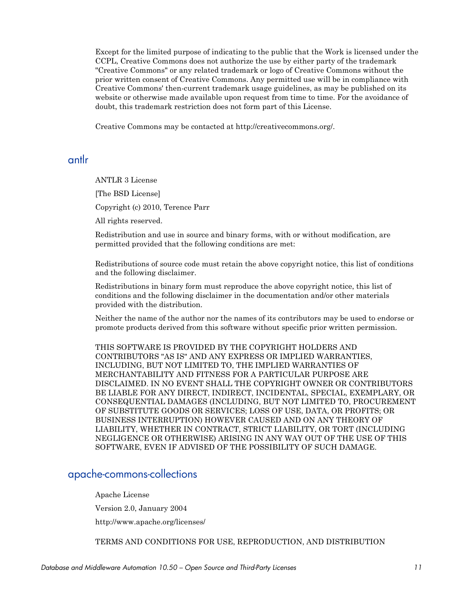Except for the limited purpose of indicating to the public that the Work is licensed under the CCPL, Creative Commons does not authorize the use by either party of the trademark "Creative Commons" or any related trademark or logo of Creative Commons without the prior written consent of Creative Commons. Any permitted use will be in compliance with Creative Commons' then-current trademark usage guidelines, as may be published on its website or otherwise made available upon request from time to time. For the avoidance of doubt, this trademark restriction does not form part of this License.

Creative Commons may be contacted at http://creativecommons.org/.

### <span id="page-10-0"></span>antlr

ANTLR 3 License

[The BSD License]

Copyright (c) 2010, Terence Parr

All rights reserved.

Redistribution and use in source and binary forms, with or without modification, are permitted provided that the following conditions are met:

Redistributions of source code must retain the above copyright notice, this list of conditions and the following disclaimer.

Redistributions in binary form must reproduce the above copyright notice, this list of conditions and the following disclaimer in the documentation and/or other materials provided with the distribution.

Neither the name of the author nor the names of its contributors may be used to endorse or promote products derived from this software without specific prior written permission.

THIS SOFTWARE IS PROVIDED BY THE COPYRIGHT HOLDERS AND CONTRIBUTORS "AS IS" AND ANY EXPRESS OR IMPLIED WARRANTIES, INCLUDING, BUT NOT LIMITED TO, THE IMPLIED WARRANTIES OF MERCHANTABILITY AND FITNESS FOR A PARTICULAR PURPOSE ARE DISCLAIMED. IN NO EVENT SHALL THE COPYRIGHT OWNER OR CONTRIBUTORS BE LIABLE FOR ANY DIRECT, INDIRECT, INCIDENTAL, SPECIAL, EXEMPLARY, OR CONSEQUENTIAL DAMAGES (INCLUDING, BUT NOT LIMITED TO, PROCUREMENT OF SUBSTITUTE GOODS OR SERVICES; LOSS OF USE, DATA, OR PROFITS; OR BUSINESS INTERRUPTION) HOWEVER CAUSED AND ON ANY THEORY OF LIABILITY, WHETHER IN CONTRACT, STRICT LIABILITY, OR TORT (INCLUDING NEGLIGENCE OR OTHERWISE) ARISING IN ANY WAY OUT OF THE USE OF THIS SOFTWARE, EVEN IF ADVISED OF THE POSSIBILITY OF SUCH DAMAGE.

### <span id="page-10-2"></span><span id="page-10-1"></span>apache-commons-collections

Apache License

Version 2.0, January 2004

http://www.apache.org/licenses/

TERMS AND CONDITIONS FOR USE, REPRODUCTION, AND DISTRIBUTION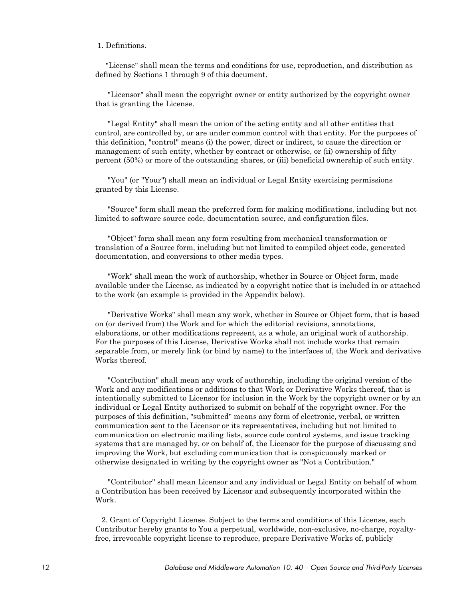#### 1. Definitions.

 "License" shall mean the terms and conditions for use, reproduction, and distribution as defined by Sections 1 through 9 of this document.

 "Licensor" shall mean the copyright owner or entity authorized by the copyright owner that is granting the License.

 "Legal Entity" shall mean the union of the acting entity and all other entities that control, are controlled by, or are under common control with that entity. For the purposes of this definition, "control" means (i) the power, direct or indirect, to cause the direction or management of such entity, whether by contract or otherwise, or (ii) ownership of fifty percent (50%) or more of the outstanding shares, or (iii) beneficial ownership of such entity.

 "You" (or "Your") shall mean an individual or Legal Entity exercising permissions granted by this License.

 "Source" form shall mean the preferred form for making modifications, including but not limited to software source code, documentation source, and configuration files.

 "Object" form shall mean any form resulting from mechanical transformation or translation of a Source form, including but not limited to compiled object code, generated documentation, and conversions to other media types.

 "Work" shall mean the work of authorship, whether in Source or Object form, made available under the License, as indicated by a copyright notice that is included in or attached to the work (an example is provided in the Appendix below).

 "Derivative Works" shall mean any work, whether in Source or Object form, that is based on (or derived from) the Work and for which the editorial revisions, annotations, elaborations, or other modifications represent, as a whole, an original work of authorship. For the purposes of this License, Derivative Works shall not include works that remain separable from, or merely link (or bind by name) to the interfaces of, the Work and derivative Works thereof.

 "Contribution" shall mean any work of authorship, including the original version of the Work and any modifications or additions to that Work or Derivative Works thereof, that is intentionally submitted to Licensor for inclusion in the Work by the copyright owner or by an individual or Legal Entity authorized to submit on behalf of the copyright owner. For the purposes of this definition, "submitted" means any form of electronic, verbal, or written communication sent to the Licensor or its representatives, including but not limited to communication on electronic mailing lists, source code control systems, and issue tracking systems that are managed by, or on behalf of, the Licensor for the purpose of discussing and improving the Work, but excluding communication that is conspicuously marked or otherwise designated in writing by the copyright owner as "Not a Contribution."

 "Contributor" shall mean Licensor and any individual or Legal Entity on behalf of whom a Contribution has been received by Licensor and subsequently incorporated within the Work.

 2. Grant of Copyright License. Subject to the terms and conditions of this License, each Contributor hereby grants to You a perpetual, worldwide, non-exclusive, no-charge, royaltyfree, irrevocable copyright license to reproduce, prepare Derivative Works of, publicly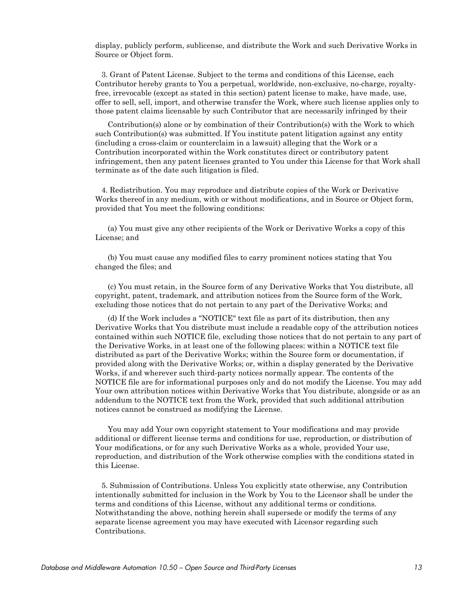display, publicly perform, sublicense, and distribute the Work and such Derivative Works in Source or Object form.

 3. Grant of Patent License. Subject to the terms and conditions of this License, each Contributor hereby grants to You a perpetual, worldwide, non-exclusive, no-charge, royaltyfree, irrevocable (except as stated in this section) patent license to make, have made, use, offer to sell, sell, import, and otherwise transfer the Work, where such license applies only to those patent claims licensable by such Contributor that are necessarily infringed by their

 Contribution(s) alone or by combination of their Contribution(s) with the Work to which such Contribution(s) was submitted. If You institute patent litigation against any entity (including a cross-claim or counterclaim in a lawsuit) alleging that the Work or a Contribution incorporated within the Work constitutes direct or contributory patent infringement, then any patent licenses granted to You under this License for that Work shall terminate as of the date such litigation is filed.

 4. Redistribution. You may reproduce and distribute copies of the Work or Derivative Works thereof in any medium, with or without modifications, and in Source or Object form, provided that You meet the following conditions:

 (a) You must give any other recipients of the Work or Derivative Works a copy of this License; and

 (b) You must cause any modified files to carry prominent notices stating that You changed the files; and

 (c) You must retain, in the Source form of any Derivative Works that You distribute, all copyright, patent, trademark, and attribution notices from the Source form of the Work, excluding those notices that do not pertain to any part of the Derivative Works; and

 (d) If the Work includes a "NOTICE" text file as part of its distribution, then any Derivative Works that You distribute must include a readable copy of the attribution notices contained within such NOTICE file, excluding those notices that do not pertain to any part of the Derivative Works, in at least one of the following places: within a NOTICE text file distributed as part of the Derivative Works; within the Source form or documentation, if provided along with the Derivative Works; or, within a display generated by the Derivative Works, if and wherever such third-party notices normally appear. The contents of the NOTICE file are for informational purposes only and do not modify the License. You may add Your own attribution notices within Derivative Works that You distribute, alongside or as an addendum to the NOTICE text from the Work, provided that such additional attribution notices cannot be construed as modifying the License.

 You may add Your own copyright statement to Your modifications and may provide additional or different license terms and conditions for use, reproduction, or distribution of Your modifications, or for any such Derivative Works as a whole, provided Your use, reproduction, and distribution of the Work otherwise complies with the conditions stated in this License.

 5. Submission of Contributions. Unless You explicitly state otherwise, any Contribution intentionally submitted for inclusion in the Work by You to the Licensor shall be under the terms and conditions of this License, without any additional terms or conditions. Notwithstanding the above, nothing herein shall supersede or modify the terms of any separate license agreement you may have executed with Licensor regarding such Contributions.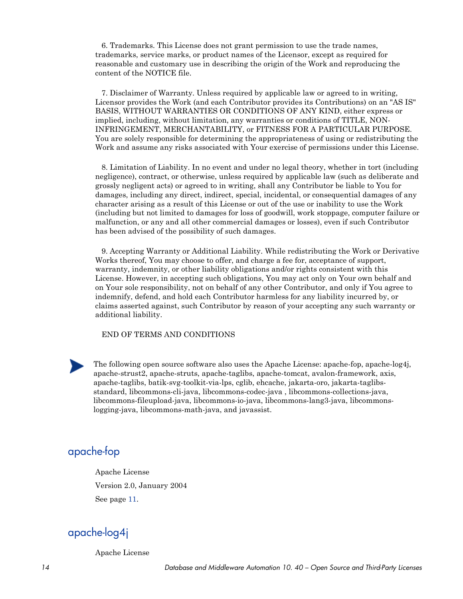6. Trademarks. This License does not grant permission to use the trade names, trademarks, service marks, or product names of the Licensor, except as required for reasonable and customary use in describing the origin of the Work and reproducing the content of the NOTICE file.

 7. Disclaimer of Warranty. Unless required by applicable law or agreed to in writing, Licensor provides the Work (and each Contributor provides its Contributions) on an "AS IS" BASIS, WITHOUT WARRANTIES OR CONDITIONS OF ANY KIND, either express or implied, including, without limitation, any warranties or conditions of TITLE, NON-INFRINGEMENT, MERCHANTABILITY, or FITNESS FOR A PARTICULAR PURPOSE. You are solely responsible for determining the appropriateness of using or redistributing the Work and assume any risks associated with Your exercise of permissions under this License.

 8. Limitation of Liability. In no event and under no legal theory, whether in tort (including negligence), contract, or otherwise, unless required by applicable law (such as deliberate and grossly negligent acts) or agreed to in writing, shall any Contributor be liable to You for damages, including any direct, indirect, special, incidental, or consequential damages of any character arising as a result of this License or out of the use or inability to use the Work (including but not limited to damages for loss of goodwill, work stoppage, computer failure or malfunction, or any and all other commercial damages or losses), even if such Contributor has been advised of the possibility of such damages.

 9. Accepting Warranty or Additional Liability. While redistributing the Work or Derivative Works thereof, You may choose to offer, and charge a fee for, acceptance of support, warranty, indemnity, or other liability obligations and/or rights consistent with this License. However, in accepting such obligations, You may act only on Your own behalf and on Your sole responsibility, not on behalf of any other Contributor, and only if You agree to indemnify, defend, and hold each Contributor harmless for any liability incurred by, or claims asserted against, such Contributor by reason of your accepting any such warranty or additional liability.

#### END OF TERMS AND CONDITIONS

The following open source software also uses the Apache License: apache-fop, apache-log4j, apache-strust2, apache-struts, apache-taglibs, apache-tomcat, avalon-framework, axis, apache-taglibs, batik-svg-toolkit-via-lps, cglib, ehcache, jakarta-oro, jakarta-taglibsstandard, libcommons-cli-java, libcommons-codec-java , libcommons-collections-java, libcommons-fileupload-java, libcommons-io-java, libcommons-lang3-java, libcommonslogging-java, libcommons-math-java, and javassist.

### <span id="page-13-0"></span>apache-fop

[Apache License](#page-10-2) Version 2.0, January 2004 See page [11.](#page-10-2)

### <span id="page-13-1"></span>apache-log4j

[Apache License](#page-10-2)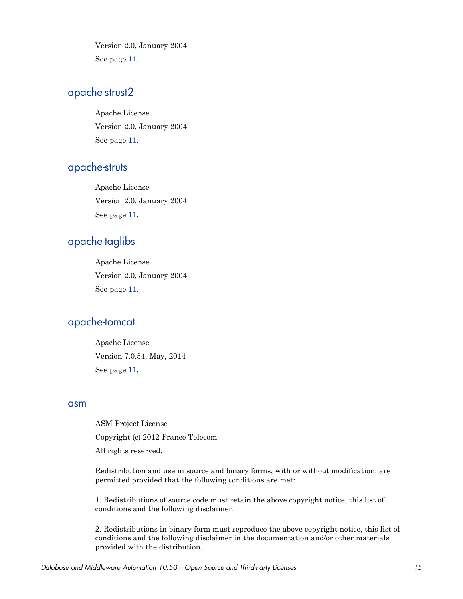Version 2.0, January 2004 See page [11.](#page-10-2)

### <span id="page-14-0"></span>apache-strust2

[Apache License](#page-10-2) Version 2.0, January 2004 See page [11.](#page-10-2)

### <span id="page-14-1"></span>apache-struts

[Apache License](#page-10-2) Version 2.0, January 2004 See page [11.](#page-10-2)

### <span id="page-14-2"></span>apache-taglibs

[Apache License](#page-10-2) Version 2.0, January 2004 See page [11.](#page-10-2)

### <span id="page-14-3"></span>apache-tomcat

[Apache License](#page-10-2) Version 7.0.54, May, 2014 See page [11.](#page-10-2)

#### <span id="page-14-4"></span>asm

ASM Project License Copyright (c) 2012 France Telecom All rights reserved.

Redistribution and use in source and binary forms, with or without modification, are permitted provided that the following conditions are met:

1. Redistributions of source code must retain the above copyright notice, this list of conditions and the following disclaimer.

2. Redistributions in binary form must reproduce the above copyright notice, this list of conditions and the following disclaimer in the documentation and/or other materials provided with the distribution.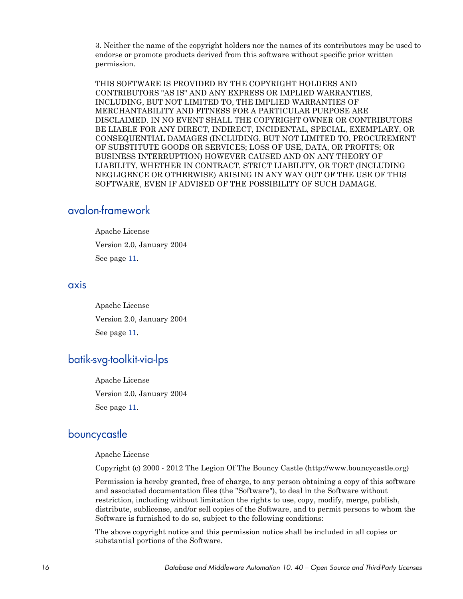3. Neither the name of the copyright holders nor the names of its contributors may be used to endorse or promote products derived from this software without specific prior written permission.

THIS SOFTWARE IS PROVIDED BY THE COPYRIGHT HOLDERS AND CONTRIBUTORS "AS IS" AND ANY EXPRESS OR IMPLIED WARRANTIES, INCLUDING, BUT NOT LIMITED TO, THE IMPLIED WARRANTIES OF MERCHANTABILITY AND FITNESS FOR A PARTICULAR PURPOSE ARE DISCLAIMED. IN NO EVENT SHALL THE COPYRIGHT OWNER OR CONTRIBUTORS BE LIABLE FOR ANY DIRECT, INDIRECT, INCIDENTAL, SPECIAL, EXEMPLARY, OR CONSEQUENTIAL DAMAGES (INCLUDING, BUT NOT LIMITED TO, PROCUREMENT OF SUBSTITUTE GOODS OR SERVICES; LOSS OF USE, DATA, OR PROFITS; OR BUSINESS INTERRUPTION) HOWEVER CAUSED AND ON ANY THEORY OF LIABILITY, WHETHER IN CONTRACT, STRICT LIABILITY, OR TORT (INCLUDING NEGLIGENCE OR OTHERWISE) ARISING IN ANY WAY OUT OF THE USE OF THIS SOFTWARE, EVEN IF ADVISED OF THE POSSIBILITY OF SUCH DAMAGE.

### <span id="page-15-0"></span>avalon-framework

[Apache License](#page-10-2) Version 2.0, January 2004 See page [11.](#page-10-2)

#### <span id="page-15-1"></span>axis

[Apache License](#page-10-2) Version 2.0, January 2004 See page [11.](#page-10-2)

### <span id="page-15-2"></span>batik-svg-toolkit-via-lps

[Apache License](#page-10-2) Version 2.0, January 2004 See page [11.](#page-10-2)

### <span id="page-15-3"></span>bouncycastle

[Apache License](#page-10-2)

Copyright (c) 2000 - 2012 The Legion Of The Bouncy Castle (http://www.bouncycastle.org)

Permission is hereby granted, free of charge, to any person obtaining a copy of this software and associated documentation files (the "Software"), to deal in the Software without restriction, including without limitation the rights to use, copy, modify, merge, publish, distribute, sublicense, and/or sell copies of the Software, and to permit persons to whom the Software is furnished to do so, subject to the following conditions:

The above copyright notice and this permission notice shall be included in all copies or substantial portions of the Software.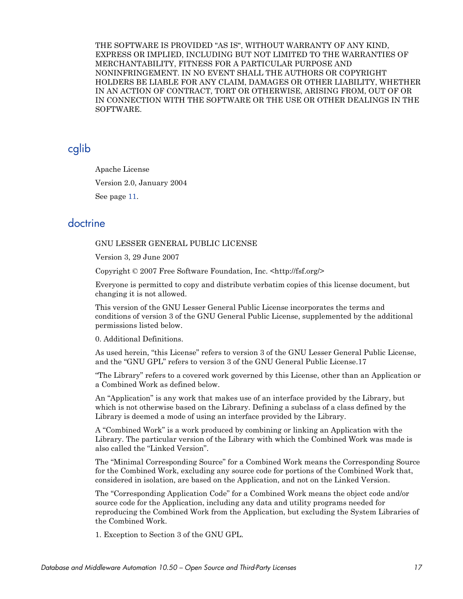THE SOFTWARE IS PROVIDED "AS IS", WITHOUT WARRANTY OF ANY KIND, EXPRESS OR IMPLIED, INCLUDING BUT NOT LIMITED TO THE WARRANTIES OF MERCHANTABILITY, FITNESS FOR A PARTICULAR PURPOSE AND NONINFRINGEMENT. IN NO EVENT SHALL THE AUTHORS OR COPYRIGHT HOLDERS BE LIABLE FOR ANY CLAIM, DAMAGES OR OTHER LIABILITY, WHETHER IN AN ACTION OF CONTRACT, TORT OR OTHERWISE, ARISING FROM, OUT OF OR IN CONNECTION WITH THE SOFTWARE OR THE USE OR OTHER DEALINGS IN THE SOFTWARE.

### <span id="page-16-0"></span>cglib

[Apache License](#page-10-2) Version 2.0, January 2004 See page [11.](#page-10-2)

### <span id="page-16-2"></span><span id="page-16-1"></span>doctrine

#### GNU LESSER GENERAL PUBLIC LICENSE

Version 3, 29 June 2007

Copyright © 2007 Free Software Foundation, Inc. [<http://fsf.org/>](http://fsf.org/)

Everyone is permitted to copy and distribute verbatim copies of this license document, but changing it is not allowed.

This version of the GNU Lesser General Public License incorporates the terms and conditions of version 3 of the GNU General Public License, supplemented by the additional permissions listed below.

0. Additional Definitions.

As used herein, "this License" refers to version 3 of the GNU Lesser General Public License, and the "GNU GPL" refers to version 3 of the GNU General Public License[.17](#page-16-2)

"The Library" refers to a covered work governed by this License, other than an Application or a Combined Work as defined below.

An "Application" is any work that makes use of an interface provided by the Library, but which is not otherwise based on the Library. Defining a subclass of a class defined by the Library is deemed a mode of using an interface provided by the Library.

A "Combined Work" is a work produced by combining or linking an Application with the Library. The particular version of the Library with which the Combined Work was made is also called the "Linked Version".

The "Minimal Corresponding Source" for a Combined Work means the Corresponding Source for the Combined Work, excluding any source code for portions of the Combined Work that, considered in isolation, are based on the Application, and not on the Linked Version.

The "Corresponding Application Code" for a Combined Work means the object code and/or source code for the Application, including any data and utility programs needed for reproducing the Combined Work from the Application, but excluding the System Libraries of the Combined Work.

1. Exception to Section 3 of the GNU GPL.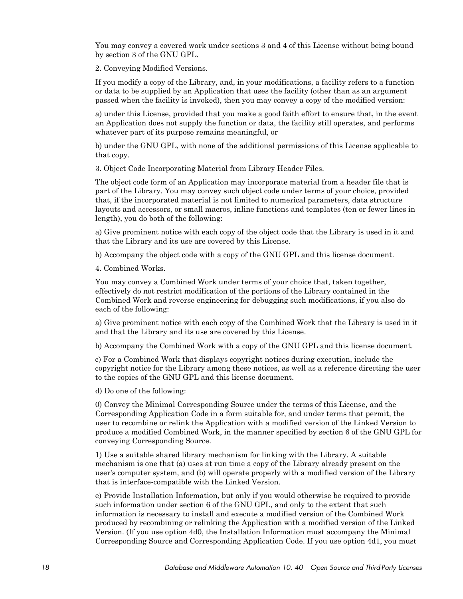You may convey a covered work under sections 3 and 4 of this License without being bound by section 3 of the GNU GPL.

2. Conveying Modified Versions.

If you modify a copy of the Library, and, in your modifications, a facility refers to a function or data to be supplied by an Application that uses the facility (other than as an argument passed when the facility is invoked), then you may convey a copy of the modified version:

a) under this License, provided that you make a good faith effort to ensure that, in the event an Application does not supply the function or data, the facility still operates, and performs whatever part of its purpose remains meaningful, or

b) under the GNU GPL, with none of the additional permissions of this License applicable to that copy.

3. Object Code Incorporating Material from Library Header Files.

The object code form of an Application may incorporate material from a header file that is part of the Library. You may convey such object code under terms of your choice, provided that, if the incorporated material is not limited to numerical parameters, data structure layouts and accessors, or small macros, inline functions and templates (ten or fewer lines in length), you do both of the following:

a) Give prominent notice with each copy of the object code that the Library is used in it and that the Library and its use are covered by this License.

b) Accompany the object code with a copy of the GNU GPL and this license document.

4. Combined Works.

You may convey a Combined Work under terms of your choice that, taken together, effectively do not restrict modification of the portions of the Library contained in the Combined Work and reverse engineering for debugging such modifications, if you also do each of the following:

a) Give prominent notice with each copy of the Combined Work that the Library is used in it and that the Library and its use are covered by this License.

b) Accompany the Combined Work with a copy of the GNU GPL and this license document.

c) For a Combined Work that displays copyright notices during execution, include the copyright notice for the Library among these notices, as well as a reference directing the user to the copies of the GNU GPL and this license document.

d) Do one of the following:

0) Convey the Minimal Corresponding Source under the terms of this License, and the Corresponding Application Code in a form suitable for, and under terms that permit, the user to recombine or relink the Application with a modified version of the Linked Version to produce a modified Combined Work, in the manner specified by section 6 of the GNU GPL for conveying Corresponding Source.

1) Use a suitable shared library mechanism for linking with the Library. A suitable mechanism is one that (a) uses at run time a copy of the Library already present on the user's computer system, and (b) will operate properly with a modified version of the Library that is interface-compatible with the Linked Version.

e) Provide Installation Information, but only if you would otherwise be required to provide such information under section 6 of the GNU GPL, and only to the extent that such information is necessary to install and execute a modified version of the Combined Work produced by recombining or relinking the Application with a modified version of the Linked Version. (If you use option 4d0, the Installation Information must accompany the Minimal Corresponding Source and Corresponding Application Code. If you use option 4d1, you must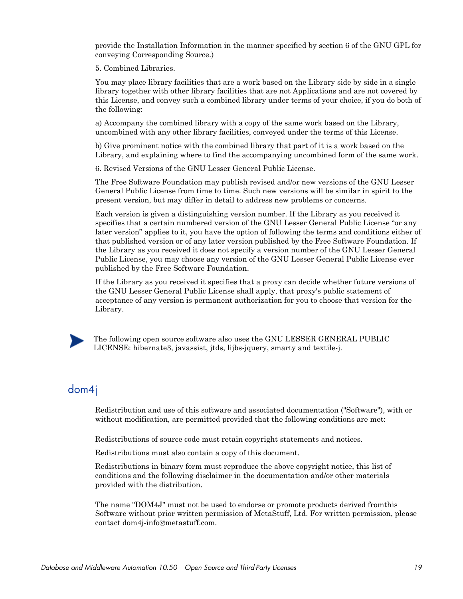provide the Installation Information in the manner specified by section 6 of the GNU GPL for conveying Corresponding Source.)

5. Combined Libraries.

You may place library facilities that are a work based on the Library side by side in a single library together with other library facilities that are not Applications and are not covered by this License, and convey such a combined library under terms of your choice, if you do both of the following:

a) Accompany the combined library with a copy of the same work based on the Library, uncombined with any other library facilities, conveyed under the terms of this License.

b) Give prominent notice with the combined library that part of it is a work based on the Library, and explaining where to find the accompanying uncombined form of the same work.

6. Revised Versions of the GNU Lesser General Public License.

The Free Software Foundation may publish revised and/or new versions of the GNU Lesser General Public License from time to time. Such new versions will be similar in spirit to the present version, but may differ in detail to address new problems or concerns.

Each version is given a distinguishing version number. If the Library as you received it specifies that a certain numbered version of the GNU Lesser General Public License "or any later version" applies to it, you have the option of following the terms and conditions either of that published version or of any later version published by the Free Software Foundation. If the Library as you received it does not specify a version number of the GNU Lesser General Public License, you may choose any version of the GNU Lesser General Public License ever published by the Free Software Foundation.

If the Library as you received it specifies that a proxy can decide whether future versions of the GNU Lesser General Public License shall apply, that proxy's public statement of acceptance of any version is permanent authorization for you to choose that version for the Library.

The following open source software also uses the [GNU LESSER GENERAL PUBLIC](#page-16-2)  [LICENSE:](#page-16-2) hibernate3, javassist, jtds, lijbs-jquery, smarty and textile-j.

### <span id="page-18-0"></span>dom4j

Redistribution and use of this software and associated documentation ("Software"), with or without modification, are permitted provided that the following conditions are met:

Redistributions of source code must retain copyright statements and notices.

Redistributions must also contain a copy of this document.

Redistributions in binary form must reproduce the above copyright notice, this list of conditions and the following disclaimer in the documentation and/or other materials provided with the distribution.

The name "DOM4J" must not be used to endorse or promote products derived fromthis Software without prior written permission of MetaStuff, Ltd. For written permission, please contact dom4j-info@metastuff.com.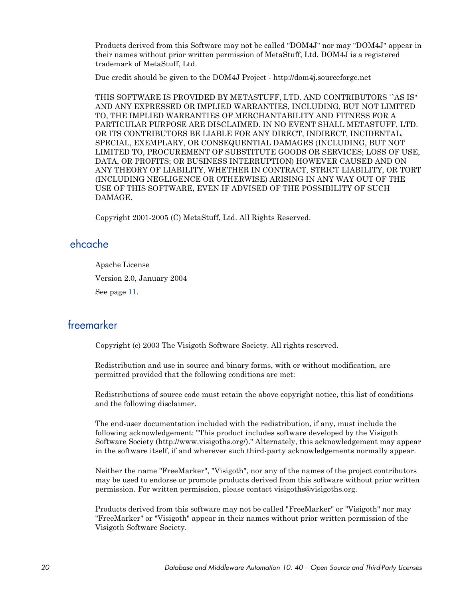Products derived from this Software may not be called "DOM4J" nor may "DOM4J" appear in their names without prior written permission of MetaStuff, Ltd. DOM4J is a registered trademark of MetaStuff, Ltd.

Due credit should be given to the DOM4J Project - http://dom4j.sourceforge.net

THIS SOFTWARE IS PROVIDED BY METASTUFF, LTD. AND CONTRIBUTORS ``AS IS'' AND ANY EXPRESSED OR IMPLIED WARRANTIES, INCLUDING, BUT NOT LIMITED TO, THE IMPLIED WARRANTIES OF MERCHANTABILITY AND FITNESS FOR A PARTICULAR PURPOSE ARE DISCLAIMED. IN NO EVENT SHALL METASTUFF, LTD. OR ITS CONTRIBUTORS BE LIABLE FOR ANY DIRECT, INDIRECT, INCIDENTAL, SPECIAL, EXEMPLARY, OR CONSEQUENTIAL DAMAGES (INCLUDING, BUT NOT LIMITED TO, PROCUREMENT OF SUBSTITUTE GOODS OR SERVICES; LOSS OF USE, DATA, OR PROFITS; OR BUSINESS INTERRUPTION) HOWEVER CAUSED AND ON ANY THEORY OF LIABILITY, WHETHER IN CONTRACT, STRICT LIABILITY, OR TORT (INCLUDING NEGLIGENCE OR OTHERWISE) ARISING IN ANY WAY OUT OF THE USE OF THIS SOFTWARE, EVEN IF ADVISED OF THE POSSIBILITY OF SUCH DAMAGE.

Copyright 2001-2005 (C) MetaStuff, Ltd. All Rights Reserved.

### <span id="page-19-0"></span>ehcache

[Apache License](#page-10-2) Version 2.0, January 2004 See page [11.](#page-10-2)

### <span id="page-19-1"></span>freemarker

Copyright (c) 2003 The Visigoth Software Society. All rights reserved.

Redistribution and use in source and binary forms, with or without modification, are permitted provided that the following conditions are met:

Redistributions of source code must retain the above copyright notice, this list of conditions and the following disclaimer.

The end-user documentation included with the redistribution, if any, must include the following acknowledgement: "This product includes software developed by the Visigoth Software Society (http://www.visigoths.org/)." Alternately, this acknowledgement may appear in the software itself, if and wherever such third-party acknowledgements normally appear.

Neither the name "FreeMarker", "Visigoth", nor any of the names of the project contributors may be used to endorse or promote products derived from this software without prior written permission. For written permission, please contact visigoths@visigoths.org.

Products derived from this software may not be called "FreeMarker" or "Visigoth" nor may "FreeMarker" or "Visigoth" appear in their names without prior written permission of the Visigoth Software Society.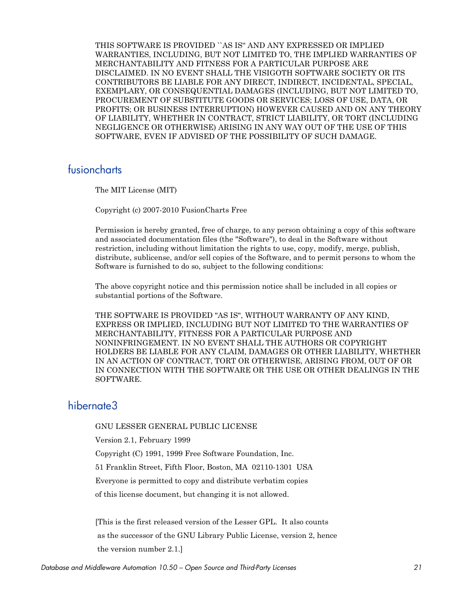THIS SOFTWARE IS PROVIDED ``AS IS'' AND ANY EXPRESSED OR IMPLIED WARRANTIES, INCLUDING, BUT NOT LIMITED TO, THE IMPLIED WARRANTIES OF MERCHANTABILITY AND FITNESS FOR A PARTICULAR PURPOSE ARE DISCLAIMED. IN NO EVENT SHALL THE VISIGOTH SOFTWARE SOCIETY OR ITS CONTRIBUTORS BE LIABLE FOR ANY DIRECT, INDIRECT, INCIDENTAL, SPECIAL, EXEMPLARY, OR CONSEQUENTIAL DAMAGES (INCLUDING, BUT NOT LIMITED TO, PROCUREMENT OF SUBSTITUTE GOODS OR SERVICES; LOSS OF USE, DATA, OR PROFITS; OR BUSINESS INTERRUPTION) HOWEVER CAUSED AND ON ANY THEORY OF LIABILITY, WHETHER IN CONTRACT, STRICT LIABILITY, OR TORT (INCLUDING NEGLIGENCE OR OTHERWISE) ARISING IN ANY WAY OUT OF THE USE OF THIS SOFTWARE, EVEN IF ADVISED OF THE POSSIBILITY OF SUCH DAMAGE.

### <span id="page-20-0"></span>fusioncharts

The MIT License (MIT)

Copyright (c) 2007-2010 FusionCharts Free

Permission is hereby granted, free of charge, to any person obtaining a copy of this software and associated documentation files (the "Software"), to deal in the Software without restriction, including without limitation the rights to use, copy, modify, merge, publish, distribute, sublicense, and/or sell copies of the Software, and to permit persons to whom the Software is furnished to do so, subject to the following conditions:

The above copyright notice and this permission notice shall be included in all copies or substantial portions of the Software.

THE SOFTWARE IS PROVIDED "AS IS", WITHOUT WARRANTY OF ANY KIND, EXPRESS OR IMPLIED, INCLUDING BUT NOT LIMITED TO THE WARRANTIES OF MERCHANTABILITY, FITNESS FOR A PARTICULAR PURPOSE AND NONINFRINGEMENT. IN NO EVENT SHALL THE AUTHORS OR COPYRIGHT HOLDERS BE LIABLE FOR ANY CLAIM, DAMAGES OR OTHER LIABILITY, WHETHER IN AN ACTION OF CONTRACT, TORT OR OTHERWISE, ARISING FROM, OUT OF OR IN CONNECTION WITH THE SOFTWARE OR THE USE OR OTHER DEALINGS IN THE SOFTWARE.

### <span id="page-20-1"></span>hibernate3

GNU LESSER GENERAL PUBLIC LICENSE

Version 2.1, February 1999

Copyright (C) 1991, 1999 Free Software Foundation, Inc.

51 Franklin Street, Fifth Floor, Boston, MA 02110-1301 USA

Everyone is permitted to copy and distribute verbatim copies

of this license document, but changing it is not allowed.

[This is the first released version of the Lesser GPL. It also counts as the successor of the GNU Library Public License, version 2, hence the version number 2.1.]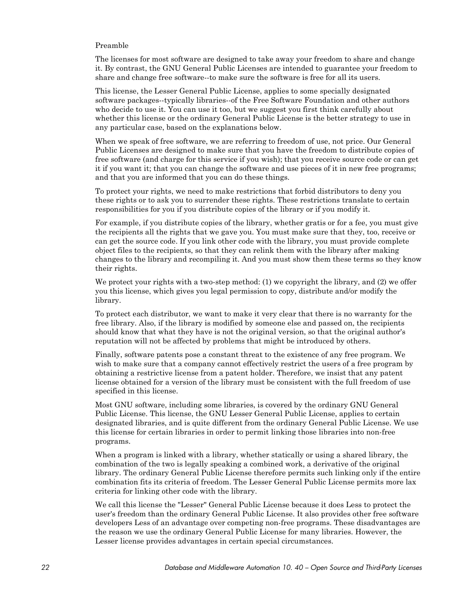#### Preamble

The licenses for most software are designed to take away your freedom to share and change it. By contrast, the GNU General Public Licenses are intended to guarantee your freedom to share and change free software--to make sure the software is free for all its users.

This license, the Lesser General Public License, applies to some specially designated software packages--typically libraries--of the Free Software Foundation and other authors who decide to use it. You can use it too, but we suggest you first think carefully about whether this license or the ordinary General Public License is the better strategy to use in any particular case, based on the explanations below.

When we speak of free software, we are referring to freedom of use, not price. Our General Public Licenses are designed to make sure that you have the freedom to distribute copies of free software (and charge for this service if you wish); that you receive source code or can get it if you want it; that you can change the software and use pieces of it in new free programs; and that you are informed that you can do these things.

To protect your rights, we need to make restrictions that forbid distributors to deny you these rights or to ask you to surrender these rights. These restrictions translate to certain responsibilities for you if you distribute copies of the library or if you modify it.

For example, if you distribute copies of the library, whether gratis or for a fee, you must give the recipients all the rights that we gave you. You must make sure that they, too, receive or can get the source code. If you link other code with the library, you must provide complete object files to the recipients, so that they can relink them with the library after making changes to the library and recompiling it. And you must show them these terms so they know their rights.

We protect your rights with a two-step method: (1) we copyright the library, and (2) we offer you this license, which gives you legal permission to copy, distribute and/or modify the library.

To protect each distributor, we want to make it very clear that there is no warranty for the free library. Also, if the library is modified by someone else and passed on, the recipients should know that what they have is not the original version, so that the original author's reputation will not be affected by problems that might be introduced by others.

Finally, software patents pose a constant threat to the existence of any free program. We wish to make sure that a company cannot effectively restrict the users of a free program by obtaining a restrictive license from a patent holder. Therefore, we insist that any patent license obtained for a version of the library must be consistent with the full freedom of use specified in this license.

Most GNU software, including some libraries, is covered by the ordinary GNU General Public License. This license, the GNU Lesser General Public License, applies to certain designated libraries, and is quite different from the ordinary General Public License. We use this license for certain libraries in order to permit linking those libraries into non-free programs.

When a program is linked with a library, whether statically or using a shared library, the combination of the two is legally speaking a combined work, a derivative of the original library. The ordinary General Public License therefore permits such linking only if the entire combination fits its criteria of freedom. The Lesser General Public License permits more lax criteria for linking other code with the library.

We call this license the "Lesser" General Public License because it does Less to protect the user's freedom than the ordinary General Public License. It also provides other free software developers Less of an advantage over competing non-free programs. These disadvantages are the reason we use the ordinary General Public License for many libraries. However, the Lesser license provides advantages in certain special circumstances.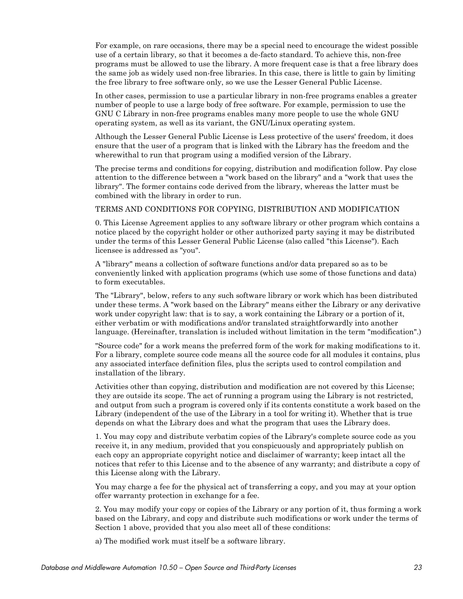For example, on rare occasions, there may be a special need to encourage the widest possible use of a certain library, so that it becomes a de-facto standard. To achieve this, non-free programs must be allowed to use the library. A more frequent case is that a free library does the same job as widely used non-free libraries. In this case, there is little to gain by limiting the free library to free software only, so we use the Lesser General Public License.

In other cases, permission to use a particular library in non-free programs enables a greater number of people to use a large body of free software. For example, permission to use the GNU C Library in non-free programs enables many more people to use the whole GNU operating system, as well as its variant, the GNU/Linux operating system.

Although the Lesser General Public License is Less protective of the users' freedom, it does ensure that the user of a program that is linked with the Library has the freedom and the wherewithal to run that program using a modified version of the Library.

The precise terms and conditions for copying, distribution and modification follow. Pay close attention to the difference between a "work based on the library" and a "work that uses the library". The former contains code derived from the library, whereas the latter must be combined with the library in order to run.

#### TERMS AND CONDITIONS FOR COPYING, DISTRIBUTION AND MODIFICATION

0. This License Agreement applies to any software library or other program which contains a notice placed by the copyright holder or other authorized party saying it may be distributed under the terms of this Lesser General Public License (also called "this License"). Each licensee is addressed as "you".

A "library" means a collection of software functions and/or data prepared so as to be conveniently linked with application programs (which use some of those functions and data) to form executables.

The "Library", below, refers to any such software library or work which has been distributed under these terms. A "work based on the Library" means either the Library or any derivative work under copyright law: that is to say, a work containing the Library or a portion of it, either verbatim or with modifications and/or translated straightforwardly into another language. (Hereinafter, translation is included without limitation in the term "modification".)

"Source code" for a work means the preferred form of the work for making modifications to it. For a library, complete source code means all the source code for all modules it contains, plus any associated interface definition files, plus the scripts used to control compilation and installation of the library.

Activities other than copying, distribution and modification are not covered by this License; they are outside its scope. The act of running a program using the Library is not restricted, and output from such a program is covered only if its contents constitute a work based on the Library (independent of the use of the Library in a tool for writing it). Whether that is true depends on what the Library does and what the program that uses the Library does.

1. You may copy and distribute verbatim copies of the Library's complete source code as you receive it, in any medium, provided that you conspicuously and appropriately publish on each copy an appropriate copyright notice and disclaimer of warranty; keep intact all the notices that refer to this License and to the absence of any warranty; and distribute a copy of this License along with the Library.

You may charge a fee for the physical act of transferring a copy, and you may at your option offer warranty protection in exchange for a fee.

2. You may modify your copy or copies of the Library or any portion of it, thus forming a work based on the Library, and copy and distribute such modifications or work under the terms of Section 1 above, provided that you also meet all of these conditions:

a) The modified work must itself be a software library.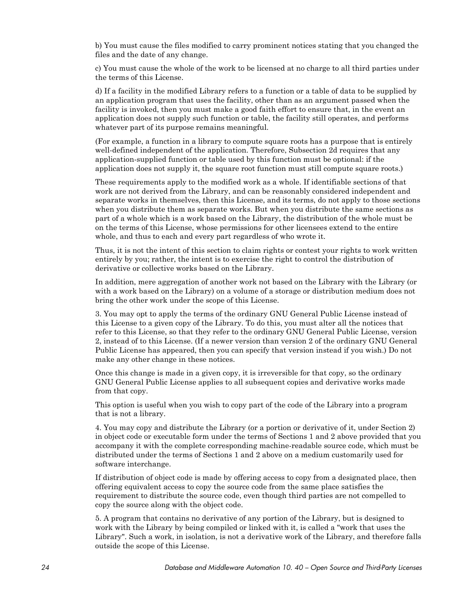b) You must cause the files modified to carry prominent notices stating that you changed the files and the date of any change.

c) You must cause the whole of the work to be licensed at no charge to all third parties under the terms of this License.

d) If a facility in the modified Library refers to a function or a table of data to be supplied by an application program that uses the facility, other than as an argument passed when the facility is invoked, then you must make a good faith effort to ensure that, in the event an application does not supply such function or table, the facility still operates, and performs whatever part of its purpose remains meaningful.

(For example, a function in a library to compute square roots has a purpose that is entirely well-defined independent of the application. Therefore, Subsection 2d requires that any application-supplied function or table used by this function must be optional: if the application does not supply it, the square root function must still compute square roots.)

These requirements apply to the modified work as a whole. If identifiable sections of that work are not derived from the Library, and can be reasonably considered independent and separate works in themselves, then this License, and its terms, do not apply to those sections when you distribute them as separate works. But when you distribute the same sections as part of a whole which is a work based on the Library, the distribution of the whole must be on the terms of this License, whose permissions for other licensees extend to the entire whole, and thus to each and every part regardless of who wrote it.

Thus, it is not the intent of this section to claim rights or contest your rights to work written entirely by you; rather, the intent is to exercise the right to control the distribution of derivative or collective works based on the Library.

In addition, mere aggregation of another work not based on the Library with the Library (or with a work based on the Library) on a volume of a storage or distribution medium does not bring the other work under the scope of this License.

3. You may opt to apply the terms of the ordinary GNU General Public License instead of this License to a given copy of the Library. To do this, you must alter all the notices that refer to this License, so that they refer to the ordinary GNU General Public License, version 2, instead of to this License. (If a newer version than version 2 of the ordinary GNU General Public License has appeared, then you can specify that version instead if you wish.) Do not make any other change in these notices.

Once this change is made in a given copy, it is irreversible for that copy, so the ordinary GNU General Public License applies to all subsequent copies and derivative works made from that copy.

This option is useful when you wish to copy part of the code of the Library into a program that is not a library.

4. You may copy and distribute the Library (or a portion or derivative of it, under Section 2) in object code or executable form under the terms of Sections 1 and 2 above provided that you accompany it with the complete corresponding machine-readable source code, which must be distributed under the terms of Sections 1 and 2 above on a medium customarily used for software interchange.

If distribution of object code is made by offering access to copy from a designated place, then offering equivalent access to copy the source code from the same place satisfies the requirement to distribute the source code, even though third parties are not compelled to copy the source along with the object code.

5. A program that contains no derivative of any portion of the Library, but is designed to work with the Library by being compiled or linked with it, is called a "work that uses the Library". Such a work, in isolation, is not a derivative work of the Library, and therefore falls outside the scope of this License.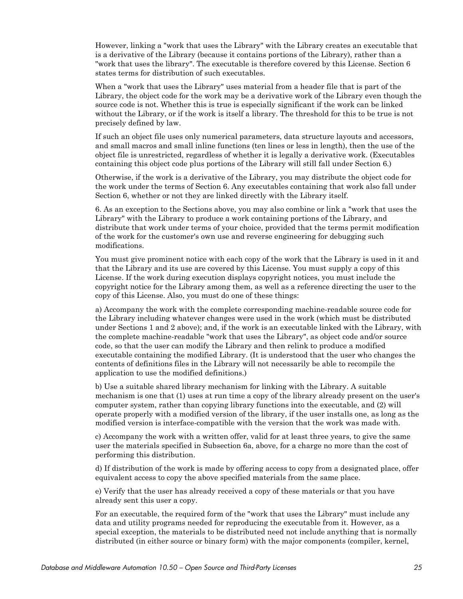However, linking a "work that uses the Library" with the Library creates an executable that is a derivative of the Library (because it contains portions of the Library), rather than a "work that uses the library". The executable is therefore covered by this License. Section 6 states terms for distribution of such executables.

When a "work that uses the Library" uses material from a header file that is part of the Library, the object code for the work may be a derivative work of the Library even though the source code is not. Whether this is true is especially significant if the work can be linked without the Library, or if the work is itself a library. The threshold for this to be true is not precisely defined by law.

If such an object file uses only numerical parameters, data structure layouts and accessors, and small macros and small inline functions (ten lines or less in length), then the use of the object file is unrestricted, regardless of whether it is legally a derivative work. (Executables containing this object code plus portions of the Library will still fall under Section 6.)

Otherwise, if the work is a derivative of the Library, you may distribute the object code for the work under the terms of Section 6. Any executables containing that work also fall under Section 6, whether or not they are linked directly with the Library itself.

6. As an exception to the Sections above, you may also combine or link a "work that uses the Library" with the Library to produce a work containing portions of the Library, and distribute that work under terms of your choice, provided that the terms permit modification of the work for the customer's own use and reverse engineering for debugging such modifications.

You must give prominent notice with each copy of the work that the Library is used in it and that the Library and its use are covered by this License. You must supply a copy of this License. If the work during execution displays copyright notices, you must include the copyright notice for the Library among them, as well as a reference directing the user to the copy of this License. Also, you must do one of these things:

a) Accompany the work with the complete corresponding machine-readable source code for the Library including whatever changes were used in the work (which must be distributed under Sections 1 and 2 above); and, if the work is an executable linked with the Library, with the complete machine-readable "work that uses the Library", as object code and/or source code, so that the user can modify the Library and then relink to produce a modified executable containing the modified Library. (It is understood that the user who changes the contents of definitions files in the Library will not necessarily be able to recompile the application to use the modified definitions.)

b) Use a suitable shared library mechanism for linking with the Library. A suitable mechanism is one that (1) uses at run time a copy of the library already present on the user's computer system, rather than copying library functions into the executable, and (2) will operate properly with a modified version of the library, if the user installs one, as long as the modified version is interface-compatible with the version that the work was made with.

c) Accompany the work with a written offer, valid for at least three years, to give the same user the materials specified in Subsection 6a, above, for a charge no more than the cost of performing this distribution.

d) If distribution of the work is made by offering access to copy from a designated place, offer equivalent access to copy the above specified materials from the same place.

e) Verify that the user has already received a copy of these materials or that you have already sent this user a copy.

For an executable, the required form of the "work that uses the Library" must include any data and utility programs needed for reproducing the executable from it. However, as a special exception, the materials to be distributed need not include anything that is normally distributed (in either source or binary form) with the major components (compiler, kernel,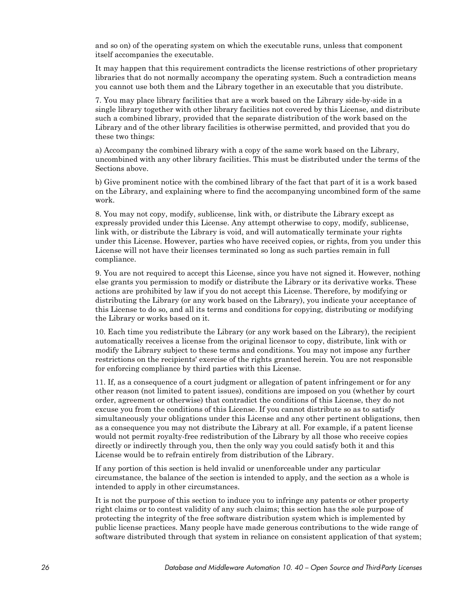and so on) of the operating system on which the executable runs, unless that component itself accompanies the executable.

It may happen that this requirement contradicts the license restrictions of other proprietary libraries that do not normally accompany the operating system. Such a contradiction means you cannot use both them and the Library together in an executable that you distribute.

7. You may place library facilities that are a work based on the Library side-by-side in a single library together with other library facilities not covered by this License, and distribute such a combined library, provided that the separate distribution of the work based on the Library and of the other library facilities is otherwise permitted, and provided that you do these two things:

a) Accompany the combined library with a copy of the same work based on the Library, uncombined with any other library facilities. This must be distributed under the terms of the Sections above.

b) Give prominent notice with the combined library of the fact that part of it is a work based on the Library, and explaining where to find the accompanying uncombined form of the same work.

8. You may not copy, modify, sublicense, link with, or distribute the Library except as expressly provided under this License. Any attempt otherwise to copy, modify, sublicense, link with, or distribute the Library is void, and will automatically terminate your rights under this License. However, parties who have received copies, or rights, from you under this License will not have their licenses terminated so long as such parties remain in full compliance.

9. You are not required to accept this License, since you have not signed it. However, nothing else grants you permission to modify or distribute the Library or its derivative works. These actions are prohibited by law if you do not accept this License. Therefore, by modifying or distributing the Library (or any work based on the Library), you indicate your acceptance of this License to do so, and all its terms and conditions for copying, distributing or modifying the Library or works based on it.

10. Each time you redistribute the Library (or any work based on the Library), the recipient automatically receives a license from the original licensor to copy, distribute, link with or modify the Library subject to these terms and conditions. You may not impose any further restrictions on the recipients' exercise of the rights granted herein. You are not responsible for enforcing compliance by third parties with this License.

11. If, as a consequence of a court judgment or allegation of patent infringement or for any other reason (not limited to patent issues), conditions are imposed on you (whether by court order, agreement or otherwise) that contradict the conditions of this License, they do not excuse you from the conditions of this License. If you cannot distribute so as to satisfy simultaneously your obligations under this License and any other pertinent obligations, then as a consequence you may not distribute the Library at all. For example, if a patent license would not permit royalty-free redistribution of the Library by all those who receive copies directly or indirectly through you, then the only way you could satisfy both it and this License would be to refrain entirely from distribution of the Library.

If any portion of this section is held invalid or unenforceable under any particular circumstance, the balance of the section is intended to apply, and the section as a whole is intended to apply in other circumstances.

It is not the purpose of this section to induce you to infringe any patents or other property right claims or to contest validity of any such claims; this section has the sole purpose of protecting the integrity of the free software distribution system which is implemented by public license practices. Many people have made generous contributions to the wide range of software distributed through that system in reliance on consistent application of that system;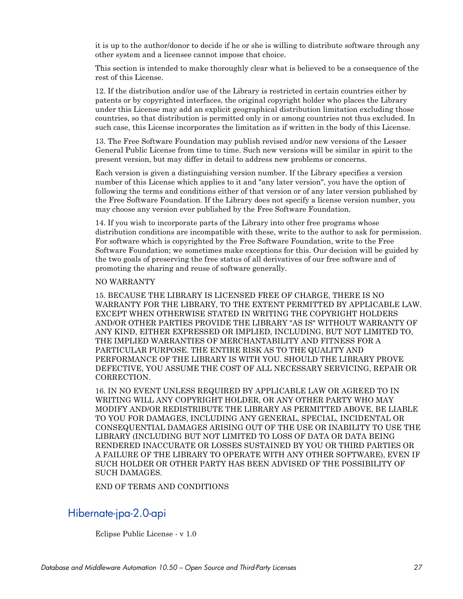it is up to the author/donor to decide if he or she is willing to distribute software through any other system and a licensee cannot impose that choice.

This section is intended to make thoroughly clear what is believed to be a consequence of the rest of this License.

12. If the distribution and/or use of the Library is restricted in certain countries either by patents or by copyrighted interfaces, the original copyright holder who places the Library under this License may add an explicit geographical distribution limitation excluding those countries, so that distribution is permitted only in or among countries not thus excluded. In such case, this License incorporates the limitation as if written in the body of this License.

13. The Free Software Foundation may publish revised and/or new versions of the Lesser General Public License from time to time. Such new versions will be similar in spirit to the present version, but may differ in detail to address new problems or concerns.

Each version is given a distinguishing version number. If the Library specifies a version number of this License which applies to it and "any later version", you have the option of following the terms and conditions either of that version or of any later version published by the Free Software Foundation. If the Library does not specify a license version number, you may choose any version ever published by the Free Software Foundation.

14. If you wish to incorporate parts of the Library into other free programs whose distribution conditions are incompatible with these, write to the author to ask for permission. For software which is copyrighted by the Free Software Foundation, write to the Free Software Foundation; we sometimes make exceptions for this. Our decision will be guided by the two goals of preserving the free status of all derivatives of our free software and of promoting the sharing and reuse of software generally.

#### NO WARRANTY

15. BECAUSE THE LIBRARY IS LICENSED FREE OF CHARGE, THERE IS NO WARRANTY FOR THE LIBRARY, TO THE EXTENT PERMITTED BY APPLICABLE LAW. EXCEPT WHEN OTHERWISE STATED IN WRITING THE COPYRIGHT HOLDERS AND/OR OTHER PARTIES PROVIDE THE LIBRARY "AS IS" WITHOUT WARRANTY OF ANY KIND, EITHER EXPRESSED OR IMPLIED, INCLUDING, BUT NOT LIMITED TO, THE IMPLIED WARRANTIES OF MERCHANTABILITY AND FITNESS FOR A PARTICULAR PURPOSE. THE ENTIRE RISK AS TO THE QUALITY AND PERFORMANCE OF THE LIBRARY IS WITH YOU. SHOULD THE LIBRARY PROVE DEFECTIVE, YOU ASSUME THE COST OF ALL NECESSARY SERVICING, REPAIR OR CORRECTION.

16. IN NO EVENT UNLESS REQUIRED BY APPLICABLE LAW OR AGREED TO IN WRITING WILL ANY COPYRIGHT HOLDER, OR ANY OTHER PARTY WHO MAY MODIFY AND/OR REDISTRIBUTE THE LIBRARY AS PERMITTED ABOVE, BE LIABLE TO YOU FOR DAMAGES, INCLUDING ANY GENERAL, SPECIAL, INCIDENTAL OR CONSEQUENTIAL DAMAGES ARISING OUT OF THE USE OR INABILITY TO USE THE LIBRARY (INCLUDING BUT NOT LIMITED TO LOSS OF DATA OR DATA BEING RENDERED INACCURATE OR LOSSES SUSTAINED BY YOU OR THIRD PARTIES OR A FAILURE OF THE LIBRARY TO OPERATE WITH ANY OTHER SOFTWARE), EVEN IF SUCH HOLDER OR OTHER PARTY HAS BEEN ADVISED OF THE POSSIBILITY OF SUCH DAMAGES.

#### END OF TERMS AND CONDITIONS

### <span id="page-26-0"></span>Hibernate-jpa-2.0-api

Eclipse Public License - v 1.0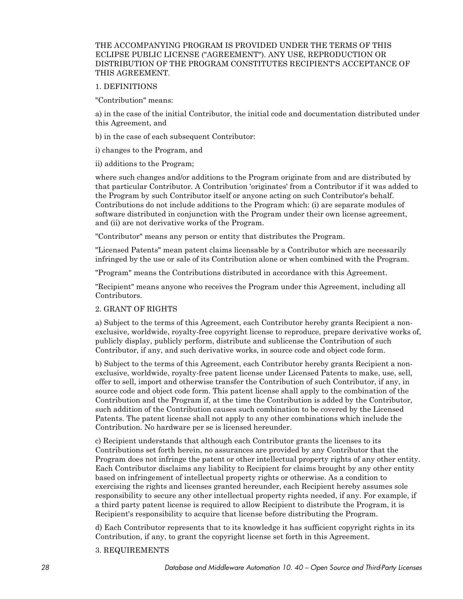#### THE ACCOMPANYING PROGRAM IS PROVIDED UNDER THE TERMS OF THIS ECLIPSE PUBLIC LICENSE ("AGREEMENT"). ANY USE, REPRODUCTION OR DISTRIBUTION OF THE PROGRAM CONSTITUTES RECIPIENT'S ACCEPTANCE OF THIS AGREEMENT.

#### 1. DEFINITIONS

"Contribution" means:

a) in the case of the initial Contributor, the initial code and documentation distributed under this Agreement, and

b) in the case of each subsequent Contributor:

i) changes to the Program, and

ii) additions to the Program;

where such changes and/or additions to the Program originate from and are distributed by that particular Contributor. A Contribution 'originates' from a Contributor if it was added to the Program by such Contributor itself or anyone acting on such Contributor's behalf. Contributions do not include additions to the Program which: (i) are separate modules of software distributed in conjunction with the Program under their own license agreement, and (ii) are not derivative works of the Program.

"Contributor" means any person or entity that distributes the Program.

"Licensed Patents" mean patent claims licensable by a Contributor which are necessarily infringed by the use or sale of its Contribution alone or when combined with the Program.

"Program" means the Contributions distributed in accordance with this Agreement.

"Recipient" means anyone who receives the Program under this Agreement, including all Contributors.

#### 2. GRANT OF RIGHTS

a) Subject to the terms of this Agreement, each Contributor hereby grants Recipient a nonexclusive, worldwide, royalty-free copyright license to reproduce, prepare derivative works of, publicly display, publicly perform, distribute and sublicense the Contribution of such Contributor, if any, and such derivative works, in source code and object code form.

b) Subject to the terms of this Agreement, each Contributor hereby grants Recipient a nonexclusive, worldwide, royalty-free patent license under Licensed Patents to make, use, sell, offer to sell, import and otherwise transfer the Contribution of such Contributor, if any, in source code and object code form. This patent license shall apply to the combination of the Contribution and the Program if, at the time the Contribution is added by the Contributor, such addition of the Contribution causes such combination to be covered by the Licensed Patents. The patent license shall not apply to any other combinations which include the Contribution. No hardware per se is licensed hereunder.

c) Recipient understands that although each Contributor grants the licenses to its Contributions set forth herein, no assurances are provided by any Contributor that the Program does not infringe the patent or other intellectual property rights of any other entity. Each Contributor disclaims any liability to Recipient for claims brought by any other entity based on infringement of intellectual property rights or otherwise. As a condition to exercising the rights and licenses granted hereunder, each Recipient hereby assumes sole responsibility to secure any other intellectual property rights needed, if any. For example, if a third party patent license is required to allow Recipient to distribute the Program, it is Recipient's responsibility to acquire that license before distributing the Program.

d) Each Contributor represents that to its knowledge it has sufficient copyright rights in its Contribution, if any, to grant the copyright license set forth in this Agreement.

3. REQUIREMENTS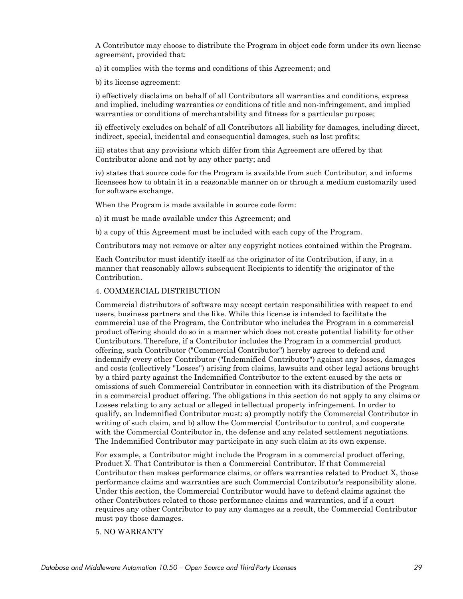A Contributor may choose to distribute the Program in object code form under its own license agreement, provided that:

a) it complies with the terms and conditions of this Agreement; and

b) its license agreement:

i) effectively disclaims on behalf of all Contributors all warranties and conditions, express and implied, including warranties or conditions of title and non-infringement, and implied warranties or conditions of merchantability and fitness for a particular purpose;

ii) effectively excludes on behalf of all Contributors all liability for damages, including direct, indirect, special, incidental and consequential damages, such as lost profits;

iii) states that any provisions which differ from this Agreement are offered by that Contributor alone and not by any other party; and

iv) states that source code for the Program is available from such Contributor, and informs licensees how to obtain it in a reasonable manner on or through a medium customarily used for software exchange.

When the Program is made available in source code form:

a) it must be made available under this Agreement; and

b) a copy of this Agreement must be included with each copy of the Program.

Contributors may not remove or alter any copyright notices contained within the Program.

Each Contributor must identify itself as the originator of its Contribution, if any, in a manner that reasonably allows subsequent Recipients to identify the originator of the Contribution.

#### 4. COMMERCIAL DISTRIBUTION

Commercial distributors of software may accept certain responsibilities with respect to end users, business partners and the like. While this license is intended to facilitate the commercial use of the Program, the Contributor who includes the Program in a commercial product offering should do so in a manner which does not create potential liability for other Contributors. Therefore, if a Contributor includes the Program in a commercial product offering, such Contributor ("Commercial Contributor") hereby agrees to defend and indemnify every other Contributor ("Indemnified Contributor") against any losses, damages and costs (collectively "Losses") arising from claims, lawsuits and other legal actions brought by a third party against the Indemnified Contributor to the extent caused by the acts or omissions of such Commercial Contributor in connection with its distribution of the Program in a commercial product offering. The obligations in this section do not apply to any claims or Losses relating to any actual or alleged intellectual property infringement. In order to qualify, an Indemnified Contributor must: a) promptly notify the Commercial Contributor in writing of such claim, and b) allow the Commercial Contributor to control, and cooperate with the Commercial Contributor in, the defense and any related settlement negotiations. The Indemnified Contributor may participate in any such claim at its own expense.

For example, a Contributor might include the Program in a commercial product offering, Product X. That Contributor is then a Commercial Contributor. If that Commercial Contributor then makes performance claims, or offers warranties related to Product X, those performance claims and warranties are such Commercial Contributor's responsibility alone. Under this section, the Commercial Contributor would have to defend claims against the other Contributors related to those performance claims and warranties, and if a court requires any other Contributor to pay any damages as a result, the Commercial Contributor must pay those damages.

#### 5. NO WARRANTY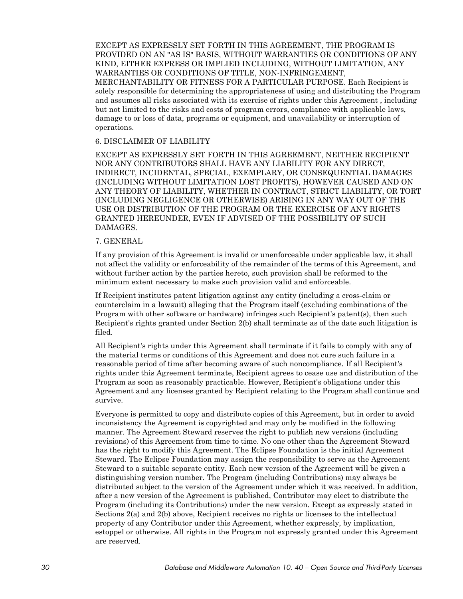EXCEPT AS EXPRESSLY SET FORTH IN THIS AGREEMENT, THE PROGRAM IS PROVIDED ON AN "AS IS" BASIS, WITHOUT WARRANTIES OR CONDITIONS OF ANY KIND, EITHER EXPRESS OR IMPLIED INCLUDING, WITHOUT LIMITATION, ANY WARRANTIES OR CONDITIONS OF TITLE, NON-INFRINGEMENT, MERCHANTABILITY OR FITNESS FOR A PARTICULAR PURPOSE. Each Recipient is solely responsible for determining the appropriateness of using and distributing the Program and assumes all risks associated with its exercise of rights under this Agreement , including but not limited to the risks and costs of program errors, compliance with applicable laws, damage to or loss of data, programs or equipment, and unavailability or interruption of operations.

#### 6. DISCLAIMER OF LIABILITY

EXCEPT AS EXPRESSLY SET FORTH IN THIS AGREEMENT, NEITHER RECIPIENT NOR ANY CONTRIBUTORS SHALL HAVE ANY LIABILITY FOR ANY DIRECT, INDIRECT, INCIDENTAL, SPECIAL, EXEMPLARY, OR CONSEQUENTIAL DAMAGES (INCLUDING WITHOUT LIMITATION LOST PROFITS), HOWEVER CAUSED AND ON ANY THEORY OF LIABILITY, WHETHER IN CONTRACT, STRICT LIABILITY, OR TORT (INCLUDING NEGLIGENCE OR OTHERWISE) ARISING IN ANY WAY OUT OF THE USE OR DISTRIBUTION OF THE PROGRAM OR THE EXERCISE OF ANY RIGHTS GRANTED HEREUNDER, EVEN IF ADVISED OF THE POSSIBILITY OF SUCH DAMAGES.

#### 7. GENERAL

If any provision of this Agreement is invalid or unenforceable under applicable law, it shall not affect the validity or enforceability of the remainder of the terms of this Agreement, and without further action by the parties hereto, such provision shall be reformed to the minimum extent necessary to make such provision valid and enforceable.

If Recipient institutes patent litigation against any entity (including a cross-claim or counterclaim in a lawsuit) alleging that the Program itself (excluding combinations of the Program with other software or hardware) infringes such Recipient's patent(s), then such Recipient's rights granted under Section 2(b) shall terminate as of the date such litigation is filed.

All Recipient's rights under this Agreement shall terminate if it fails to comply with any of the material terms or conditions of this Agreement and does not cure such failure in a reasonable period of time after becoming aware of such noncompliance. If all Recipient's rights under this Agreement terminate, Recipient agrees to cease use and distribution of the Program as soon as reasonably practicable. However, Recipient's obligations under this Agreement and any licenses granted by Recipient relating to the Program shall continue and survive.

Everyone is permitted to copy and distribute copies of this Agreement, but in order to avoid inconsistency the Agreement is copyrighted and may only be modified in the following manner. The Agreement Steward reserves the right to publish new versions (including revisions) of this Agreement from time to time. No one other than the Agreement Steward has the right to modify this Agreement. The Eclipse Foundation is the initial Agreement Steward. The Eclipse Foundation may assign the responsibility to serve as the Agreement Steward to a suitable separate entity. Each new version of the Agreement will be given a distinguishing version number. The Program (including Contributions) may always be distributed subject to the version of the Agreement under which it was received. In addition, after a new version of the Agreement is published, Contributor may elect to distribute the Program (including its Contributions) under the new version. Except as expressly stated in Sections 2(a) and 2(b) above, Recipient receives no rights or licenses to the intellectual property of any Contributor under this Agreement, whether expressly, by implication, estoppel or otherwise. All rights in the Program not expressly granted under this Agreement are reserved.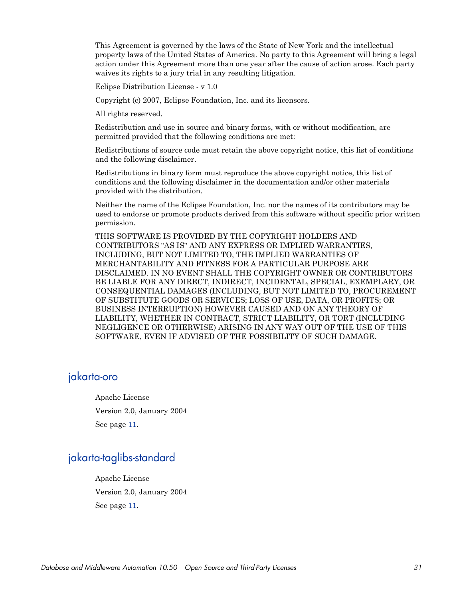This Agreement is governed by the laws of the State of New York and the intellectual property laws of the United States of America. No party to this Agreement will bring a legal action under this Agreement more than one year after the cause of action arose. Each party waives its rights to a jury trial in any resulting litigation.

Eclipse Distribution License - v 1.0

Copyright (c) 2007, Eclipse Foundation, Inc. and its licensors.

All rights reserved.

Redistribution and use in source and binary forms, with or without modification, are permitted provided that the following conditions are met:

Redistributions of source code must retain the above copyright notice, this list of conditions and the following disclaimer.

Redistributions in binary form must reproduce the above copyright notice, this list of conditions and the following disclaimer in the documentation and/or other materials provided with the distribution.

Neither the name of the Eclipse Foundation, Inc. nor the names of its contributors may be used to endorse or promote products derived from this software without specific prior written permission.

THIS SOFTWARE IS PROVIDED BY THE COPYRIGHT HOLDERS AND CONTRIBUTORS "AS IS" AND ANY EXPRESS OR IMPLIED WARRANTIES, INCLUDING, BUT NOT LIMITED TO, THE IMPLIED WARRANTIES OF MERCHANTABILITY AND FITNESS FOR A PARTICULAR PURPOSE ARE DISCLAIMED. IN NO EVENT SHALL THE COPYRIGHT OWNER OR CONTRIBUTORS BE LIABLE FOR ANY DIRECT, INDIRECT, INCIDENTAL, SPECIAL, EXEMPLARY, OR CONSEQUENTIAL DAMAGES (INCLUDING, BUT NOT LIMITED TO, PROCUREMENT OF SUBSTITUTE GOODS OR SERVICES; LOSS OF USE, DATA, OR PROFITS; OR BUSINESS INTERRUPTION) HOWEVER CAUSED AND ON ANY THEORY OF LIABILITY, WHETHER IN CONTRACT, STRICT LIABILITY, OR TORT (INCLUDING NEGLIGENCE OR OTHERWISE) ARISING IN ANY WAY OUT OF THE USE OF THIS SOFTWARE, EVEN IF ADVISED OF THE POSSIBILITY OF SUCH DAMAGE.

### <span id="page-30-0"></span>jakarta-oro

[Apache License](#page-10-2) Version 2.0, January 2004 See page [11.](#page-10-2)

### <span id="page-30-1"></span>jakarta-taglibs-standard

[Apache License](#page-10-2) Version 2.0, January 2004 See page [11.](#page-10-2)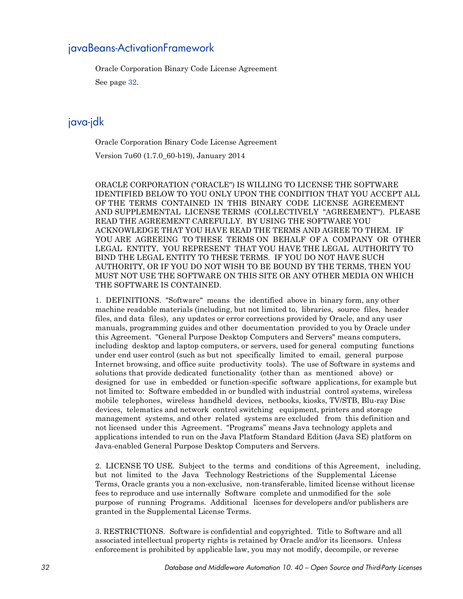### <span id="page-31-0"></span>javaBeans-ActivationFramework

[Oracle Corporation Binary Code License Agreement](#page-31-2) See page [32.](#page-31-2)

### <span id="page-31-2"></span><span id="page-31-1"></span>java-jdk

Oracle Corporation Binary Code License Agreement

Version 7u60 (1.7.0\_60-b19), January 2014

ORACLE CORPORATION ("ORACLE") IS WILLING TO LICENSE THE SOFTWARE IDENTIFIED BELOW TO YOU ONLY UPON THE CONDITION THAT YOU ACCEPT ALL OF THE TERMS CONTAINED IN THIS BINARY CODE LICENSE AGREEMENT AND SUPPLEMENTAL LICENSE TERMS (COLLECTIVELY "AGREEMENT"). PLEASE READ THE AGREEMENT CAREFULLY. BY USING THE SOFTWARE YOU ACKNOWLEDGE THAT YOU HAVE READ THE TERMS AND AGREE TO THEM. IF YOU ARE AGREEING TO THESE TERMS ON BEHALF OF A COMPANY OR OTHER LEGAL ENTITY, YOU REPRESENT THAT YOU HAVE THE LEGAL AUTHORITY TO BIND THE LEGAL ENTITY TO THESE TERMS. IF YOU DO NOT HAVE SUCH AUTHORITY, OR IF YOU DO NOT WISH TO BE BOUND BY THE TERMS, THEN YOU MUST NOT USE THE SOFTWARE ON THIS SITE OR ANY OTHER MEDIA ON WHICH THE SOFTWARE IS CONTAINED.

1. DEFINITIONS. "Software" means the identified above in binary form, any other machine readable materials (including, but not limited to, libraries, source files, header files, and data files), any updates or error corrections provided by Oracle, and any user manuals, programming guides and other documentation provided to you by Oracle under this Agreement. "General Purpose Desktop Computers and Servers" means computers, including desktop and laptop computers, or servers, used for general computing functions under end user control (such as but not specifically limited to email, general purpose Internet browsing, and office suite productivity tools). The use of Software in systems and solutions that provide dedicated functionality (other than as mentioned above) or designed for use in embedded or function-specific software applications, for example but not limited to: Software embedded in or bundled with industrial control systems, wireless mobile telephones, wireless handheld devices, netbooks, kiosks, TV/STB, Blu-ray Disc devices, telematics and network control switching equipment, printers and storage management systems, and other related systems are excluded from this definition and not licensed under this Agreement. "Programs" means Java technology applets and applications intended to run on the Java Platform Standard Edition (Java SE) platform on Java-enabled General Purpose Desktop Computers and Servers.

2. LICENSE TO USE. Subject to the terms and conditions of this Agreement, including, but not limited to the Java Technology Restrictions of the Supplemental License Terms, Oracle grants you a non-exclusive, non-transferable, limited license without license fees to reproduce and use internally Software complete and unmodified for the sole purpose of running Programs. Additional licenses for developers and/or publishers are granted in the Supplemental License Terms.

3. RESTRICTIONS. Software is confidential and copyrighted. Title to Software and all associated intellectual property rights is retained by Oracle and/or its licensors. Unless enforcement is prohibited by applicable law, you may not modify, decompile, or reverse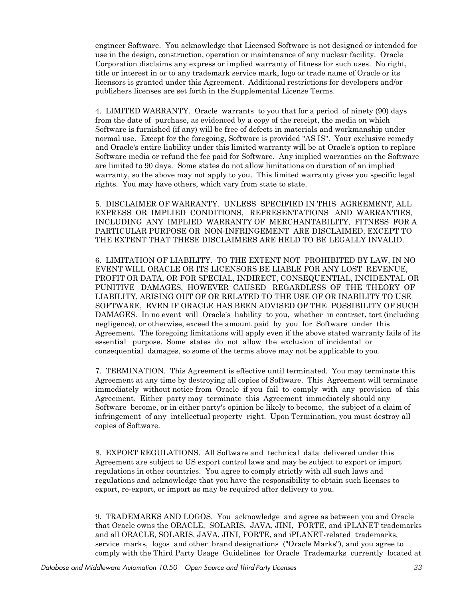engineer Software. You acknowledge that Licensed Software is not designed or intended for use in the design, construction, operation or maintenance of any nuclear facility. Oracle Corporation disclaims any express or implied warranty of fitness for such uses. No right, title or interest in or to any trademark service mark, logo or trade name of Oracle or its licensors is granted under this Agreement. Additional restrictions for developers and/or publishers licenses are set forth in the Supplemental License Terms.

4. LIMITED WARRANTY. Oracle warrants to you that for a period of ninety (90) days from the date of purchase, as evidenced by a copy of the receipt, the media on which Software is furnished (if any) will be free of defects in materials and workmanship under normal use. Except for the foregoing, Software is provided "AS IS". Your exclusive remedy and Oracle's entire liability under this limited warranty will be at Oracle's option to replace Software media or refund the fee paid for Software. Any implied warranties on the Software are limited to 90 days. Some states do not allow limitations on duration of an implied warranty, so the above may not apply to you. This limited warranty gives you specific legal rights. You may have others, which vary from state to state.

5. DISCLAIMER OF WARRANTY. UNLESS SPECIFIED IN THIS AGREEMENT, ALL EXPRESS OR IMPLIED CONDITIONS, REPRESENTATIONS AND WARRANTIES, INCLUDING ANY IMPLIED WARRANTY OF MERCHANTABILITY, FITNESS FOR A PARTICULAR PURPOSE OR NON-INFRINGEMENT ARE DISCLAIMED, EXCEPT TO THE EXTENT THAT THESE DISCLAIMERS ARE HELD TO BE LEGALLY INVALID.

6. LIMITATION OF LIABILITY. TO THE EXTENT NOT PROHIBITED BY LAW, IN NO EVENT WILL ORACLE OR ITS LICENSORS BE LIABLE FOR ANY LOST REVENUE, PROFIT OR DATA, OR FOR SPECIAL, INDIRECT, CONSEQUENTIAL, INCIDENTAL OR PUNITIVE DAMAGES, HOWEVER CAUSED REGARDLESS OF THE THEORY OF LIABILITY, ARISING OUT OF OR RELATED TO THE USE OF OR INABILITY TO USE SOFTWARE, EVEN IF ORACLE HAS BEEN ADVISED OF THE POSSIBILITY OF SUCH DAMAGES. In no event will Oracle's liability to you, whether in contract, tort (including negligence), or otherwise, exceed the amount paid by you for Software under this Agreement. The foregoing limitations will apply even if the above stated warranty fails of its essential purpose. Some states do not allow the exclusion of incidental or consequential damages, so some of the terms above may not be applicable to you.

7. TERMINATION. This Agreement is effective until terminated. You may terminate this Agreement at any time by destroying all copies of Software. This Agreement will terminate immediately without notice from Oracle if you fail to comply with any provision of this Agreement. Either party may terminate this Agreement immediately should any Software become, or in either party's opinion be likely to become, the subject of a claim of infringement of any intellectual property right. Upon Termination, you must destroy all copies of Software.

8. EXPORT REGULATIONS. All Software and technical data delivered under this Agreement are subject to US export control laws and may be subject to export or import regulations in other countries. You agree to comply strictly with all such laws and regulations and acknowledge that you have the responsibility to obtain such licenses to export, re-export, or import as may be required after delivery to you.

9. TRADEMARKS AND LOGOS. You acknowledge and agree as between you and Oracle that Oracle owns the ORACLE, SOLARIS, JAVA, JINI, FORTE, and iPLANET trademarks and all ORACLE, SOLARIS, JAVA, JINI, FORTE, and iPLANET-related trademarks, service marks, logos and other brand designations ("Oracle Marks"), and you agree to comply with the Third Party Usage Guidelines for Oracle Trademarks currently located at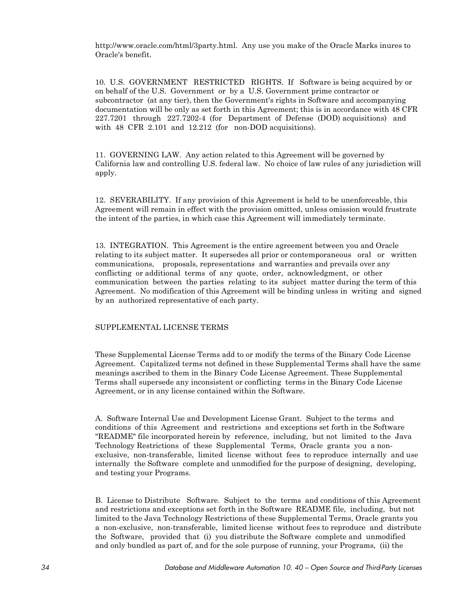http://www.oracle.com/html/3party.html. Any use you make of the Oracle Marks inures to Oracle's benefit.

10. U.S. GOVERNMENT RESTRICTED RIGHTS. If Software is being acquired by or on behalf of the U.S. Government or by a U.S. Government prime contractor or subcontractor (at any tier), then the Government's rights in Software and accompanying documentation will be only as set forth in this Agreement; this is in accordance with 48 CFR 227.7201 through 227.7202-4 (for Department of Defense (DOD) acquisitions) and with 48 CFR 2.101 and 12.212 (for non-DOD acquisitions).

11. GOVERNING LAW. Any action related to this Agreement will be governed by California law and controlling U.S. federal law. No choice of law rules of any jurisdiction will apply.

12. SEVERABILITY. If any provision of this Agreement is held to be unenforceable, this Agreement will remain in effect with the provision omitted, unless omission would frustrate the intent of the parties, in which case this Agreement will immediately terminate.

13. INTEGRATION. This Agreement is the entire agreement between you and Oracle relating to its subject matter. It supersedes all prior or contemporaneous oral or written communications, proposals, representations and warranties and prevails over any conflicting or additional terms of any quote, order, acknowledgment, or other communication between the parties relating to its subject matter during the term of this Agreement. No modification of this Agreement will be binding unless in writing and signed by an authorized representative of each party.

#### SUPPLEMENTAL LICENSE TERMS

These Supplemental License Terms add to or modify the terms of the Binary Code License Agreement. Capitalized terms not defined in these Supplemental Terms shall have the same meanings ascribed to them in the Binary Code License Agreement. These Supplemental Terms shall supersede any inconsistent or conflicting terms in the Binary Code License Agreement, or in any license contained within the Software.

A. Software Internal Use and Development License Grant. Subject to the terms and conditions of this Agreement and restrictions and exceptions set forth in the Software "README" file incorporated herein by reference, including, but not limited to the Java Technology Restrictions of these Supplemental Terms, Oracle grants you a nonexclusive, non-transferable, limited license without fees to reproduce internally and use internally the Software complete and unmodified for the purpose of designing, developing, and testing your Programs.

B. License to Distribute Software. Subject to the terms and conditions of this Agreement and restrictions and exceptions set forth in the Software README file, including, but not limited to the Java Technology Restrictions of these Supplemental Terms, Oracle grants you a non-exclusive, non-transferable, limited license without fees to reproduce and distribute the Software, provided that (i) you distribute the Software complete and unmodified and only bundled as part of, and for the sole purpose of running, your Programs, (ii) the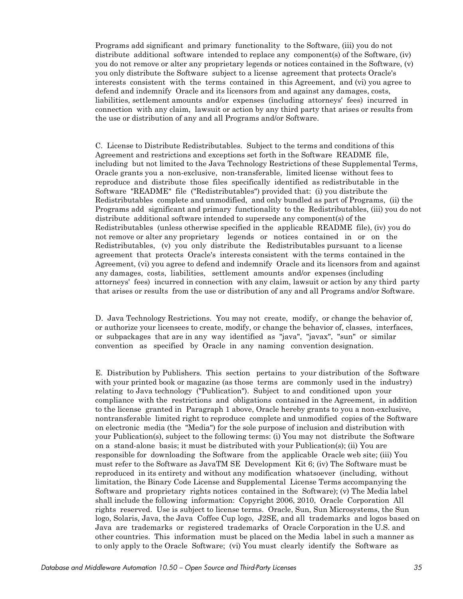Programs add significant and primary functionality to the Software, (iii) you do not distribute additional software intended to replace any component(s) of the Software, (iv) you do not remove or alter any proprietary legends or notices contained in the Software, (v) you only distribute the Software subject to a license agreement that protects Oracle's interests consistent with the terms contained in this Agreement, and (vi) you agree to defend and indemnify Oracle and its licensors from and against any damages, costs, liabilities, settlement amounts and/or expenses (including attorneys' fees) incurred in connection with any claim, lawsuit or action by any third party that arises or results from the use or distribution of any and all Programs and/or Software.

C. License to Distribute Redistributables. Subject to the terms and conditions of this Agreement and restrictions and exceptions set forth in the Software README file, including but not limited to the Java Technology Restrictions of these Supplemental Terms, Oracle grants you a non-exclusive, non-transferable, limited license without fees to reproduce and distribute those files specifically identified as redistributable in the Software "README" file ("Redistributables") provided that: (i) you distribute the Redistributables complete and unmodified, and only bundled as part of Programs, (ii) the Programs add significant and primary functionality to the Redistributables, (iii) you do not distribute additional software intended to supersede any component(s) of the Redistributables (unless otherwise specified in the applicable README file), (iv) you do not remove or alter any proprietary legends or notices contained in or on the Redistributables, (v) you only distribute the Redistributables pursuant to a license agreement that protects Oracle's interests consistent with the terms contained in the Agreement, (vi) you agree to defend and indemnify Oracle and its licensors from and against any damages, costs, liabilities, settlement amounts and/or expenses (including attorneys' fees) incurred in connection with any claim, lawsuit or action by any third party that arises or results from the use or distribution of any and all Programs and/or Software.

D. Java Technology Restrictions. You may not create, modify, or change the behavior of, or authorize your licensees to create, modify, or change the behavior of, classes, interfaces, or subpackages that are in any way identified as "java", "javax", "sun" or similar convention as specified by Oracle in any naming convention designation.

E. Distribution by Publishers. This section pertains to your distribution of the Software with your printed book or magazine (as those terms are commonly used in the industry) relating to Java technology ("Publication"). Subject to and conditioned upon your compliance with the restrictions and obligations contained in the Agreement, in addition to the license granted in Paragraph 1 above, Oracle hereby grants to you a non-exclusive, nontransferable limited right to reproduce complete and unmodified copies of the Software on electronic media (the "Media") for the sole purpose of inclusion and distribution with your Publication(s), subject to the following terms: (i) You may not distribute the Software on a stand-alone basis; it must be distributed with your Publication(s); (ii) You are responsible for downloading the Software from the applicable Oracle web site; (iii) You must refer to the Software as JavaTM SE Development Kit 6; (iv) The Software must be reproduced in its entirety and without any modification whatsoever (including, without limitation, the Binary Code License and Supplemental License Terms accompanying the Software and proprietary rights notices contained in the Software); (v) The Media label shall include the following information: Copyright 2006, 2010, Oracle Corporation All rights reserved. Use is subject to license terms. Oracle, Sun, Sun Microsystems, the Sun logo, Solaris, Java, the Java Coffee Cup logo, J2SE, and all trademarks and logos based on Java are trademarks or registered trademarks of Oracle Corporation in the U.S. and other countries. This information must be placed on the Media label in such a manner as to only apply to the Oracle Software; (vi) You must clearly identify the Software as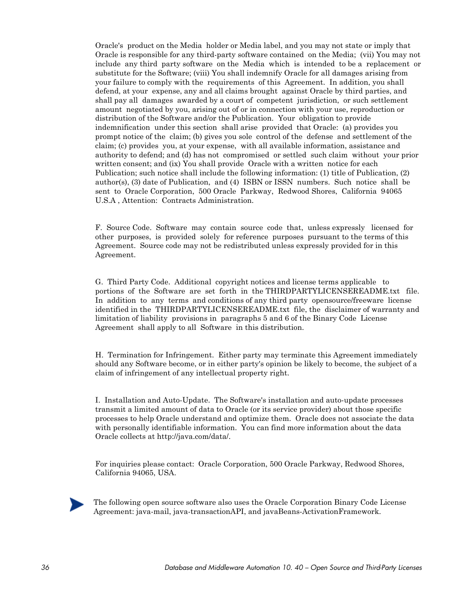Oracle's product on the Media holder or Media label, and you may not state or imply that Oracle is responsible for any third-party software contained on the Media; (vii) You may not include any third party software on the Media which is intended to be a replacement or substitute for the Software; (viii) You shall indemnify Oracle for all damages arising from your failure to comply with the requirements of this Agreement. In addition, you shall defend, at your expense, any and all claims brought against Oracle by third parties, and shall pay all damages awarded by a court of competent jurisdiction, or such settlement amount negotiated by you, arising out of or in connection with your use, reproduction or distribution of the Software and/or the Publication. Your obligation to provide indemnification under this section shall arise provided that Oracle: (a) provides you prompt notice of the claim; (b) gives you sole control of the defense and settlement of the claim; (c) provides you, at your expense, with all available information, assistance and authority to defend; and (d) has not compromised or settled such claim without your prior written consent; and (ix) You shall provide Oracle with a written notice for each Publication; such notice shall include the following information: (1) title of Publication, (2) author(s), (3) date of Publication, and (4) ISBN or ISSN numbers. Such notice shall be sent to Oracle Corporation, 500 Oracle Parkway, Redwood Shores, California 94065 U.S.A , Attention: Contracts Administration.

F. Source Code. Software may contain source code that, unless expressly licensed for other purposes, is provided solely for reference purposes pursuant to the terms of this Agreement. Source code may not be redistributed unless expressly provided for in this Agreement.

G. Third Party Code. Additional copyright notices and license terms applicable to portions of the Software are set forth in the THIRDPARTYLICENSEREADME.txt file. In addition to any terms and conditions of any third party opensource/freeware license identified in the THIRDPARTYLICENSEREADME.txt file, the disclaimer of warranty and limitation of liability provisions in paragraphs 5 and 6 of the Binary Code License Agreement shall apply to all Software in this distribution.

H. Termination for Infringement. Either party may terminate this Agreement immediately should any Software become, or in either party's opinion be likely to become, the subject of a claim of infringement of any intellectual property right.

I. Installation and Auto-Update. The Software's installation and auto-update processes transmit a limited amount of data to Oracle (or its service provider) about those specific processes to help Oracle understand and optimize them. Oracle does not associate the data with personally identifiable information. You can find more information about the data Oracle collects at http://java.com/data/.

For inquiries please contact: Oracle Corporation, 500 Oracle Parkway, Redwood Shores, California 94065, USA.



The following open source software also uses the [Oracle Corporation Binary Code License](#page-31-2)  [Agreement:](#page-31-2) java-mail, java-transactionAPI, and javaBeans-ActivationFramework.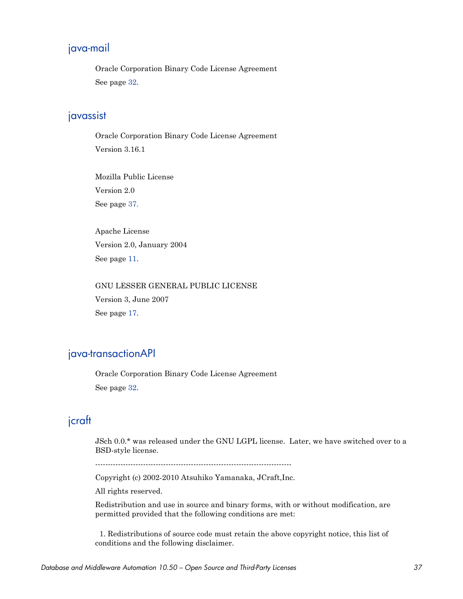# java-mail

[Oracle Corporation Binary Code License Agreement](#page-31-0) See page [32.](#page-31-0)

### javassist

[Oracle Corporation Binary Code License Agreement](#page-31-0) Version 3.16.1

<span id="page-36-0"></span>Mozilla Public License Version 2.0 See page [37.](#page-36-0)

[Apache License](#page-10-0) Version 2.0, January 2004 See page [11.](#page-10-0)

[GNU LESSER GENERAL PUBLIC LICENSE](#page-16-0) Version 3, June 2007 See page [17.](#page-16-0)

### java-transactionAPI

[Oracle Corporation Binary Code License Agreement](#page-31-0) See page [32.](#page-31-0)

# jcraft

JSch 0.0.\* was released under the GNU LGPL license. Later, we have switched over to a BSD-style license.

------------------------------------------------------------------------------

Copyright (c) 2002-2010 Atsuhiko Yamanaka, JCraft,Inc.

All rights reserved.

Redistribution and use in source and binary forms, with or without modification, are permitted provided that the following conditions are met:

 1. Redistributions of source code must retain the above copyright notice, this list of conditions and the following disclaimer.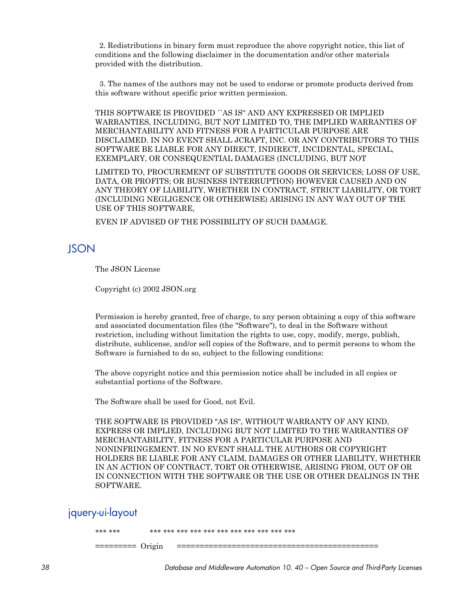2. Redistributions in binary form must reproduce the above copyright notice, this list of conditions and the following disclaimer in the documentation and/or other materials provided with the distribution.

 3. The names of the authors may not be used to endorse or promote products derived from this software without specific prior written permission.

THIS SOFTWARE IS PROVIDED ``AS IS'' AND ANY EXPRESSED OR IMPLIED WARRANTIES, INCLUDING, BUT NOT LIMITED TO, THE IMPLIED WARRANTIES OF MERCHANTABILITY AND FITNESS FOR A PARTICULAR PURPOSE ARE DISCLAIMED. IN NO EVENT SHALL JCRAFT, INC. OR ANY CONTRIBUTORS TO THIS SOFTWARE BE LIABLE FOR ANY DIRECT, INDIRECT, INCIDENTAL, SPECIAL, EXEMPLARY, OR CONSEQUENTIAL DAMAGES (INCLUDING, BUT NOT

LIMITED TO, PROCUREMENT OF SUBSTITUTE GOODS OR SERVICES; LOSS OF USE, DATA, OR PROFITS; OR BUSINESS INTERRUPTION) HOWEVER CAUSED AND ON ANY THEORY OF LIABILITY, WHETHER IN CONTRACT, STRICT LIABILITY, OR TORT (INCLUDING NEGLIGENCE OR OTHERWISE) ARISING IN ANY WAY OUT OF THE USE OF THIS SOFTWARE,

EVEN IF ADVISED OF THE POSSIBILITY OF SUCH DAMAGE.

### JSON

The JSON License

Copyright (c) 2002 JSON.org

Permission is hereby granted, free of charge, to any person obtaining a copy of this software and associated documentation files (the "Software"), to deal in the Software without restriction, including without limitation the rights to use, copy, modify, merge, publish, distribute, sublicense, and/or sell copies of the Software, and to permit persons to whom the Software is furnished to do so, subject to the following conditions:

The above copyright notice and this permission notice shall be included in all copies or substantial portions of the Software.

The Software shall be used for Good, not Evil.

THE SOFTWARE IS PROVIDED "AS IS", WITHOUT WARRANTY OF ANY KIND, EXPRESS OR IMPLIED, INCLUDING BUT NOT LIMITED TO THE WARRANTIES OF MERCHANTABILITY, FITNESS FOR A PARTICULAR PURPOSE AND NONINFRINGEMENT. IN NO EVENT SHALL THE AUTHORS OR COPYRIGHT HOLDERS BE LIABLE FOR ANY CLAIM, DAMAGES OR OTHER LIABILITY, WHETHER IN AN ACTION OF CONTRACT, TORT OR OTHERWISE, ARISING FROM, OUT OF OR IN CONNECTION WITH THE SOFTWARE OR THE USE OR OTHER DEALINGS IN THE SOFTWARE.

### jquery-ui-layout

| *** ***          |  |  |  |  |  |
|------------------|--|--|--|--|--|
| $====== 0$ rigin |  |  |  |  |  |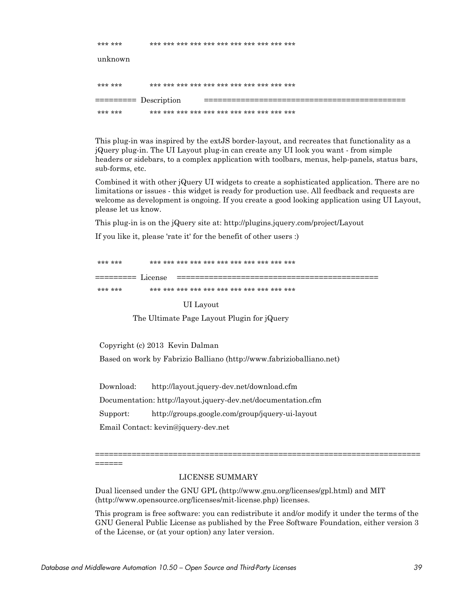\*\*\* \*\*\* \*\*\* \*\*\* \*\*\* \*\*\* \*\*\* \*\*\* \*\*\* \*\*\* \*\*\* \*\*\* \*\*\* unknown \*\*\* \*\*\* \*\*\* \*\*\* \*\*\* \*\*\* \*\*\* \*\*\* \*\*\* \*\*\* \*\*\* \*\*\* \*\*\*  $=======$   $Description$ \*\*\* \*\*\* \*\*\* \*\*\* \*\*\* \*\*\* \*\*\* \*\*\* \*\*\* \*\*\* \*\*\* \*\*\* \*\*\*

This plug-in was inspired by the extJS border-layout, and recreates that functionality as a jQuery plug-in. The UI Layout plug-in can create any UI look you want - from simple headers or sidebars, to a complex application with toolbars, menus, help-panels, status bars, sub-forms, etc.

Combined it with other jQuery UI widgets to create a sophisticated application. There are no limitations or issues - this widget is ready for production use. All feedback and requests are welcome as development is ongoing. If you create a good looking application using UI Layout, please let us know.

This plug-in is on the jQuery site at: http://plugins.jquery.com/project/Layout

If you like it, please 'rate it' for the benefit of other users :)

\*\*\* \*\*\* \*\*\* \*\*\* \*\*\* \*\*\* \*\*\* \*\*\* \*\*\* \*\*\* \*\*\* \*\*\* \*\*\* ========= License ============================================ \*\*\* \*\*\* \*\*\* \*\*\* \*\*\* \*\*\* \*\*\* \*\*\* \*\*\* \*\*\* \*\*\* \*\*\* \*\*\*

UI Layout

The Ultimate Page Layout Plugin for jQuery

Copyright (c) 2013 Kevin Dalman

Based on work by Fabrizio Balliano (http://www.fabrizioballiano.net)

Download: http://layout.jquery-dev.net/download.cfm

Documentation: http://layout.jquery-dev.net/documentation.cfm

Support: http://groups.google.com/group/jquery-ui-layout

Email Contact: kevin@jquery-dev.net

======================================================================= ======

#### LICENSE SUMMARY

Dual licensed under the GNU GPL (http://www.gnu.org/licenses/gpl.html) and MIT (http://www.opensource.org/licenses/mit-license.php) licenses.

This program is free software: you can redistribute it and/or modify it under the terms of the GNU General Public License as published by the Free Software Foundation, either version 3 of the License, or (at your option) any later version.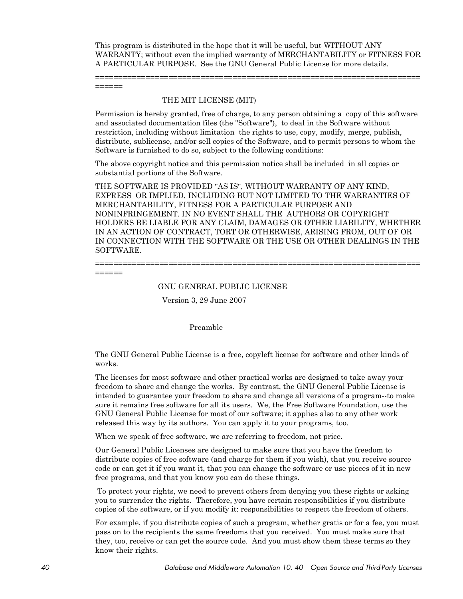This program is distributed in the hope that it will be useful, but WITHOUT ANY WARRANTY; without even the implied warranty of MERCHANTABILITY or FITNESS FOR A PARTICULAR PURPOSE. See the GNU General Public License for more details.

======================================================================= ======

### THE MIT LICENSE (MIT)

Permission is hereby granted, free of charge, to any person obtaining a copy of this software and associated documentation files (the "Software"), to deal in the Software without restriction, including without limitation the rights to use, copy, modify, merge, publish, distribute, sublicense, and/or sell copies of the Software, and to permit persons to whom the Software is furnished to do so, subject to the following conditions:

The above copyright notice and this permission notice shall be included in all copies or substantial portions of the Software.

THE SOFTWARE IS PROVIDED "AS IS", WITHOUT WARRANTY OF ANY KIND, EXPRESS OR IMPLIED, INCLUDING BUT NOT LIMITED TO THE WARRANTIES OF MERCHANTABILITY, FITNESS FOR A PARTICULAR PURPOSE AND NONINFRINGEMENT. IN NO EVENT SHALL THE AUTHORS OR COPYRIGHT HOLDERS BE LIABLE FOR ANY CLAIM, DAMAGES OR OTHER LIABILITY, WHETHER IN AN ACTION OF CONTRACT, TORT OR OTHERWISE, ARISING FROM, OUT OF OR IN CONNECTION WITH THE SOFTWARE OR THE USE OR OTHER DEALINGS IN THE SOFTWARE.

=======================================================================

======

# GNU GENERAL PUBLIC LICENSE

Version 3, 29 June 2007

#### Preamble

The GNU General Public License is a free, copyleft license for software and other kinds of works.

The licenses for most software and other practical works are designed to take away your freedom to share and change the works. By contrast, the GNU General Public License is intended to guarantee your freedom to share and change all versions of a program--to make sure it remains free software for all its users. We, the Free Software Foundation, use the GNU General Public License for most of our software; it applies also to any other work released this way by its authors. You can apply it to your programs, too.

When we speak of free software, we are referring to freedom, not price.

Our General Public Licenses are designed to make sure that you have the freedom to distribute copies of free software (and charge for them if you wish), that you receive source code or can get it if you want it, that you can change the software or use pieces of it in new free programs, and that you know you can do these things.

To protect your rights, we need to prevent others from denying you these rights or asking you to surrender the rights. Therefore, you have certain responsibilities if you distribute copies of the software, or if you modify it: responsibilities to respect the freedom of others.

For example, if you distribute copies of such a program, whether gratis or for a fee, you must pass on to the recipients the same freedoms that you received. You must make sure that they, too, receive or can get the source code. And you must show them these terms so they know their rights.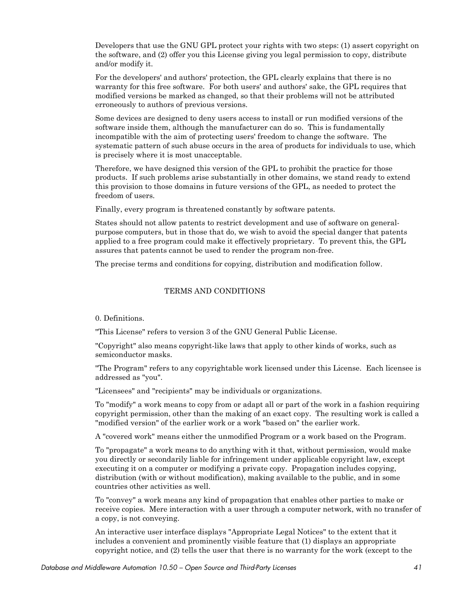Developers that use the GNU GPL protect your rights with two steps: (1) assert copyright on the software, and (2) offer you this License giving you legal permission to copy, distribute and/or modify it.

For the developers' and authors' protection, the GPL clearly explains that there is no warranty for this free software. For both users' and authors' sake, the GPL requires that modified versions be marked as changed, so that their problems will not be attributed erroneously to authors of previous versions.

Some devices are designed to deny users access to install or run modified versions of the software inside them, although the manufacturer can do so. This is fundamentally incompatible with the aim of protecting users' freedom to change the software. The systematic pattern of such abuse occurs in the area of products for individuals to use, which is precisely where it is most unacceptable.

Therefore, we have designed this version of the GPL to prohibit the practice for those products. If such problems arise substantially in other domains, we stand ready to extend this provision to those domains in future versions of the GPL, as needed to protect the freedom of users.

Finally, every program is threatened constantly by software patents.

States should not allow patents to restrict development and use of software on generalpurpose computers, but in those that do, we wish to avoid the special danger that patents applied to a free program could make it effectively proprietary. To prevent this, the GPL assures that patents cannot be used to render the program non-free.

The precise terms and conditions for copying, distribution and modification follow.

### TERMS AND CONDITIONS

0. Definitions.

"This License" refers to version 3 of the GNU General Public License.

"Copyright" also means copyright-like laws that apply to other kinds of works, such as semiconductor masks.

"The Program" refers to any copyrightable work licensed under this License. Each licensee is addressed as "you".

"Licensees" and "recipients" may be individuals or organizations.

To "modify" a work means to copy from or adapt all or part of the work in a fashion requiring copyright permission, other than the making of an exact copy. The resulting work is called a "modified version" of the earlier work or a work "based on" the earlier work.

A "covered work" means either the unmodified Program or a work based on the Program.

To "propagate" a work means to do anything with it that, without permission, would make you directly or secondarily liable for infringement under applicable copyright law, except executing it on a computer or modifying a private copy. Propagation includes copying, distribution (with or without modification), making available to the public, and in some countries other activities as well.

To "convey" a work means any kind of propagation that enables other parties to make or receive copies. Mere interaction with a user through a computer network, with no transfer of a copy, is not conveying.

An interactive user interface displays "Appropriate Legal Notices" to the extent that it includes a convenient and prominently visible feature that (1) displays an appropriate copyright notice, and (2) tells the user that there is no warranty for the work (except to the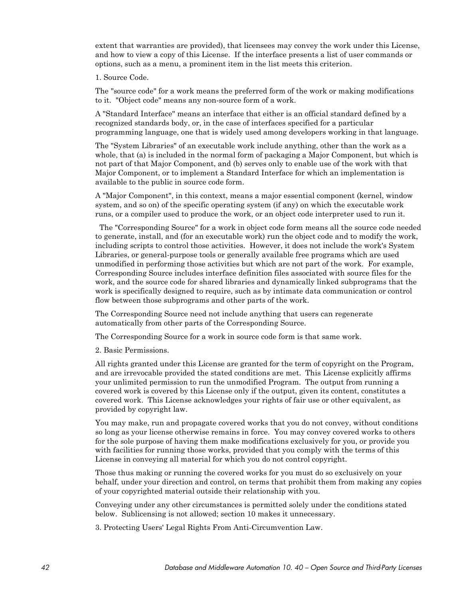extent that warranties are provided), that licensees may convey the work under this License, and how to view a copy of this License. If the interface presents a list of user commands or options, such as a menu, a prominent item in the list meets this criterion.

1. Source Code.

The "source code" for a work means the preferred form of the work or making modifications to it. "Object code" means any non-source form of a work.

A "Standard Interface" means an interface that either is an official standard defined by a recognized standards body, or, in the case of interfaces specified for a particular programming language, one that is widely used among developers working in that language.

The "System Libraries" of an executable work include anything, other than the work as a whole, that (a) is included in the normal form of packaging a Major Component, but which is not part of that Major Component, and (b) serves only to enable use of the work with that Major Component, or to implement a Standard Interface for which an implementation is available to the public in source code form.

A "Major Component", in this context, means a major essential component (kernel, window system, and so on) of the specific operating system (if any) on which the executable work runs, or a compiler used to produce the work, or an object code interpreter used to run it.

 The "Corresponding Source" for a work in object code form means all the source code needed to generate, install, and (for an executable work) run the object code and to modify the work, including scripts to control those activities. However, it does not include the work's System Libraries, or general-purpose tools or generally available free programs which are used unmodified in performing those activities but which are not part of the work. For example, Corresponding Source includes interface definition files associated with source files for the work, and the source code for shared libraries and dynamically linked subprograms that the work is specifically designed to require, such as by intimate data communication or control flow between those subprograms and other parts of the work.

The Corresponding Source need not include anything that users can regenerate automatically from other parts of the Corresponding Source.

The Corresponding Source for a work in source code form is that same work.

2. Basic Permissions.

All rights granted under this License are granted for the term of copyright on the Program, and are irrevocable provided the stated conditions are met. This License explicitly affirms your unlimited permission to run the unmodified Program. The output from running a covered work is covered by this License only if the output, given its content, constitutes a covered work. This License acknowledges your rights of fair use or other equivalent, as provided by copyright law.

You may make, run and propagate covered works that you do not convey, without conditions so long as your license otherwise remains in force. You may convey covered works to others for the sole purpose of having them make modifications exclusively for you, or provide you with facilities for running those works, provided that you comply with the terms of this License in conveying all material for which you do not control copyright.

Those thus making or running the covered works for you must do so exclusively on your behalf, under your direction and control, on terms that prohibit them from making any copies of your copyrighted material outside their relationship with you.

Conveying under any other circumstances is permitted solely under the conditions stated below. Sublicensing is not allowed; section 10 makes it unnecessary.

3. Protecting Users' Legal Rights From Anti-Circumvention Law.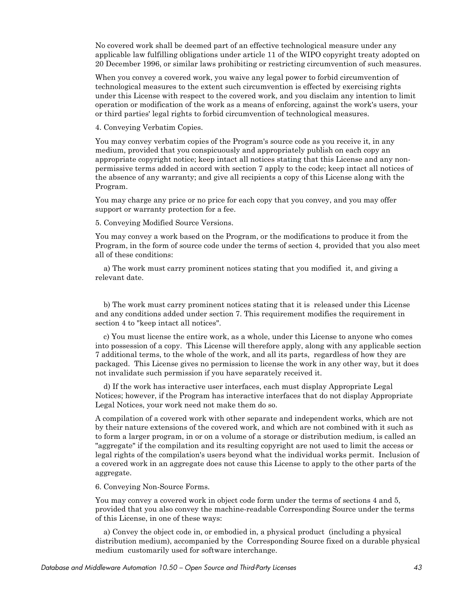No covered work shall be deemed part of an effective technological measure under any applicable law fulfilling obligations under article 11 of the WIPO copyright treaty adopted on 20 December 1996, or similar laws prohibiting or restricting circumvention of such measures.

When you convey a covered work, you waive any legal power to forbid circumvention of technological measures to the extent such circumvention is effected by exercising rights under this License with respect to the covered work, and you disclaim any intention to limit operation or modification of the work as a means of enforcing, against the work's users, your or third parties' legal rights to forbid circumvention of technological measures.

4. Conveying Verbatim Copies.

You may convey verbatim copies of the Program's source code as you receive it, in any medium, provided that you conspicuously and appropriately publish on each copy an appropriate copyright notice; keep intact all notices stating that this License and any nonpermissive terms added in accord with section 7 apply to the code; keep intact all notices of the absence of any warranty; and give all recipients a copy of this License along with the Program.

You may charge any price or no price for each copy that you convey, and you may offer support or warranty protection for a fee.

5. Conveying Modified Source Versions.

You may convey a work based on the Program, or the modifications to produce it from the Program, in the form of source code under the terms of section 4, provided that you also meet all of these conditions:

 a) The work must carry prominent notices stating that you modified it, and giving a relevant date.

 b) The work must carry prominent notices stating that it is released under this License and any conditions added under section 7. This requirement modifies the requirement in section 4 to "keep intact all notices".

 c) You must license the entire work, as a whole, under this License to anyone who comes into possession of a copy. This License will therefore apply, along with any applicable section 7 additional terms, to the whole of the work, and all its parts, regardless of how they are packaged. This License gives no permission to license the work in any other way, but it does not invalidate such permission if you have separately received it.

 d) If the work has interactive user interfaces, each must display Appropriate Legal Notices; however, if the Program has interactive interfaces that do not display Appropriate Legal Notices, your work need not make them do so.

A compilation of a covered work with other separate and independent works, which are not by their nature extensions of the covered work, and which are not combined with it such as to form a larger program, in or on a volume of a storage or distribution medium, is called an "aggregate" if the compilation and its resulting copyright are not used to limit the access or legal rights of the compilation's users beyond what the individual works permit. Inclusion of a covered work in an aggregate does not cause this License to apply to the other parts of the aggregate.

6. Conveying Non-Source Forms.

You may convey a covered work in object code form under the terms of sections 4 and 5, provided that you also convey the machine-readable Corresponding Source under the terms of this License, in one of these ways:

 a) Convey the object code in, or embodied in, a physical product (including a physical distribution medium), accompanied by the Corresponding Source fixed on a durable physical medium customarily used for software interchange.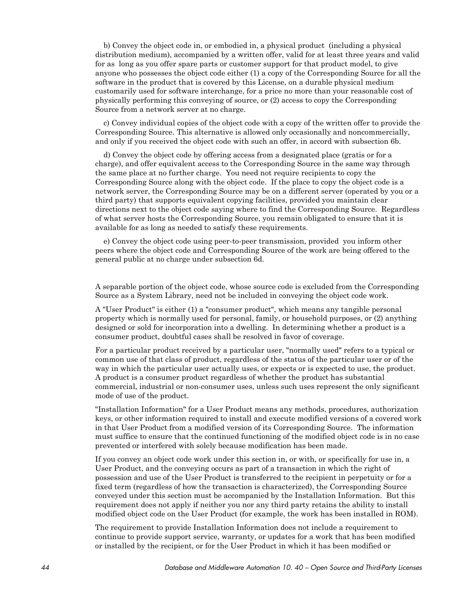b) Convey the object code in, or embodied in, a physical product (including a physical distribution medium), accompanied by a written offer, valid for at least three years and valid for as long as you offer spare parts or customer support for that product model, to give anyone who possesses the object code either (1) a copy of the Corresponding Source for all the software in the product that is covered by this License, on a durable physical medium customarily used for software interchange, for a price no more than your reasonable cost of physically performing this conveying of source, or (2) access to copy the Corresponding Source from a network server at no charge.

 c) Convey individual copies of the object code with a copy of the written offer to provide the Corresponding Source. This alternative is allowed only occasionally and noncommercially, and only if you received the object code with such an offer, in accord with subsection 6b.

 d) Convey the object code by offering access from a designated place (gratis or for a charge), and offer equivalent access to the Corresponding Source in the same way through the same place at no further charge. You need not require recipients to copy the Corresponding Source along with the object code. If the place to copy the object code is a network server, the Corresponding Source may be on a different server (operated by you or a third party) that supports equivalent copying facilities, provided you maintain clear directions next to the object code saying where to find the Corresponding Source. Regardless of what server hosts the Corresponding Source, you remain obligated to ensure that it is available for as long as needed to satisfy these requirements.

 e) Convey the object code using peer-to-peer transmission, provided you inform other peers where the object code and Corresponding Source of the work are being offered to the general public at no charge under subsection 6d.

A separable portion of the object code, whose source code is excluded from the Corresponding Source as a System Library, need not be included in conveying the object code work.

A "User Product" is either (1) a "consumer product", which means any tangible personal property which is normally used for personal, family, or household purposes, or (2) anything designed or sold for incorporation into a dwelling. In determining whether a product is a consumer product, doubtful cases shall be resolved in favor of coverage.

For a particular product received by a particular user, "normally used" refers to a typical or common use of that class of product, regardless of the status of the particular user or of the way in which the particular user actually uses, or expects or is expected to use, the product. A product is a consumer product regardless of whether the product has substantial commercial, industrial or non-consumer uses, unless such uses represent the only significant mode of use of the product.

"Installation Information" for a User Product means any methods, procedures, authorization keys, or other information required to install and execute modified versions of a covered work in that User Product from a modified version of its Corresponding Source. The information must suffice to ensure that the continued functioning of the modified object code is in no case prevented or interfered with solely because modification has been made.

If you convey an object code work under this section in, or with, or specifically for use in, a User Product, and the conveying occurs as part of a transaction in which the right of possession and use of the User Product is transferred to the recipient in perpetuity or for a fixed term (regardless of how the transaction is characterized), the Corresponding Source conveyed under this section must be accompanied by the Installation Information. But this requirement does not apply if neither you nor any third party retains the ability to install modified object code on the User Product (for example, the work has been installed in ROM).

The requirement to provide Installation Information does not include a requirement to continue to provide support service, warranty, or updates for a work that has been modified or installed by the recipient, or for the User Product in which it has been modified or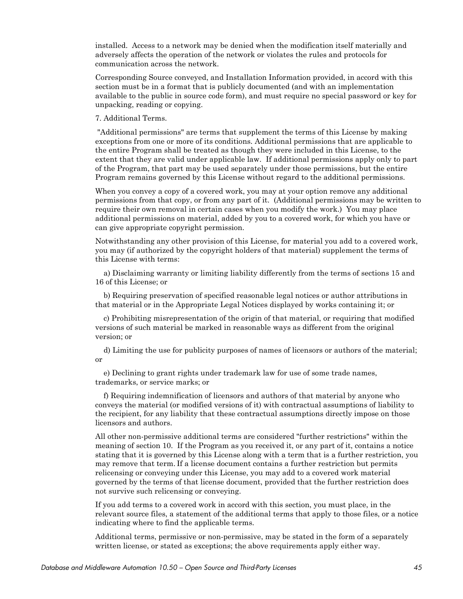installed. Access to a network may be denied when the modification itself materially and adversely affects the operation of the network or violates the rules and protocols for communication across the network.

Corresponding Source conveyed, and Installation Information provided, in accord with this section must be in a format that is publicly documented (and with an implementation available to the public in source code form), and must require no special password or key for unpacking, reading or copying.

7. Additional Terms.

"Additional permissions" are terms that supplement the terms of this License by making exceptions from one or more of its conditions. Additional permissions that are applicable to the entire Program shall be treated as though they were included in this License, to the extent that they are valid under applicable law. If additional permissions apply only to part of the Program, that part may be used separately under those permissions, but the entire Program remains governed by this License without regard to the additional permissions.

When you convey a copy of a covered work, you may at your option remove any additional permissions from that copy, or from any part of it. (Additional permissions may be written to require their own removal in certain cases when you modify the work.) You may place additional permissions on material, added by you to a covered work, for which you have or can give appropriate copyright permission.

Notwithstanding any other provision of this License, for material you add to a covered work, you may (if authorized by the copyright holders of that material) supplement the terms of this License with terms:

 a) Disclaiming warranty or limiting liability differently from the terms of sections 15 and 16 of this License; or

 b) Requiring preservation of specified reasonable legal notices or author attributions in that material or in the Appropriate Legal Notices displayed by works containing it; or

 c) Prohibiting misrepresentation of the origin of that material, or requiring that modified versions of such material be marked in reasonable ways as different from the original version; or

 d) Limiting the use for publicity purposes of names of licensors or authors of the material; or

 e) Declining to grant rights under trademark law for use of some trade names, trademarks, or service marks; or

 f) Requiring indemnification of licensors and authors of that material by anyone who conveys the material (or modified versions of it) with contractual assumptions of liability to the recipient, for any liability that these contractual assumptions directly impose on those licensors and authors.

All other non-permissive additional terms are considered "further restrictions" within the meaning of section 10. If the Program as you received it, or any part of it, contains a notice stating that it is governed by this License along with a term that is a further restriction, you may remove that term. If a license document contains a further restriction but permits relicensing or conveying under this License, you may add to a covered work material governed by the terms of that license document, provided that the further restriction does not survive such relicensing or conveying.

If you add terms to a covered work in accord with this section, you must place, in the relevant source files, a statement of the additional terms that apply to those files, or a notice indicating where to find the applicable terms.

Additional terms, permissive or non-permissive, may be stated in the form of a separately written license, or stated as exceptions; the above requirements apply either way.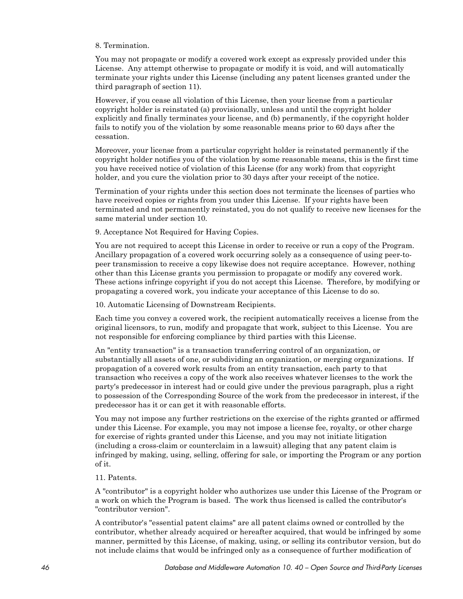#### 8. Termination.

You may not propagate or modify a covered work except as expressly provided under this License. Any attempt otherwise to propagate or modify it is void, and will automatically terminate your rights under this License (including any patent licenses granted under the third paragraph of section 11).

However, if you cease all violation of this License, then your license from a particular copyright holder is reinstated (a) provisionally, unless and until the copyright holder explicitly and finally terminates your license, and (b) permanently, if the copyright holder fails to notify you of the violation by some reasonable means prior to 60 days after the cessation.

Moreover, your license from a particular copyright holder is reinstated permanently if the copyright holder notifies you of the violation by some reasonable means, this is the first time you have received notice of violation of this License (for any work) from that copyright holder, and you cure the violation prior to 30 days after your receipt of the notice.

Termination of your rights under this section does not terminate the licenses of parties who have received copies or rights from you under this License. If your rights have been terminated and not permanently reinstated, you do not qualify to receive new licenses for the same material under section 10.

9. Acceptance Not Required for Having Copies.

You are not required to accept this License in order to receive or run a copy of the Program. Ancillary propagation of a covered work occurring solely as a consequence of using peer-topeer transmission to receive a copy likewise does not require acceptance. However, nothing other than this License grants you permission to propagate or modify any covered work. These actions infringe copyright if you do not accept this License. Therefore, by modifying or propagating a covered work, you indicate your acceptance of this License to do so.

10. Automatic Licensing of Downstream Recipients.

Each time you convey a covered work, the recipient automatically receives a license from the original licensors, to run, modify and propagate that work, subject to this License. You are not responsible for enforcing compliance by third parties with this License.

An "entity transaction" is a transaction transferring control of an organization, or substantially all assets of one, or subdividing an organization, or merging organizations. If propagation of a covered work results from an entity transaction, each party to that transaction who receives a copy of the work also receives whatever licenses to the work the party's predecessor in interest had or could give under the previous paragraph, plus a right to possession of the Corresponding Source of the work from the predecessor in interest, if the predecessor has it or can get it with reasonable efforts.

You may not impose any further restrictions on the exercise of the rights granted or affirmed under this License. For example, you may not impose a license fee, royalty, or other charge for exercise of rights granted under this License, and you may not initiate litigation (including a cross-claim or counterclaim in a lawsuit) alleging that any patent claim is infringed by making, using, selling, offering for sale, or importing the Program or any portion of it.

#### 11. Patents.

A "contributor" is a copyright holder who authorizes use under this License of the Program or a work on which the Program is based. The work thus licensed is called the contributor's "contributor version".

A contributor's "essential patent claims" are all patent claims owned or controlled by the contributor, whether already acquired or hereafter acquired, that would be infringed by some manner, permitted by this License, of making, using, or selling its contributor version, but do not include claims that would be infringed only as a consequence of further modification of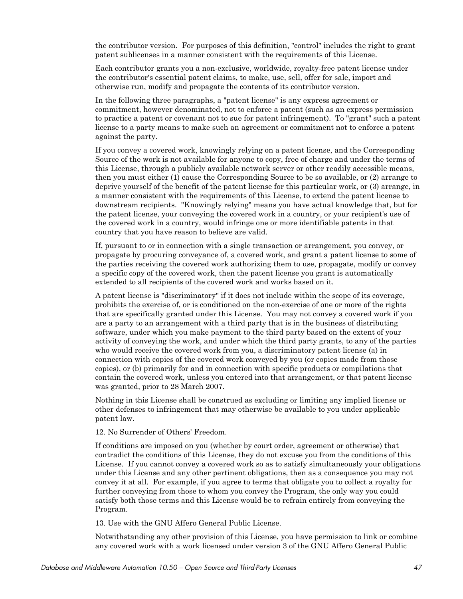the contributor version. For purposes of this definition, "control" includes the right to grant patent sublicenses in a manner consistent with the requirements of this License.

Each contributor grants you a non-exclusive, worldwide, royalty-free patent license under the contributor's essential patent claims, to make, use, sell, offer for sale, import and otherwise run, modify and propagate the contents of its contributor version.

In the following three paragraphs, a "patent license" is any express agreement or commitment, however denominated, not to enforce a patent (such as an express permission to practice a patent or covenant not to sue for patent infringement). To "grant" such a patent license to a party means to make such an agreement or commitment not to enforce a patent against the party.

If you convey a covered work, knowingly relying on a patent license, and the Corresponding Source of the work is not available for anyone to copy, free of charge and under the terms of this License, through a publicly available network server or other readily accessible means, then you must either (1) cause the Corresponding Source to be so available, or (2) arrange to deprive yourself of the benefit of the patent license for this particular work, or (3) arrange, in a manner consistent with the requirements of this License, to extend the patent license to downstream recipients. "Knowingly relying" means you have actual knowledge that, but for the patent license, your conveying the covered work in a country, or your recipient's use of the covered work in a country, would infringe one or more identifiable patents in that country that you have reason to believe are valid.

If, pursuant to or in connection with a single transaction or arrangement, you convey, or propagate by procuring conveyance of, a covered work, and grant a patent license to some of the parties receiving the covered work authorizing them to use, propagate, modify or convey a specific copy of the covered work, then the patent license you grant is automatically extended to all recipients of the covered work and works based on it.

A patent license is "discriminatory" if it does not include within the scope of its coverage, prohibits the exercise of, or is conditioned on the non-exercise of one or more of the rights that are specifically granted under this License. You may not convey a covered work if you are a party to an arrangement with a third party that is in the business of distributing software, under which you make payment to the third party based on the extent of your activity of conveying the work, and under which the third party grants, to any of the parties who would receive the covered work from you, a discriminatory patent license (a) in connection with copies of the covered work conveyed by you (or copies made from those copies), or (b) primarily for and in connection with specific products or compilations that contain the covered work, unless you entered into that arrangement, or that patent license was granted, prior to 28 March 2007.

Nothing in this License shall be construed as excluding or limiting any implied license or other defenses to infringement that may otherwise be available to you under applicable patent law.

12. No Surrender of Others' Freedom.

If conditions are imposed on you (whether by court order, agreement or otherwise) that contradict the conditions of this License, they do not excuse you from the conditions of this License. If you cannot convey a covered work so as to satisfy simultaneously your obligations under this License and any other pertinent obligations, then as a consequence you may not convey it at all. For example, if you agree to terms that obligate you to collect a royalty for further conveying from those to whom you convey the Program, the only way you could satisfy both those terms and this License would be to refrain entirely from conveying the Program.

13. Use with the GNU Affero General Public License.

Notwithstanding any other provision of this License, you have permission to link or combine any covered work with a work licensed under version 3 of the GNU Affero General Public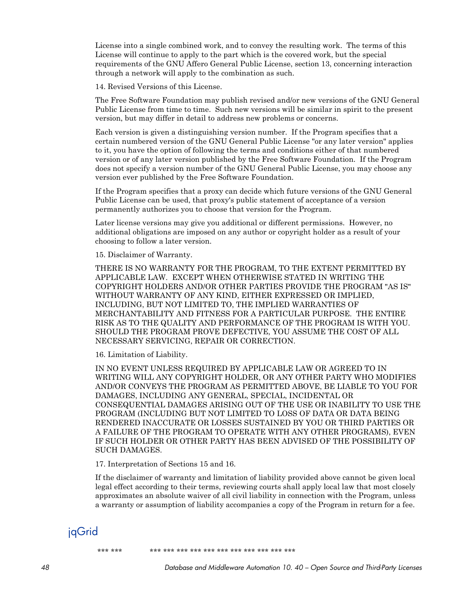License into a single combined work, and to convey the resulting work. The terms of this License will continue to apply to the part which is the covered work, but the special requirements of the GNU Affero General Public License, section 13, concerning interaction through a network will apply to the combination as such.

14. Revised Versions of this License.

The Free Software Foundation may publish revised and/or new versions of the GNU General Public License from time to time. Such new versions will be similar in spirit to the present version, but may differ in detail to address new problems or concerns.

Each version is given a distinguishing version number. If the Program specifies that a certain numbered version of the GNU General Public License "or any later version" applies to it, you have the option of following the terms and conditions either of that numbered version or of any later version published by the Free Software Foundation. If the Program does not specify a version number of the GNU General Public License, you may choose any version ever published by the Free Software Foundation.

If the Program specifies that a proxy can decide which future versions of the GNU General Public License can be used, that proxy's public statement of acceptance of a version permanently authorizes you to choose that version for the Program.

Later license versions may give you additional or different permissions. However, no additional obligations are imposed on any author or copyright holder as a result of your choosing to follow a later version.

15. Disclaimer of Warranty.

THERE IS NO WARRANTY FOR THE PROGRAM, TO THE EXTENT PERMITTED BY APPLICABLE LAW. EXCEPT WHEN OTHERWISE STATED IN WRITING THE COPYRIGHT HOLDERS AND/OR OTHER PARTIES PROVIDE THE PROGRAM "AS IS" WITHOUT WARRANTY OF ANY KIND, EITHER EXPRESSED OR IMPLIED, INCLUDING, BUT NOT LIMITED TO, THE IMPLIED WARRANTIES OF MERCHANTABILITY AND FITNESS FOR A PARTICULAR PURPOSE. THE ENTIRE RISK AS TO THE QUALITY AND PERFORMANCE OF THE PROGRAM IS WITH YOU. SHOULD THE PROGRAM PROVE DEFECTIVE, YOU ASSUME THE COST OF ALL NECESSARY SERVICING, REPAIR OR CORRECTION.

16. Limitation of Liability.

IN NO EVENT UNLESS REQUIRED BY APPLICABLE LAW OR AGREED TO IN WRITING WILL ANY COPYRIGHT HOLDER, OR ANY OTHER PARTY WHO MODIFIES AND/OR CONVEYS THE PROGRAM AS PERMITTED ABOVE, BE LIABLE TO YOU FOR DAMAGES, INCLUDING ANY GENERAL, SPECIAL, INCIDENTAL OR CONSEQUENTIAL DAMAGES ARISING OUT OF THE USE OR INABILITY TO USE THE PROGRAM (INCLUDING BUT NOT LIMITED TO LOSS OF DATA OR DATA BEING RENDERED INACCURATE OR LOSSES SUSTAINED BY YOU OR THIRD PARTIES OR A FAILURE OF THE PROGRAM TO OPERATE WITH ANY OTHER PROGRAMS), EVEN IF SUCH HOLDER OR OTHER PARTY HAS BEEN ADVISED OF THE POSSIBILITY OF SUCH DAMAGES.

17. Interpretation of Sections 15 and 16.

If the disclaimer of warranty and limitation of liability provided above cannot be given local legal effect according to their terms, reviewing courts shall apply local law that most closely approximates an absolute waiver of all civil liability in connection with the Program, unless a warranty or assumption of liability accompanies a copy of the Program in return for a fee.

jqGrid

\*\*\* \*\*\* \*\*\* \*\*\* \*\*\* \*\*\* \*\*\* \*\*\* \*\*\* \*\*\* \*\*\* \*\*\* \*\*\*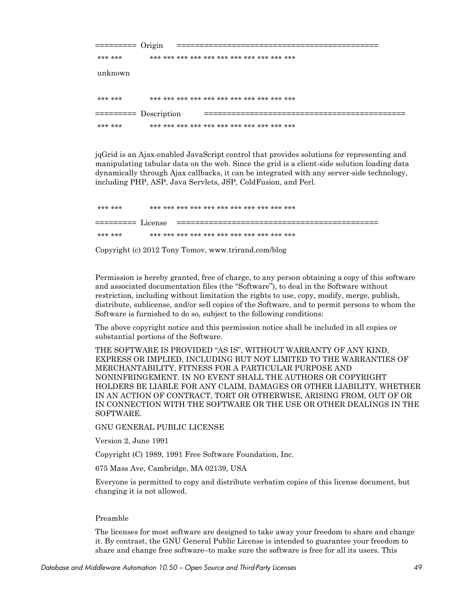| $=======O$ rigin |  |                                                 |  |  |
|------------------|--|-------------------------------------------------|--|--|
| *** ***          |  | *** *** *** *** *** *** *** *** *** *** *** *** |  |  |
| unknown          |  |                                                 |  |  |
| *** ***          |  | *** *** *** *** *** *** *** *** *** *** *** *** |  |  |
|                  |  |                                                 |  |  |
| *** ***          |  | *** *** *** *** *** *** *** *** *** *** *** *** |  |  |

jqGrid is an Ajax-enabled JavaScript control that provides solutions for representing and manipulating tabular data on the web. Since the grid is a client-side solution loading data dynamically through Ajax callbacks, it can be integrated with any server-side technology, including PHP, ASP, Java Servlets, JSP, ColdFusion, and Perl.

```
*** *** *** *** *** *** *** *** *** *** *** *** *** 
========= License ============================================ 
*** *** *** *** *** *** *** *** *** *** *** *** ***
```
Copyright (c) 2012 Tony Tomov, www.trirand.com/blog

Permission is hereby granted, free of charge, to any person obtaining a copy of this software and associated documentation files (the "Software"), to deal in the Software without restriction, including without limitation the rights to use, copy, modify, merge, publish, distribute, sublicense, and/or sell copies of the Software, and to permit persons to whom the Software is furnished to do so, subject to the following conditions:

The above copyright notice and this permission notice shall be included in all copies or substantial portions of the Software.

THE SOFTWARE IS PROVIDED "AS IS", WITHOUT WARRANTY OF ANY KIND, EXPRESS OR IMPLIED, INCLUDING BUT NOT LIMITED TO THE WARRANTIES OF MERCHANTABILITY, FITNESS FOR A PARTICULAR PURPOSE AND NONINFRINGEMENT. IN NO EVENT SHALL THE AUTHORS OR COPYRIGHT HOLDERS BE LIABLE FOR ANY CLAIM, DAMAGES OR OTHER LIABILITY, WHETHER IN AN ACTION OF CONTRACT, TORT OR OTHERWISE, ARISING FROM, OUT OF OR IN CONNECTION WITH THE SOFTWARE OR THE USE OR OTHER DEALINGS IN THE SOFTWARE.

GNU GENERAL PUBLIC LICENSE

Version 2, June 1991

Copyright (C) 1989, 1991 Free Software Foundation, Inc.

675 Mass Ave, Cambridge, MA 02139, USA

Everyone is permitted to copy and distribute verbatim copies of this license document, but changing it is not allowed.

#### Preamble

The licenses for most software are designed to take away your freedom to share and change it. By contrast, the GNU General Public License is intended to guarantee your freedom to share and change free software–to make sure the software is free for all its users. This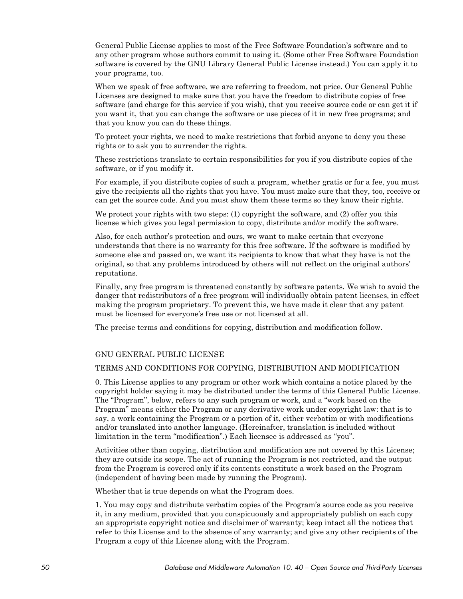General Public License applies to most of the Free Software Foundation's software and to any other program whose authors commit to using it. (Some other Free Software Foundation software is covered by the GNU Library General Public License instead.) You can apply it to your programs, too.

When we speak of free software, we are referring to freedom, not price. Our General Public Licenses are designed to make sure that you have the freedom to distribute copies of free software (and charge for this service if you wish), that you receive source code or can get it if you want it, that you can change the software or use pieces of it in new free programs; and that you know you can do these things.

To protect your rights, we need to make restrictions that forbid anyone to deny you these rights or to ask you to surrender the rights.

These restrictions translate to certain responsibilities for you if you distribute copies of the software, or if you modify it.

For example, if you distribute copies of such a program, whether gratis or for a fee, you must give the recipients all the rights that you have. You must make sure that they, too, receive or can get the source code. And you must show them these terms so they know their rights.

We protect your rights with two steps: (1) copyright the software, and (2) offer you this license which gives you legal permission to copy, distribute and/or modify the software.

Also, for each author's protection and ours, we want to make certain that everyone understands that there is no warranty for this free software. If the software is modified by someone else and passed on, we want its recipients to know that what they have is not the original, so that any problems introduced by others will not reflect on the original authors' reputations.

Finally, any free program is threatened constantly by software patents. We wish to avoid the danger that redistributors of a free program will individually obtain patent licenses, in effect making the program proprietary. To prevent this, we have made it clear that any patent must be licensed for everyone's free use or not licensed at all.

The precise terms and conditions for copying, distribution and modification follow.

#### GNU GENERAL PUBLIC LICENSE

#### TERMS AND CONDITIONS FOR COPYING, DISTRIBUTION AND MODIFICATION

0. This License applies to any program or other work which contains a notice placed by the copyright holder saying it may be distributed under the terms of this General Public License. The "Program", below, refers to any such program or work, and a "work based on the Program" means either the Program or any derivative work under copyright law: that is to say, a work containing the Program or a portion of it, either verbatim or with modifications and/or translated into another language. (Hereinafter, translation is included without limitation in the term "modification".) Each licensee is addressed as "you".

Activities other than copying, distribution and modification are not covered by this License; they are outside its scope. The act of running the Program is not restricted, and the output from the Program is covered only if its contents constitute a work based on the Program (independent of having been made by running the Program).

Whether that is true depends on what the Program does.

1. You may copy and distribute verbatim copies of the Program's source code as you receive it, in any medium, provided that you conspicuously and appropriately publish on each copy an appropriate copyright notice and disclaimer of warranty; keep intact all the notices that refer to this License and to the absence of any warranty; and give any other recipients of the Program a copy of this License along with the Program.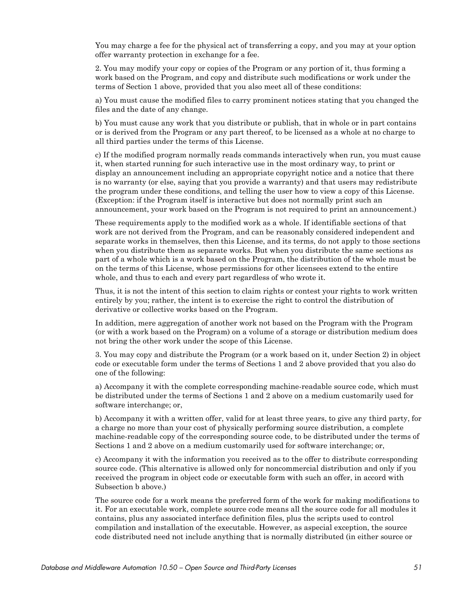You may charge a fee for the physical act of transferring a copy, and you may at your option offer warranty protection in exchange for a fee.

2. You may modify your copy or copies of the Program or any portion of it, thus forming a work based on the Program, and copy and distribute such modifications or work under the terms of Section 1 above, provided that you also meet all of these conditions:

a) You must cause the modified files to carry prominent notices stating that you changed the files and the date of any change.

b) You must cause any work that you distribute or publish, that in whole or in part contains or is derived from the Program or any part thereof, to be licensed as a whole at no charge to all third parties under the terms of this License.

c) If the modified program normally reads commands interactively when run, you must cause it, when started running for such interactive use in the most ordinary way, to print or display an announcement including an appropriate copyright notice and a notice that there is no warranty (or else, saying that you provide a warranty) and that users may redistribute the program under these conditions, and telling the user how to view a copy of this License. (Exception: if the Program itself is interactive but does not normally print such an announcement, your work based on the Program is not required to print an announcement.)

These requirements apply to the modified work as a whole. If identifiable sections of that work are not derived from the Program, and can be reasonably considered independent and separate works in themselves, then this License, and its terms, do not apply to those sections when you distribute them as separate works. But when you distribute the same sections as part of a whole which is a work based on the Program, the distribution of the whole must be on the terms of this License, whose permissions for other licensees extend to the entire whole, and thus to each and every part regardless of who wrote it.

Thus, it is not the intent of this section to claim rights or contest your rights to work written entirely by you; rather, the intent is to exercise the right to control the distribution of derivative or collective works based on the Program.

In addition, mere aggregation of another work not based on the Program with the Program (or with a work based on the Program) on a volume of a storage or distribution medium does not bring the other work under the scope of this License.

3. You may copy and distribute the Program (or a work based on it, under Section 2) in object code or executable form under the terms of Sections 1 and 2 above provided that you also do one of the following:

a) Accompany it with the complete corresponding machine-readable source code, which must be distributed under the terms of Sections 1 and 2 above on a medium customarily used for software interchange; or,

b) Accompany it with a written offer, valid for at least three years, to give any third party, for a charge no more than your cost of physically performing source distribution, a complete machine-readable copy of the corresponding source code, to be distributed under the terms of Sections 1 and 2 above on a medium customarily used for software interchange; or,

c) Accompany it with the information you received as to the offer to distribute corresponding source code. (This alternative is allowed only for noncommercial distribution and only if you received the program in object code or executable form with such an offer, in accord with Subsection b above.)

The source code for a work means the preferred form of the work for making modifications to it. For an executable work, complete source code means all the source code for all modules it contains, plus any associated interface definition files, plus the scripts used to control compilation and installation of the executable. However, as aspecial exception, the source code distributed need not include anything that is normally distributed (in either source or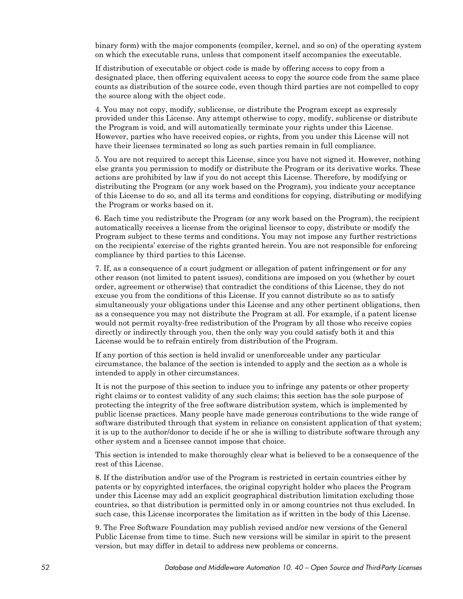binary form) with the major components (compiler, kernel, and so on) of the operating system on which the executable runs, unless that component itself accompanies the executable.

If distribution of executable or object code is made by offering access to copy from a designated place, then offering equivalent access to copy the source code from the same place counts as distribution of the source code, even though third parties are not compelled to copy the source along with the object code.

4. You may not copy, modify, sublicense, or distribute the Program except as expressly provided under this License. Any attempt otherwise to copy, modify, sublicense or distribute the Program is void, and will automatically terminate your rights under this License. However, parties who have received copies, or rights, from you under this License will not have their licenses terminated so long as such parties remain in full compliance.

5. You are not required to accept this License, since you have not signed it. However, nothing else grants you permission to modify or distribute the Program or its derivative works. These actions are prohibited by law if you do not accept this License. Therefore, by modifying or distributing the Program (or any work based on the Program), you indicate your acceptance of this License to do so, and all its terms and conditions for copying, distributing or modifying the Program or works based on it.

6. Each time you redistribute the Program (or any work based on the Program), the recipient automatically receives a license from the original licensor to copy, distribute or modify the Program subject to these terms and conditions. You may not impose any further restrictions on the recipients' exercise of the rights granted herein. You are not responsible for enforcing compliance by third parties to this License.

7. If, as a consequence of a court judgment or allegation of patent infringement or for any other reason (not limited to patent issues), conditions are imposed on you (whether by court order, agreement or otherwise) that contradict the conditions of this License, they do not excuse you from the conditions of this License. If you cannot distribute so as to satisfy simultaneously your obligations under this License and any other pertinent obligations, then as a consequence you may not distribute the Program at all. For example, if a patent license would not permit royalty-free redistribution of the Program by all those who receive copies directly or indirectly through you, then the only way you could satisfy both it and this License would be to refrain entirely from distribution of the Program.

If any portion of this section is held invalid or unenforceable under any particular circumstance, the balance of the section is intended to apply and the section as a whole is intended to apply in other circumstances.

It is not the purpose of this section to induce you to infringe any patents or other property right claims or to contest validity of any such claims; this section has the sole purpose of protecting the integrity of the free software distribution system, which is implemented by public license practices. Many people have made generous contributions to the wide range of software distributed through that system in reliance on consistent application of that system; it is up to the author/donor to decide if he or she is willing to distribute software through any other system and a licensee cannot impose that choice.

This section is intended to make thoroughly clear what is believed to be a consequence of the rest of this License.

8. If the distribution and/or use of the Program is restricted in certain countries either by patents or by copyrighted interfaces, the original copyright holder who places the Program under this License may add an explicit geographical distribution limitation excluding those countries, so that distribution is permitted only in or among countries not thus excluded. In such case, this License incorporates the limitation as if written in the body of this License.

9. The Free Software Foundation may publish revised and/or new versions of the General Public License from time to time. Such new versions will be similar in spirit to the present version, but may differ in detail to address new problems or concerns.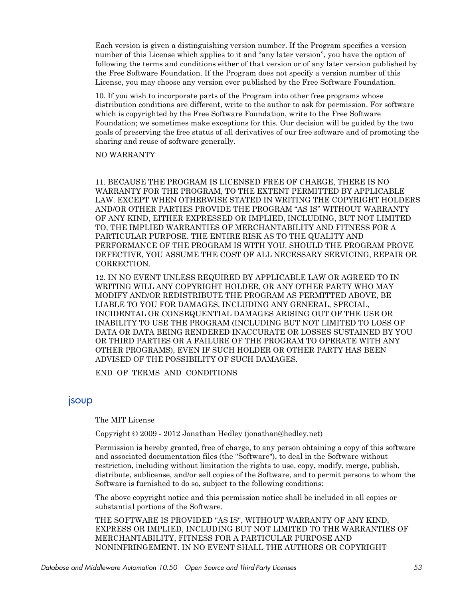Each version is given a distinguishing version number. If the Program specifies a version number of this License which applies to it and "any later version", you have the option of following the terms and conditions either of that version or of any later version published by the Free Software Foundation. If the Program does not specify a version number of this License, you may choose any version ever published by the Free Software Foundation.

10. If you wish to incorporate parts of the Program into other free programs whose distribution conditions are different, write to the author to ask for permission. For software which is copyrighted by the Free Software Foundation, write to the Free Software Foundation; we sometimes make exceptions for this. Our decision will be guided by the two goals of preserving the free status of all derivatives of our free software and of promoting the sharing and reuse of software generally.

NO WARRANTY

11. BECAUSE THE PROGRAM IS LICENSED FREE OF CHARGE, THERE IS NO WARRANTY FOR THE PROGRAM, TO THE EXTENT PERMITTED BY APPLICABLE LAW. EXCEPT WHEN OTHERWISE STATED IN WRITING THE COPYRIGHT HOLDERS AND/OR OTHER PARTIES PROVIDE THE PROGRAM "AS IS" WITHOUT WARRANTY OF ANY KIND, EITHER EXPRESSED OR IMPLIED, INCLUDING, BUT NOT LIMITED TO, THE IMPLIED WARRANTIES OF MERCHANTABILITY AND FITNESS FOR A PARTICULAR PURPOSE. THE ENTIRE RISK AS TO THE QUALITY AND PERFORMANCE OF THE PROGRAM IS WITH YOU. SHOULD THE PROGRAM PROVE DEFECTIVE, YOU ASSUME THE COST OF ALL NECESSARY SERVICING, REPAIR OR CORRECTION.

12. IN NO EVENT UNLESS REQUIRED BY APPLICABLE LAW OR AGREED TO IN WRITING WILL ANY COPYRIGHT HOLDER, OR ANY OTHER PARTY WHO MAY MODIFY AND/OR REDISTRIBUTE THE PROGRAM AS PERMITTED ABOVE, BE LIABLE TO YOU FOR DAMAGES, INCLUDING ANY GENERAL, SPECIAL, INCIDENTAL OR CONSEQUENTIAL DAMAGES ARISING OUT OF THE USE OR INABILITY TO USE THE PROGRAM (INCLUDING BUT NOT LIMITED TO LOSS OF DATA OR DATA BEING RENDERED INACCURATE OR LOSSES SUSTAINED BY YOU OR THIRD PARTIES OR A FAILURE OF THE PROGRAM TO OPERATE WITH ANY OTHER PROGRAMS), EVEN IF SUCH HOLDER OR OTHER PARTY HAS BEEN ADVISED OF THE POSSIBILITY OF SUCH DAMAGES.

END OF TERMS AND CONDITIONS

### jsoup

The MIT License

Copyright © 2009 - 2012 [Jonathan Hedley](http://jonathanhedley.com/) [\(jonathan@hedley.net\)](mailto:jonathan@hedley.net)

Permission is hereby granted, free of charge, to any person obtaining a copy of this software and associated documentation files (the "Software"), to deal in the Software without restriction, including without limitation the rights to use, copy, modify, merge, publish, distribute, sublicense, and/or sell copies of the Software, and to permit persons to whom the Software is furnished to do so, subject to the following conditions:

The above copyright notice and this permission notice shall be included in all copies or substantial portions of the Software.

THE SOFTWARE IS PROVIDED "AS IS", WITHOUT WARRANTY OF ANY KIND, EXPRESS OR IMPLIED, INCLUDING BUT NOT LIMITED TO THE WARRANTIES OF MERCHANTABILITY, FITNESS FOR A PARTICULAR PURPOSE AND NONINFRINGEMENT. IN NO EVENT SHALL THE AUTHORS OR COPYRIGHT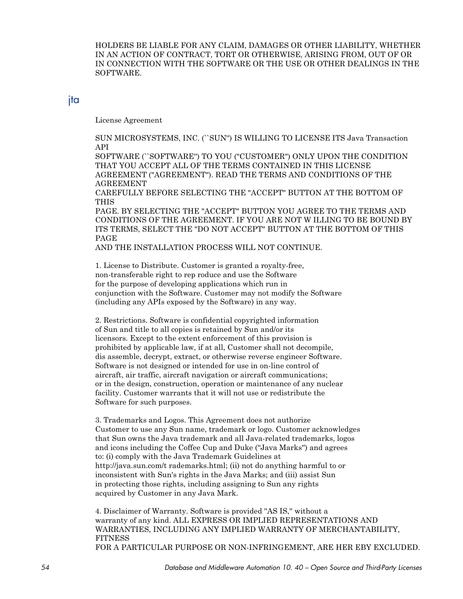HOLDERS BE LIABLE FOR ANY CLAIM, DAMAGES OR OTHER LIABILITY, WHETHER IN AN ACTION OF CONTRACT, TORT OR OTHERWISE, ARISING FROM, OUT OF OR IN CONNECTION WITH THE SOFTWARE OR THE USE OR OTHER DEALINGS IN THE **SOFTWARE** 

### jta

License Agreement

SUN MICROSYSTEMS, INC. (``SUN'') IS WILLING TO LICENSE ITS Java Transaction API

SOFTWARE (``SOFTWARE'') TO YOU ("CUSTOMER") ONLY UPON THE CONDITION THAT YOU ACCEPT ALL OF THE TERMS CONTAINED IN THIS LICENSE AGREEMENT ("AGREEMENT"). READ THE TERMS AND CONDITIONS OF THE AGREEMENT

CAREFULLY BEFORE SELECTING THE "ACCEPT" BUTTON AT THE BOTTOM OF THIS

PAGE. BY SELECTING THE "ACCEPT" BUTTON YOU AGREE TO THE TERMS AND CONDITIONS OF THE AGREEMENT. IF YOU ARE NOT W ILLING TO BE BOUND BY ITS TERMS, SELECT THE "DO NOT ACCEPT" BUTTON AT THE BOTTOM OF THIS PAGE

AND THE INSTALLATION PROCESS WILL NOT CONTINUE.

1. License to Distribute. Customer is granted a royalty-free, non-transferable right to rep roduce and use the Software for the purpose of developing applications which run in conjunction with the Software. Customer may not modify the Software (including any APIs exposed by the Software) in any way.

2. Restrictions. Software is confidential copyrighted information of Sun and title to all copies is retained by Sun and/or its licensors. Except to the extent enforcement of this provision is prohibited by applicable law, if at all, Customer shall not decompile, dis assemble, decrypt, extract, or otherwise reverse engineer Software. Software is not designed or intended for use in on-line control of aircraft, air traffic, aircraft navigation or aircraft communications; or in the design, construction, operation or maintenance of any nuclear facility. Customer warrants that it will not use or redistribute the Software for such purposes.

3. Trademarks and Logos. This Agreement does not authorize Customer to use any Sun name, trademark or logo. Customer acknowledges that Sun owns the Java trademark and all Java-related trademarks, logos and icons including the Coffee Cup and Duke ("Java Marks'') and agrees to: (i) comply with the Java Trademark Guidelines at http://java.sun.com/t rademarks.html; (ii) not do anything harmful to or inconsistent with Sun's rights in the Java Marks; and (iii) assist Sun in protecting those rights, including assigning to Sun any rights acquired by Customer in any Java Mark.

4. Disclaimer of Warranty. Software is provided ''AS IS,'' without a warranty of any kind. ALL EXPRESS OR IMPLIED REPRESENTATIONS AND WARRANTIES, INCLUDING ANY IMPLIED WARRANTY OF MERCHANTABILITY, FITNESS FOR A PARTICULAR PURPOSE OR NON-INFRINGEMENT, ARE HER EBY EXCLUDED.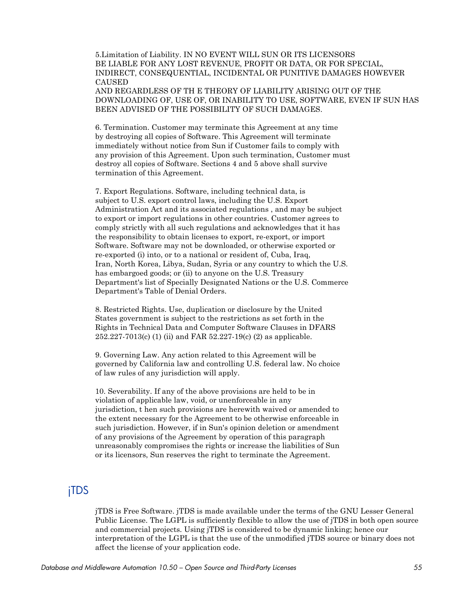5.Limitation of Liability. IN NO EVENT WILL SUN OR ITS LICENSORS BE LIABLE FOR ANY LOST REVENUE, PROFIT OR DATA, OR FOR SPECIAL, INDIRECT, CONSEQUENTIAL, INCIDENTAL OR PUNITIVE DAMAGES HOWEVER CAUSED AND REGARDLESS OF TH E THEORY OF LIABILITY ARISING OUT OF THE DOWNLOADING OF, USE OF, OR INABILITY TO USE, SOFTWARE, EVEN IF SUN HAS BEEN ADVISED OF THE POSSIBILITY OF SUCH DAMAGES.

6. Termination. Customer may terminate this Agreement at any time by destroying all copies of Software. This Agreement will terminate immediately without notice from Sun if Customer fails to comply with any provision of this Agreement. Upon such termination, Customer must destroy all copies of Software. Sections 4 and 5 above shall survive termination of this Agreement.

7. Export Regulations. Software, including technical data, is subject to U.S. export control laws, including the U.S. Export Administration Act and its associated regulations , and may be subject to export or import regulations in other countries. Customer agrees to comply strictly with all such regulations and acknowledges that it has the responsibility to obtain licenses to export, re-export, or import Software. Software may not be downloaded, or otherwise exported or re-exported (i) into, or to a national or resident of, Cuba, Iraq, Iran, North Korea, Libya, Sudan, Syria or any country to which the U.S. has embargoed goods; or (ii) to anyone on the U.S. Treasury Department's list of Specially Designated Nations or the U.S. Commerce Department's Table of Denial Orders.

8. Restricted Rights. Use, duplication or disclosure by the United States government is subject to the restrictions as set forth in the Rights in Technical Data and Computer Software Clauses in DFARS 252.227-7013(c) (1) (ii) and FAR 52.227-19(c) (2) as applicable.

9. Governing Law. Any action related to this Agreement will be governed by California law and controlling U.S. federal law. No choice of law rules of any jurisdiction will apply.

10. Severability. If any of the above provisions are held to be in violation of applicable law, void, or unenforceable in any jurisdiction, t hen such provisions are herewith waived or amended to the extent necessary for the Agreement to be otherwise enforceable in such jurisdiction. However, if in Sun's opinion deletion or amendment of any provisions of the Agreement by operation of this paragraph unreasonably compromises the rights or increase the liabilities of Sun or its licensors, Sun reserves the right to terminate the Agreement.

# jTDS

jTDS is Free Software. jTDS is made available under the terms of the GNU Lesser General Public License. The LGPL is sufficiently flexible to allow the use of jTDS in both open source and commercial projects. Using jTDS is considered to be dynamic linking; hence our interpretation of the LGPL is that the use of the unmodified jTDS source or binary does not affect the license of your application code.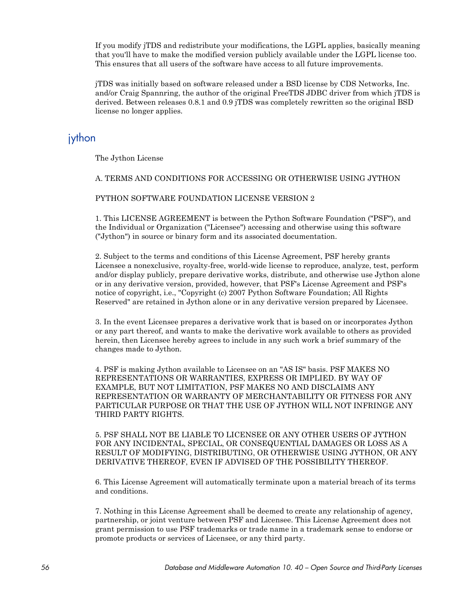If you modify jTDS and redistribute your modifications, the LGPL applies, basically meaning that you'll have to make the modified version publicly available under the LGPL license too. This ensures that all users of the software have access to all future improvements.

jTDS was initially based on software released under a BSD license by CDS Networks, Inc. and/or Craig Spannring, the author of the original FreeTDS JDBC driver from which jTDS is derived. Between releases 0.8.1 and 0.9 jTDS was completely rewritten so the original BSD license no longer applies.

# jython

The Jython License

A. TERMS AND CONDITIONS FOR ACCESSING OR OTHERWISE USING JYTHON

PYTHON SOFTWARE FOUNDATION LICENSE VERSION 2

1. This LICENSE AGREEMENT is between the Python Software Foundation ("PSF"), and the Individual or Organization ("Licensee") accessing and otherwise using this software ("Jython") in source or binary form and its associated documentation.

2. Subject to the terms and conditions of this License Agreement, PSF hereby grants Licensee a nonexclusive, royalty-free, world-wide license to reproduce, analyze, test, perform and/or display publicly, prepare derivative works, distribute, and otherwise use Jython alone or in any derivative version, provided, however, that PSF's License Agreement and PSF's notice of copyright, i.e., "Copyright (c) 2007 Python Software Foundation; All Rights Reserved" are retained in Jython alone or in any derivative version prepared by Licensee.

3. In the event Licensee prepares a derivative work that is based on or incorporates Jython or any part thereof, and wants to make the derivative work available to others as provided herein, then Licensee hereby agrees to include in any such work a brief summary of the changes made to Jython.

4. PSF is making Jython available to Licensee on an "AS IS" basis. PSF MAKES NO REPRESENTATIONS OR WARRANTIES, EXPRESS OR IMPLIED. BY WAY OF EXAMPLE, BUT NOT LIMITATION, PSF MAKES NO AND DISCLAIMS ANY REPRESENTATION OR WARRANTY OF MERCHANTABILITY OR FITNESS FOR ANY PARTICULAR PURPOSE OR THAT THE USE OF JYTHON WILL NOT INFRINGE ANY THIRD PARTY RIGHTS.

5. PSF SHALL NOT BE LIABLE TO LICENSEE OR ANY OTHER USERS OF JYTHON FOR ANY INCIDENTAL, SPECIAL, OR CONSEQUENTIAL DAMAGES OR LOSS AS A RESULT OF MODIFYING, DISTRIBUTING, OR OTHERWISE USING JYTHON, OR ANY DERIVATIVE THEREOF, EVEN IF ADVISED OF THE POSSIBILITY THEREOF.

6. This License Agreement will automatically terminate upon a material breach of its terms and conditions.

7. Nothing in this License Agreement shall be deemed to create any relationship of agency, partnership, or joint venture between PSF and Licensee. This License Agreement does not grant permission to use PSF trademarks or trade name in a trademark sense to endorse or promote products or services of Licensee, or any third party.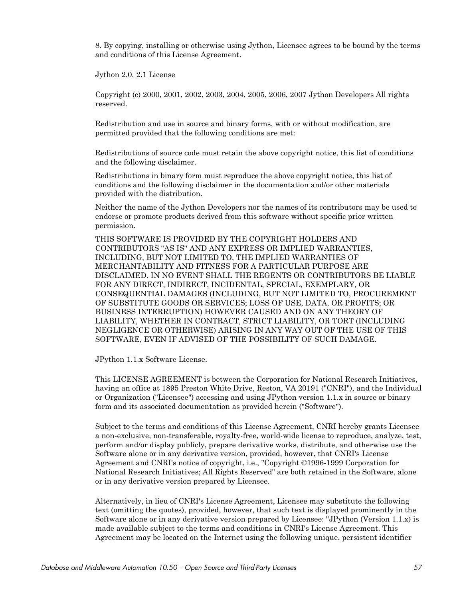8. By copying, installing or otherwise using Jython, Licensee agrees to be bound by the terms and conditions of this License Agreement.

Jython 2.0, 2.1 License

Copyright (c) 2000, 2001, 2002, 2003, 2004, 2005, 2006, 2007 Jython Developers All rights reserved.

Redistribution and use in source and binary forms, with or without modification, are permitted provided that the following conditions are met:

Redistributions of source code must retain the above copyright notice, this list of conditions and the following disclaimer.

Redistributions in binary form must reproduce the above copyright notice, this list of conditions and the following disclaimer in the documentation and/or other materials provided with the distribution.

Neither the name of the Jython Developers nor the names of its contributors may be used to endorse or promote products derived from this software without specific prior written permission.

THIS SOFTWARE IS PROVIDED BY THE COPYRIGHT HOLDERS AND CONTRIBUTORS "AS IS'' AND ANY EXPRESS OR IMPLIED WARRANTIES, INCLUDING, BUT NOT LIMITED TO, THE IMPLIED WARRANTIES OF MERCHANTABILITY AND FITNESS FOR A PARTICULAR PURPOSE ARE DISCLAIMED. IN NO EVENT SHALL THE REGENTS OR CONTRIBUTORS BE LIABLE FOR ANY DIRECT, INDIRECT, INCIDENTAL, SPECIAL, EXEMPLARY, OR CONSEQUENTIAL DAMAGES (INCLUDING, BUT NOT LIMITED TO, PROCUREMENT OF SUBSTITUTE GOODS OR SERVICES; LOSS OF USE, DATA, OR PROFITS; OR BUSINESS INTERRUPTION) HOWEVER CAUSED AND ON ANY THEORY OF LIABILITY, WHETHER IN CONTRACT, STRICT LIABILITY, OR TORT (INCLUDING NEGLIGENCE OR OTHERWISE) ARISING IN ANY WAY OUT OF THE USE OF THIS SOFTWARE, EVEN IF ADVISED OF THE POSSIBILITY OF SUCH DAMAGE.

JPython 1.1.x Software License.

This LICENSE AGREEMENT is between the Corporation for National Research Initiatives, having an office at 1895 Preston White Drive, Reston, VA 20191 ("CNRI"), and the Individual or Organization ("Licensee") accessing and using JPython version 1.1.x in source or binary form and its associated documentation as provided herein ("Software").

Subject to the terms and conditions of this License Agreement, CNRI hereby grants Licensee a non-exclusive, non-transferable, royalty-free, world-wide license to reproduce, analyze, test, perform and/or display publicly, prepare derivative works, distribute, and otherwise use the Software alone or in any derivative version, provided, however, that CNRI's License Agreement and CNRI's notice of copyright, i.e., "Copyright ©1996-1999 Corporation for National Research Initiatives; All Rights Reserved" are both retained in the Software, alone or in any derivative version prepared by Licensee.

Alternatively, in lieu of CNRI's License Agreement, Licensee may substitute the following text (omitting the quotes), provided, however, that such text is displayed prominently in the Software alone or in any derivative version prepared by Licensee: "JPython (Version 1.1.x) is made available subject to the terms and conditions in CNRI's License Agreement. This Agreement may be located on the Internet using the following unique, persistent identifier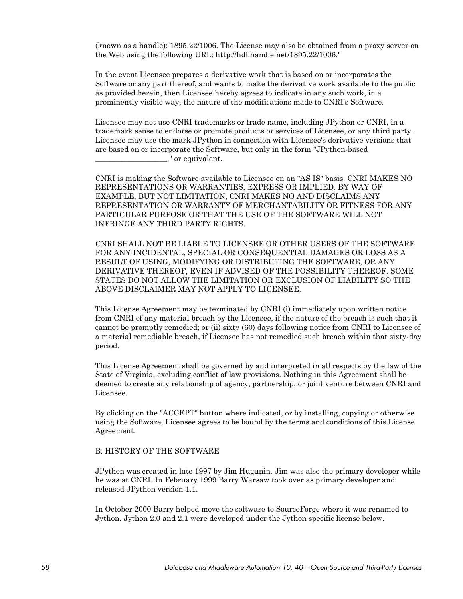(known as a handle): 1895.22/1006. The License may also be obtained from a proxy server on the Web using the following URL: http://hdl.handle.net/1895.22/1006."

In the event Licensee prepares a derivative work that is based on or incorporates the Software or any part thereof, and wants to make the derivative work available to the public as provided herein, then Licensee hereby agrees to indicate in any such work, in a prominently visible way, the nature of the modifications made to CNRI's Software.

Licensee may not use CNRI trademarks or trade name, including JPython or CNRI, in a trademark sense to endorse or promote products or services of Licensee, or any third party. Licensee may use the mark JPython in connection with Licensee's derivative versions that are based on or incorporate the Software, but only in the form "JPython-based \_," or equivalent.

CNRI is making the Software available to Licensee on an "AS IS" basis. CNRI MAKES NO REPRESENTATIONS OR WARRANTIES, EXPRESS OR IMPLIED. BY WAY OF EXAMPLE, BUT NOT LIMITATION, CNRI MAKES NO AND DISCLAIMS ANY REPRESENTATION OR WARRANTY OF MERCHANTABILITY OR FITNESS FOR ANY PARTICULAR PURPOSE OR THAT THE USE OF THE SOFTWARE WILL NOT INFRINGE ANY THIRD PARTY RIGHTS.

CNRI SHALL NOT BE LIABLE TO LICENSEE OR OTHER USERS OF THE SOFTWARE FOR ANY INCIDENTAL, SPECIAL OR CONSEQUENTIAL DAMAGES OR LOSS AS A RESULT OF USING, MODIFYING OR DISTRIBUTING THE SOFTWARE, OR ANY DERIVATIVE THEREOF, EVEN IF ADVISED OF THE POSSIBILITY THEREOF. SOME STATES DO NOT ALLOW THE LIMITATION OR EXCLUSION OF LIABILITY SO THE ABOVE DISCLAIMER MAY NOT APPLY TO LICENSEE.

This License Agreement may be terminated by CNRI (i) immediately upon written notice from CNRI of any material breach by the Licensee, if the nature of the breach is such that it cannot be promptly remedied; or (ii) sixty (60) days following notice from CNRI to Licensee of a material remediable breach, if Licensee has not remedied such breach within that sixty-day period.

This License Agreement shall be governed by and interpreted in all respects by the law of the State of Virginia, excluding conflict of law provisions. Nothing in this Agreement shall be deemed to create any relationship of agency, partnership, or joint venture between CNRI and Licensee.

By clicking on the "ACCEPT" button where indicated, or by installing, copying or otherwise using the Software, Licensee agrees to be bound by the terms and conditions of this License Agreement.

#### B. HISTORY OF THE SOFTWARE

JPython was created in late 1997 by Jim Hugunin. Jim was also the primary developer while he was at CNRI. In February 1999 Barry Warsaw took over as primary developer and released JPython version 1.1.

In October 2000 Barry helped move the software to SourceForge where it was renamed to Jython. Jython 2.0 and 2.1 were developed under the Jython specific license below.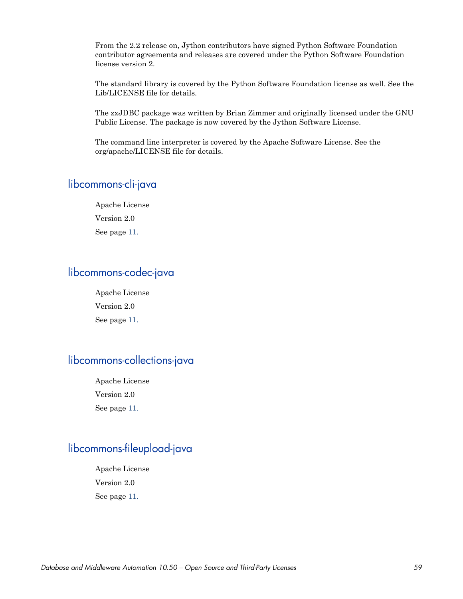From the 2.2 release on, Jython contributors have signed Python Software Foundation contributor agreements and releases are covered under the Python Software Foundation license version 2.

The standard library is covered by the Python Software Foundation license as well. See the Lib/LICENSE file for details.

The zxJDBC package was written by Brian Zimmer and originally licensed under the GNU Public License. The package is now covered by the Jython Software License.

The command line interpreter is covered by the Apache Software License. See the org/apache/LICENSE file for details.

### libcommons-cli-java

Apache License Version 2.0 See page [11.](#page-10-0)

# libcommons-codec-java

Apache License Version 2.0 See page [11.](#page-10-0)

# libcommons-collections-java

Apache License Version 2.0 See page [11.](#page-10-0)

# libcommons-fileupload-java

Apache License Version 2.0 See page [11.](#page-10-0)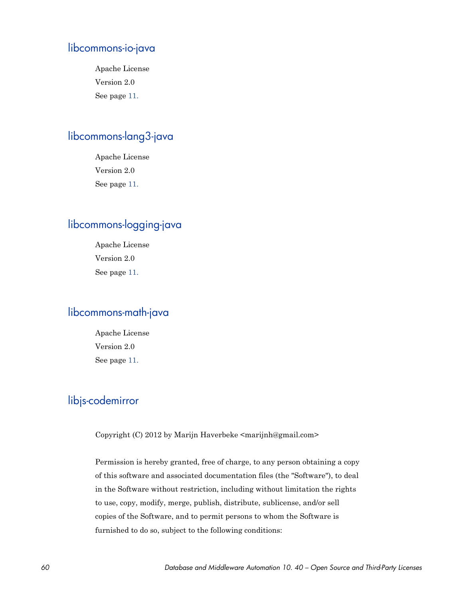# libcommons-io-java

Apache License Version 2.0 See page [11.](#page-10-0)

# libcommons-lang3-java

Apache License Version 2.0 See page [11.](#page-10-0)

### libcommons-logging-java

Apache License Version 2.0 See page [11.](#page-10-0)

### libcommons-math-java

Apache License Version 2.0 See page [11.](#page-10-0)

# libjs-codemirror

Copyright (C) 2012 by Marijn Haverbeke <marijnh@gmail.com>

Permission is hereby granted, free of charge, to any person obtaining a copy of this software and associated documentation files (the "Software"), to deal in the Software without restriction, including without limitation the rights to use, copy, modify, merge, publish, distribute, sublicense, and/or sell copies of the Software, and to permit persons to whom the Software is furnished to do so, subject to the following conditions: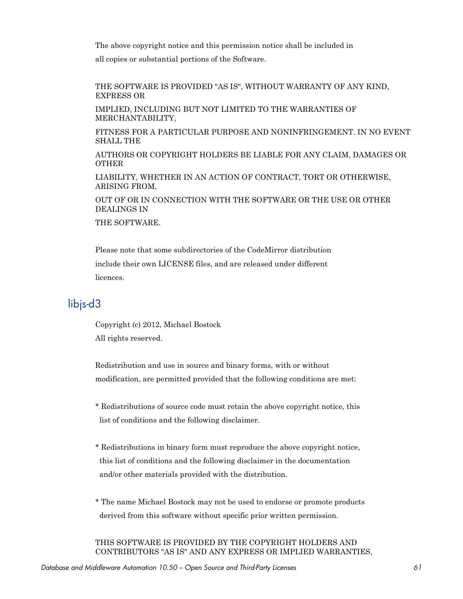The above copyright notice and this permission notice shall be included in

all copies or substantial portions of the Software.

THE SOFTWARE IS PROVIDED "AS IS", WITHOUT WARRANTY OF ANY KIND, EXPRESS OR

IMPLIED, INCLUDING BUT NOT LIMITED TO THE WARRANTIES OF MERCHANTABILITY,

FITNESS FOR A PARTICULAR PURPOSE AND NONINFRINGEMENT. IN NO EVENT SHALL THE

AUTHORS OR COPYRIGHT HOLDERS BE LIABLE FOR ANY CLAIM, DAMAGES OR **OTHER** 

LIABILITY, WHETHER IN AN ACTION OF CONTRACT, TORT OR OTHERWISE, ARISING FROM,

OUT OF OR IN CONNECTION WITH THE SOFTWARE OR THE USE OR OTHER DEALINGS IN

THE SOFTWARE.

Please note that some subdirectories of the CodeMirror distribution include their own LICENSE files, and are released under different licences.

## libjs-d3

Copyright (c) 2012, Michael Bostock All rights reserved.

Redistribution and use in source and binary forms, with or without modification, are permitted provided that the following conditions are met:

\* Redistributions of source code must retain the above copyright notice, this list of conditions and the following disclaimer.

- \* Redistributions in binary form must reproduce the above copyright notice, this list of conditions and the following disclaimer in the documentation and/or other materials provided with the distribution.
- \* The name Michael Bostock may not be used to endorse or promote products derived from this software without specific prior written permission.

### THIS SOFTWARE IS PROVIDED BY THE COPYRIGHT HOLDERS AND CONTRIBUTORS "AS IS" AND ANY EXPRESS OR IMPLIED WARRANTIES,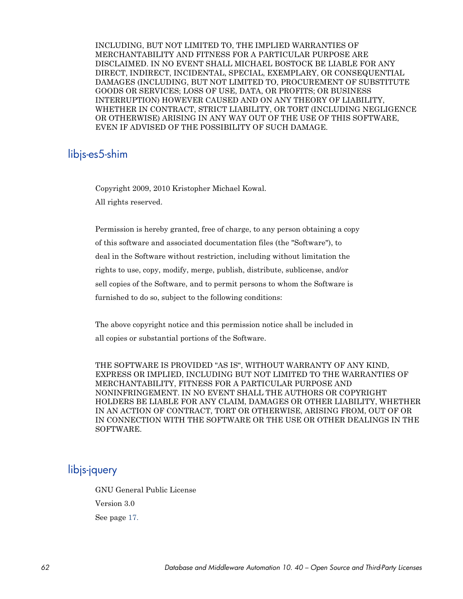INCLUDING, BUT NOT LIMITED TO, THE IMPLIED WARRANTIES OF MERCHANTABILITY AND FITNESS FOR A PARTICULAR PURPOSE ARE DISCLAIMED. IN NO EVENT SHALL MICHAEL BOSTOCK BE LIABLE FOR ANY DIRECT, INDIRECT, INCIDENTAL, SPECIAL, EXEMPLARY, OR CONSEQUENTIAL DAMAGES (INCLUDING, BUT NOT LIMITED TO, PROCUREMENT OF SUBSTITUTE GOODS OR SERVICES; LOSS OF USE, DATA, OR PROFITS; OR BUSINESS INTERRUPTION) HOWEVER CAUSED AND ON ANY THEORY OF LIABILITY, WHETHER IN CONTRACT, STRICT LIABILITY, OR TORT (INCLUDING NEGLIGENCE OR OTHERWISE) ARISING IN ANY WAY OUT OF THE USE OF THIS SOFTWARE, EVEN IF ADVISED OF THE POSSIBILITY OF SUCH DAMAGE.

### libjs-es5-shim

Copyright 2009, 2010 Kristopher Michael Kowal. All rights reserved.

Permission is hereby granted, free of charge, to any person obtaining a copy of this software and associated documentation files (the "Software"), to deal in the Software without restriction, including without limitation the rights to use, copy, modify, merge, publish, distribute, sublicense, and/or sell copies of the Software, and to permit persons to whom the Software is furnished to do so, subject to the following conditions:

The above copyright notice and this permission notice shall be included in all copies or substantial portions of the Software.

THE SOFTWARE IS PROVIDED "AS IS", WITHOUT WARRANTY OF ANY KIND, EXPRESS OR IMPLIED, INCLUDING BUT NOT LIMITED TO THE WARRANTIES OF MERCHANTABILITY, FITNESS FOR A PARTICULAR PURPOSE AND NONINFRINGEMENT. IN NO EVENT SHALL THE AUTHORS OR COPYRIGHT HOLDERS BE LIABLE FOR ANY CLAIM, DAMAGES OR OTHER LIABILITY, WHETHER IN AN ACTION OF CONTRACT, TORT OR OTHERWISE, ARISING FROM, OUT OF OR IN CONNECTION WITH THE SOFTWARE OR THE USE OR OTHER DEALINGS IN THE SOFTWARE.

## libjs-jquery

GNU General Public License Version 3.0 See page [17.](#page-16-0)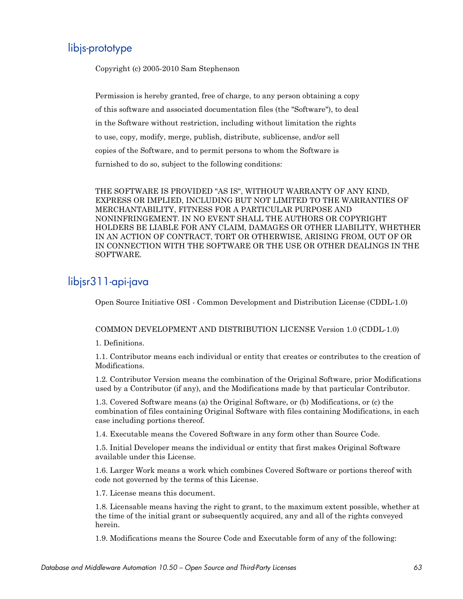libjs-prototype

Copyright (c) 2005-2010 Sam Stephenson

Permission is hereby granted, free of charge, to any person obtaining a copy of this software and associated documentation files (the "Software"), to deal in the Software without restriction, including without limitation the rights to use, copy, modify, merge, publish, distribute, sublicense, and/or sell copies of the Software, and to permit persons to whom the Software is furnished to do so, subject to the following conditions:

THE SOFTWARE IS PROVIDED "AS IS", WITHOUT WARRANTY OF ANY KIND, EXPRESS OR IMPLIED, INCLUDING BUT NOT LIMITED TO THE WARRANTIES OF MERCHANTABILITY, FITNESS FOR A PARTICULAR PURPOSE AND NONINFRINGEMENT. IN NO EVENT SHALL THE AUTHORS OR COPYRIGHT HOLDERS BE LIABLE FOR ANY CLAIM, DAMAGES OR OTHER LIABILITY, WHETHER IN AN ACTION OF CONTRACT, TORT OR OTHERWISE, ARISING FROM, OUT OF OR IN CONNECTION WITH THE SOFTWARE OR THE USE OR OTHER DEALINGS IN THE SOFTWARE.

# libjsr311-api-java

Open Source Initiative OSI - Common Development and Distribution License (CDDL-1.0)

COMMON DEVELOPMENT AND DISTRIBUTION LICENSE Version 1.0 (CDDL-1.0)

1. Definitions.

1.1. Contributor means each individual or entity that creates or contributes to the creation of Modifications.

1.2. Contributor Version means the combination of the Original Software, prior Modifications used by a Contributor (if any), and the Modifications made by that particular Contributor.

1.3. Covered Software means (a) the Original Software, or (b) Modifications, or (c) the combination of files containing Original Software with files containing Modifications, in each case including portions thereof.

1.4. Executable means the Covered Software in any form other than Source Code.

1.5. Initial Developer means the individual or entity that first makes Original Software available under this License.

1.6. Larger Work means a work which combines Covered Software or portions thereof with code not governed by the terms of this License.

1.7. License means this document.

1.8. Licensable means having the right to grant, to the maximum extent possible, whether at the time of the initial grant or subsequently acquired, any and all of the rights conveyed herein.

1.9. Modifications means the Source Code and Executable form of any of the following: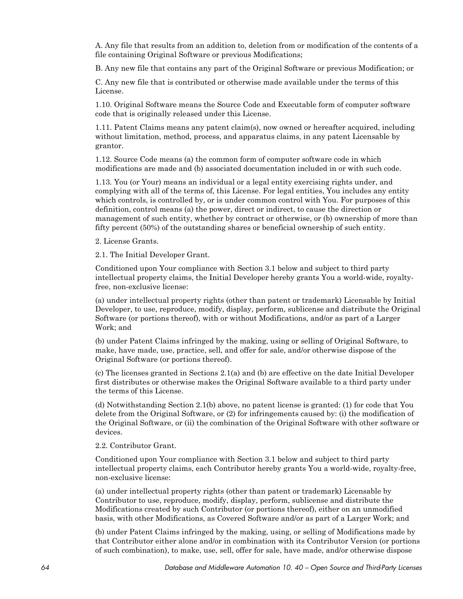A. Any file that results from an addition to, deletion from or modification of the contents of a file containing Original Software or previous Modifications;

B. Any new file that contains any part of the Original Software or previous Modification; or

C. Any new file that is contributed or otherwise made available under the terms of this License.

1.10. Original Software means the Source Code and Executable form of computer software code that is originally released under this License.

1.11. Patent Claims means any patent claim(s), now owned or hereafter acquired, including without limitation, method, process, and apparatus claims, in any patent Licensable by grantor.

1.12. Source Code means (a) the common form of computer software code in which modifications are made and (b) associated documentation included in or with such code.

1.13. You (or Your) means an individual or a legal entity exercising rights under, and complying with all of the terms of, this License. For legal entities, You includes any entity which controls, is controlled by, or is under common control with You. For purposes of this definition, control means (a) the power, direct or indirect, to cause the direction or management of such entity, whether by contract or otherwise, or (b) ownership of more than fifty percent (50%) of the outstanding shares or beneficial ownership of such entity.

2. License Grants.

2.1. The Initial Developer Grant.

Conditioned upon Your compliance with Section 3.1 below and subject to third party intellectual property claims, the Initial Developer hereby grants You a world-wide, royaltyfree, non-exclusive license:

(a) under intellectual property rights (other than patent or trademark) Licensable by Initial Developer, to use, reproduce, modify, display, perform, sublicense and distribute the Original Software (or portions thereof), with or without Modifications, and/or as part of a Larger Work; and

(b) under Patent Claims infringed by the making, using or selling of Original Software, to make, have made, use, practice, sell, and offer for sale, and/or otherwise dispose of the Original Software (or portions thereof).

(c) The licenses granted in Sections 2.1(a) and (b) are effective on the date Initial Developer first distributes or otherwise makes the Original Software available to a third party under the terms of this License.

(d) Notwithstanding Section 2.1(b) above, no patent license is granted: (1) for code that You delete from the Original Software, or (2) for infringements caused by: (i) the modification of the Original Software, or (ii) the combination of the Original Software with other software or devices.

2.2. Contributor Grant.

Conditioned upon Your compliance with Section 3.1 below and subject to third party intellectual property claims, each Contributor hereby grants You a world-wide, royalty-free, non-exclusive license:

(a) under intellectual property rights (other than patent or trademark) Licensable by Contributor to use, reproduce, modify, display, perform, sublicense and distribute the Modifications created by such Contributor (or portions thereof), either on an unmodified basis, with other Modifications, as Covered Software and/or as part of a Larger Work; and

(b) under Patent Claims infringed by the making, using, or selling of Modifications made by that Contributor either alone and/or in combination with its Contributor Version (or portions of such combination), to make, use, sell, offer for sale, have made, and/or otherwise dispose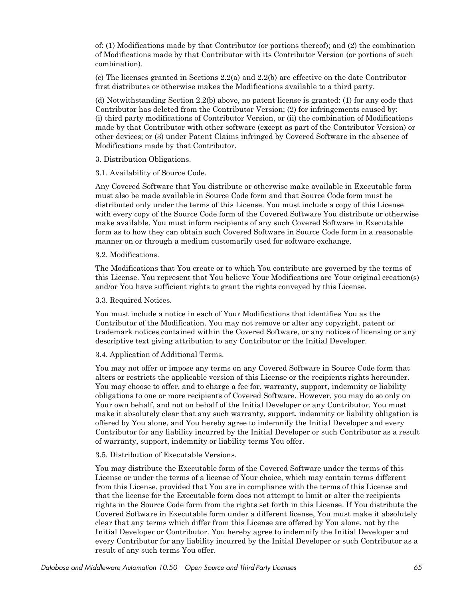of: (1) Modifications made by that Contributor (or portions thereof); and (2) the combination of Modifications made by that Contributor with its Contributor Version (or portions of such combination).

(c) The licenses granted in Sections 2.2(a) and 2.2(b) are effective on the date Contributor first distributes or otherwise makes the Modifications available to a third party.

(d) Notwithstanding Section 2.2(b) above, no patent license is granted: (1) for any code that Contributor has deleted from the Contributor Version; (2) for infringements caused by: (i) third party modifications of Contributor Version, or (ii) the combination of Modifications made by that Contributor with other software (except as part of the Contributor Version) or other devices; or (3) under Patent Claims infringed by Covered Software in the absence of Modifications made by that Contributor.

3. Distribution Obligations.

3.1. Availability of Source Code.

Any Covered Software that You distribute or otherwise make available in Executable form must also be made available in Source Code form and that Source Code form must be distributed only under the terms of this License. You must include a copy of this License with every copy of the Source Code form of the Covered Software You distribute or otherwise make available. You must inform recipients of any such Covered Software in Executable form as to how they can obtain such Covered Software in Source Code form in a reasonable manner on or through a medium customarily used for software exchange.

3.2. Modifications.

The Modifications that You create or to which You contribute are governed by the terms of this License. You represent that You believe Your Modifications are Your original creation(s) and/or You have sufficient rights to grant the rights conveyed by this License.

3.3. Required Notices.

You must include a notice in each of Your Modifications that identifies You as the Contributor of the Modification. You may not remove or alter any copyright, patent or trademark notices contained within the Covered Software, or any notices of licensing or any descriptive text giving attribution to any Contributor or the Initial Developer.

3.4. Application of Additional Terms.

You may not offer or impose any terms on any Covered Software in Source Code form that alters or restricts the applicable version of this License or the recipients rights hereunder. You may choose to offer, and to charge a fee for, warranty, support, indemnity or liability obligations to one or more recipients of Covered Software. However, you may do so only on Your own behalf, and not on behalf of the Initial Developer or any Contributor. You must make it absolutely clear that any such warranty, support, indemnity or liability obligation is offered by You alone, and You hereby agree to indemnify the Initial Developer and every Contributor for any liability incurred by the Initial Developer or such Contributor as a result of warranty, support, indemnity or liability terms You offer.

3.5. Distribution of Executable Versions.

You may distribute the Executable form of the Covered Software under the terms of this License or under the terms of a license of Your choice, which may contain terms different from this License, provided that You are in compliance with the terms of this License and that the license for the Executable form does not attempt to limit or alter the recipients rights in the Source Code form from the rights set forth in this License. If You distribute the Covered Software in Executable form under a different license, You must make it absolutely clear that any terms which differ from this License are offered by You alone, not by the Initial Developer or Contributor. You hereby agree to indemnify the Initial Developer and every Contributor for any liability incurred by the Initial Developer or such Contributor as a result of any such terms You offer.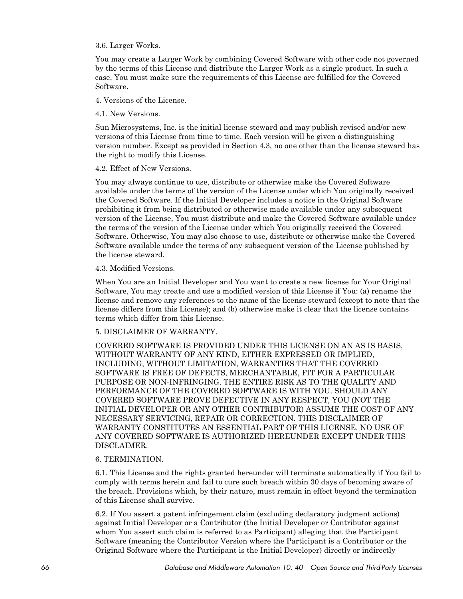3.6. Larger Works.

You may create a Larger Work by combining Covered Software with other code not governed by the terms of this License and distribute the Larger Work as a single product. In such a case, You must make sure the requirements of this License are fulfilled for the Covered Software.

4. Versions of the License.

4.1. New Versions.

Sun Microsystems, Inc. is the initial license steward and may publish revised and/or new versions of this License from time to time. Each version will be given a distinguishing version number. Except as provided in Section 4.3, no one other than the license steward has the right to modify this License.

4.2. Effect of New Versions.

You may always continue to use, distribute or otherwise make the Covered Software available under the terms of the version of the License under which You originally received the Covered Software. If the Initial Developer includes a notice in the Original Software prohibiting it from being distributed or otherwise made available under any subsequent version of the License, You must distribute and make the Covered Software available under the terms of the version of the License under which You originally received the Covered Software. Otherwise, You may also choose to use, distribute or otherwise make the Covered Software available under the terms of any subsequent version of the License published by the license steward.

#### 4.3. Modified Versions.

When You are an Initial Developer and You want to create a new license for Your Original Software, You may create and use a modified version of this License if You: (a) rename the license and remove any references to the name of the license steward (except to note that the license differs from this License); and (b) otherwise make it clear that the license contains terms which differ from this License.

#### 5. DISCLAIMER OF WARRANTY.

COVERED SOFTWARE IS PROVIDED UNDER THIS LICENSE ON AN AS IS BASIS, WITHOUT WARRANTY OF ANY KIND, EITHER EXPRESSED OR IMPLIED, INCLUDING, WITHOUT LIMITATION, WARRANTIES THAT THE COVERED SOFTWARE IS FREE OF DEFECTS, MERCHANTABLE, FIT FOR A PARTICULAR PURPOSE OR NON-INFRINGING. THE ENTIRE RISK AS TO THE QUALITY AND PERFORMANCE OF THE COVERED SOFTWARE IS WITH YOU. SHOULD ANY COVERED SOFTWARE PROVE DEFECTIVE IN ANY RESPECT, YOU (NOT THE INITIAL DEVELOPER OR ANY OTHER CONTRIBUTOR) ASSUME THE COST OF ANY NECESSARY SERVICING, REPAIR OR CORRECTION. THIS DISCLAIMER OF WARRANTY CONSTITUTES AN ESSENTIAL PART OF THIS LICENSE. NO USE OF ANY COVERED SOFTWARE IS AUTHORIZED HEREUNDER EXCEPT UNDER THIS DISCLAIMER.

#### 6. TERMINATION.

6.1. This License and the rights granted hereunder will terminate automatically if You fail to comply with terms herein and fail to cure such breach within 30 days of becoming aware of the breach. Provisions which, by their nature, must remain in effect beyond the termination of this License shall survive.

6.2. If You assert a patent infringement claim (excluding declaratory judgment actions) against Initial Developer or a Contributor (the Initial Developer or Contributor against whom You assert such claim is referred to as Participant) alleging that the Participant Software (meaning the Contributor Version where the Participant is a Contributor or the Original Software where the Participant is the Initial Developer) directly or indirectly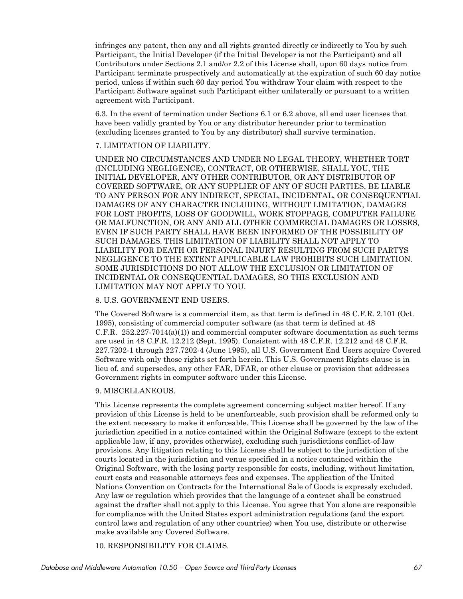infringes any patent, then any and all rights granted directly or indirectly to You by such Participant, the Initial Developer (if the Initial Developer is not the Participant) and all Contributors under Sections 2.1 and/or 2.2 of this License shall, upon 60 days notice from Participant terminate prospectively and automatically at the expiration of such 60 day notice period, unless if within such 60 day period You withdraw Your claim with respect to the Participant Software against such Participant either unilaterally or pursuant to a written agreement with Participant.

6.3. In the event of termination under Sections 6.1 or 6.2 above, all end user licenses that have been validly granted by You or any distributor hereunder prior to termination (excluding licenses granted to You by any distributor) shall survive termination.

#### 7. LIMITATION OF LIABILITY.

UNDER NO CIRCUMSTANCES AND UNDER NO LEGAL THEORY, WHETHER TORT (INCLUDING NEGLIGENCE), CONTRACT, OR OTHERWISE, SHALL YOU, THE INITIAL DEVELOPER, ANY OTHER CONTRIBUTOR, OR ANY DISTRIBUTOR OF COVERED SOFTWARE, OR ANY SUPPLIER OF ANY OF SUCH PARTIES, BE LIABLE TO ANY PERSON FOR ANY INDIRECT, SPECIAL, INCIDENTAL, OR CONSEQUENTIAL DAMAGES OF ANY CHARACTER INCLUDING, WITHOUT LIMITATION, DAMAGES FOR LOST PROFITS, LOSS OF GOODWILL, WORK STOPPAGE, COMPUTER FAILURE OR MALFUNCTION, OR ANY AND ALL OTHER COMMERCIAL DAMAGES OR LOSSES, EVEN IF SUCH PARTY SHALL HAVE BEEN INFORMED OF THE POSSIBILITY OF SUCH DAMAGES. THIS LIMITATION OF LIABILITY SHALL NOT APPLY TO LIABILITY FOR DEATH OR PERSONAL INJURY RESULTING FROM SUCH PARTYS NEGLIGENCE TO THE EXTENT APPLICABLE LAW PROHIBITS SUCH LIMITATION. SOME JURISDICTIONS DO NOT ALLOW THE EXCLUSION OR LIMITATION OF INCIDENTAL OR CONSEQUENTIAL DAMAGES, SO THIS EXCLUSION AND LIMITATION MAY NOT APPLY TO YOU.

#### 8. U.S. GOVERNMENT END USERS.

The Covered Software is a commercial item, as that term is defined in 48 C.F.R. 2.101 (Oct. 1995), consisting of commercial computer software (as that term is defined at 48 C.F.R.  $252.227-7014(a)(1)$  and commercial computer software documentation as such terms are used in 48 C.F.R. 12.212 (Sept. 1995). Consistent with 48 C.F.R. 12.212 and 48 C.F.R. 227.7202-1 through 227.7202-4 (June 1995), all U.S. Government End Users acquire Covered Software with only those rights set forth herein. This U.S. Government Rights clause is in lieu of, and supersedes, any other FAR, DFAR, or other clause or provision that addresses Government rights in computer software under this License.

#### 9. MISCELLANEOUS.

This License represents the complete agreement concerning subject matter hereof. If any provision of this License is held to be unenforceable, such provision shall be reformed only to the extent necessary to make it enforceable. This License shall be governed by the law of the jurisdiction specified in a notice contained within the Original Software (except to the extent applicable law, if any, provides otherwise), excluding such jurisdictions conflict-of-law provisions. Any litigation relating to this License shall be subject to the jurisdiction of the courts located in the jurisdiction and venue specified in a notice contained within the Original Software, with the losing party responsible for costs, including, without limitation, court costs and reasonable attorneys fees and expenses. The application of the United Nations Convention on Contracts for the International Sale of Goods is expressly excluded. Any law or regulation which provides that the language of a contract shall be construed against the drafter shall not apply to this License. You agree that You alone are responsible for compliance with the United States export administration regulations (and the export control laws and regulation of any other countries) when You use, distribute or otherwise make available any Covered Software.

#### 10. RESPONSIBILITY FOR CLAIMS.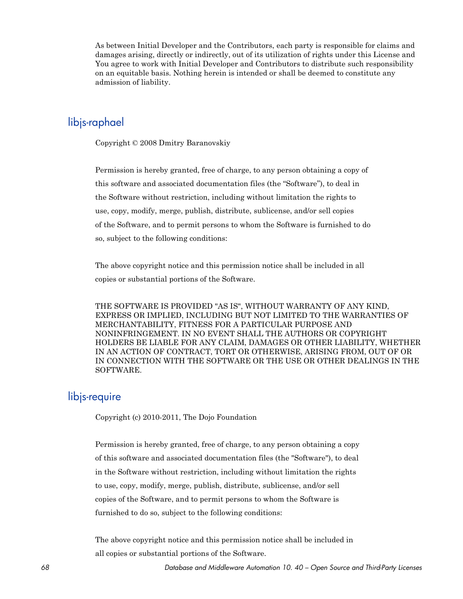As between Initial Developer and the Contributors, each party is responsible for claims and damages arising, directly or indirectly, out of its utilization of rights under this License and You agree to work with Initial Developer and Contributors to distribute such responsibility on an equitable basis. Nothing herein is intended or shall be deemed to constitute any admission of liability.

# libjs-raphael

Copyright © 2008 Dmitry Baranovskiy

Permission is hereby granted, free of charge, to any person obtaining a copy of this software and associated documentation files (the "Software"), to deal in the Software without restriction, including without limitation the rights to use, copy, modify, merge, publish, distribute, sublicense, and/or sell copies of the Software, and to permit persons to whom the Software is furnished to do so, subject to the following conditions:

The above copyright notice and this permission notice shall be included in all copies or substantial portions of the Software.

THE SOFTWARE IS PROVIDED "AS IS", WITHOUT WARRANTY OF ANY KIND, EXPRESS OR IMPLIED, INCLUDING BUT NOT LIMITED TO THE WARRANTIES OF MERCHANTABILITY, FITNESS FOR A PARTICULAR PURPOSE AND NONINFRINGEMENT. IN NO EVENT SHALL THE AUTHORS OR COPYRIGHT HOLDERS BE LIABLE FOR ANY CLAIM, DAMAGES OR OTHER LIABILITY, WHETHER IN AN ACTION OF CONTRACT, TORT OR OTHERWISE, ARISING FROM, OUT OF OR IN CONNECTION WITH THE SOFTWARE OR THE USE OR OTHER DEALINGS IN THE SOFTWARE.

### libjs-require

Copyright (c) 2010-2011, The Dojo Foundation

Permission is hereby granted, free of charge, to any person obtaining a copy of this software and associated documentation files (the "Software"), to deal in the Software without restriction, including without limitation the rights to use, copy, modify, merge, publish, distribute, sublicense, and/or sell copies of the Software, and to permit persons to whom the Software is furnished to do so, subject to the following conditions:

The above copyright notice and this permission notice shall be included in all copies or substantial portions of the Software.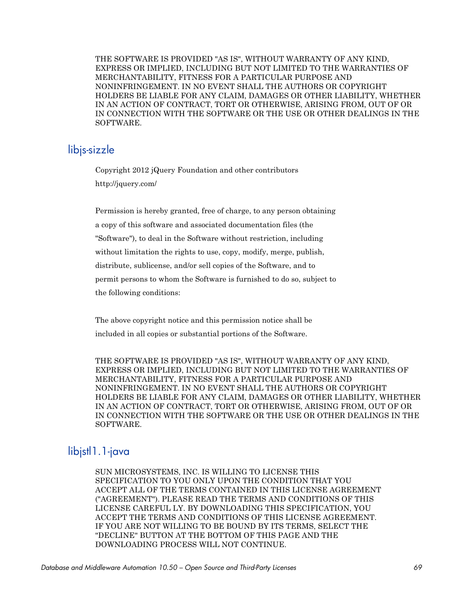THE SOFTWARE IS PROVIDED "AS IS", WITHOUT WARRANTY OF ANY KIND, EXPRESS OR IMPLIED, INCLUDING BUT NOT LIMITED TO THE WARRANTIES OF MERCHANTABILITY, FITNESS FOR A PARTICULAR PURPOSE AND NONINFRINGEMENT. IN NO EVENT SHALL THE AUTHORS OR COPYRIGHT HOLDERS BE LIABLE FOR ANY CLAIM, DAMAGES OR OTHER LIABILITY, WHETHER IN AN ACTION OF CONTRACT, TORT OR OTHERWISE, ARISING FROM, OUT OF OR IN CONNECTION WITH THE SOFTWARE OR THE USE OR OTHER DEALINGS IN THE **SOFTWARE** 

### libjs-sizzle

Copyright 2012 jQuery Foundation and other contributors http://jquery.com/

Permission is hereby granted, free of charge, to any person obtaining a copy of this software and associated documentation files (the "Software"), to deal in the Software without restriction, including without limitation the rights to use, copy, modify, merge, publish, distribute, sublicense, and/or sell copies of the Software, and to permit persons to whom the Software is furnished to do so, subject to the following conditions:

The above copyright notice and this permission notice shall be included in all copies or substantial portions of the Software.

THE SOFTWARE IS PROVIDED "AS IS", WITHOUT WARRANTY OF ANY KIND, EXPRESS OR IMPLIED, INCLUDING BUT NOT LIMITED TO THE WARRANTIES OF MERCHANTABILITY, FITNESS FOR A PARTICULAR PURPOSE AND NONINFRINGEMENT. IN NO EVENT SHALL THE AUTHORS OR COPYRIGHT HOLDERS BE LIABLE FOR ANY CLAIM, DAMAGES OR OTHER LIABILITY, WHETHER IN AN ACTION OF CONTRACT, TORT OR OTHERWISE, ARISING FROM, OUT OF OR IN CONNECTION WITH THE SOFTWARE OR THE USE OR OTHER DEALINGS IN THE SOFTWARE.

## libjstl1.1-java

SUN MICROSYSTEMS, INC. IS WILLING TO LICENSE THIS SPECIFICATION TO YOU ONLY UPON THE CONDITION THAT YOU ACCEPT ALL OF THE TERMS CONTAINED IN THIS LICENSE AGREEMENT ("AGREEMENT"). PLEASE READ THE TERMS AND CONDITIONS OF THIS LICENSE CAREFUL LY. BY DOWNLOADING THIS SPECIFICATION, YOU ACCEPT THE TERMS AND CONDITIONS OF THIS LICENSE AGREEMENT. IF YOU ARE NOT WILLING TO BE BOUND BY ITS TERMS, SELECT THE "DECLINE" BUTTON AT THE BOTTOM OF THIS PAGE AND THE DOWNLOADING PROCESS WILL NOT CONTINUE.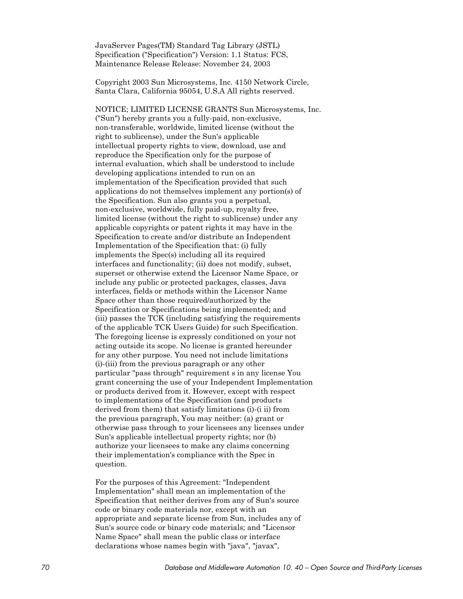JavaServer Pages(TM) Standard Tag Library (JSTL) Specification ("Specification") Version: 1.1 Status: FCS, Maintenance Release Release: November 24, 2003

Copyright 2003 Sun Microsystems, Inc. 4150 Network Circle, Santa Clara, California 95054, U.S.A All rights reserved.

NOTICE; LIMITED LICENSE GRANTS Sun Microsystems, Inc. ("Sun") hereby grants you a fully-paid, non-exclusive, non-transferable, worldwide, limited license (without the right to sublicense), under the Sun's applicable intellectual property rights to view, download, use and reproduce the Specification only for the purpose of internal evaluation, which shall be understood to include developing applications intended to run on an implementation of the Specification provided that such applications do not themselves implement any portion(s) of the Specification. Sun also grants you a perpetual, non-exclusive, worldwide, fully paid-up, royalty free, limited license (without the right to sublicense) under any applicable copyrights or patent rights it may have in the Specification to create and/or distribute an Independent Implementation of the Specification that: (i) fully implements the Spec(s) including all its required interfaces and functionality; (ii) does not modify, subset, superset or otherwise extend the Licensor Name Space, or include any public or protected packages, classes, Java interfaces, fields or methods within the Licensor Name Space other than those required/authorized by the Specification or Specifications being implemented; and (iii) passes the TCK (including satisfying the requirements of the applicable TCK Users Guide) for such Specification. The foregoing license is expressly conditioned on your not acting outside its scope. No license is granted hereunder for any other purpose. You need not include limitations (i)-(iii) from the previous paragraph or any other particular "pass through" requirement s in any license You grant concerning the use of your Independent Implementation or products derived from it. However, except with respect to implementations of the Specification (and products derived from them) that satisfy limitations (i)-(i ii) from the previous paragraph, You may neither: (a) grant or otherwise pass through to your licensees any licenses under Sun's applicable intellectual property rights; nor (b) authorize your licensees to make any claims concerning their implementation's compliance with the Spec in question.

For the purposes of this Agreement: "Independent Implementation" shall mean an implementation of the Specification that neither derives from any of Sun's source code or binary code materials nor, except with an appropriate and separate license from Sun, includes any of Sun's source code or binary code materials; and "Licensor Name Space" shall mean the public class or interface declarations whose names begin with "java", "javax",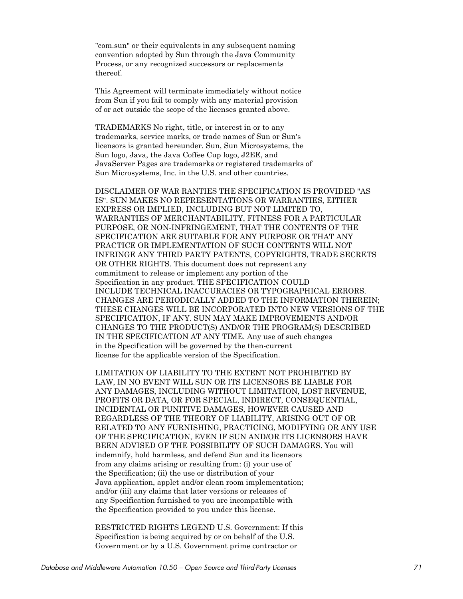"com.sun" or their equivalents in any subsequent naming convention adopted by Sun through the Java Community Process, or any recognized successors or replacements thereof.

This Agreement will terminate immediately without notice from Sun if you fail to comply with any material provision of or act outside the scope of the licenses granted above.

TRADEMARKS No right, title, or interest in or to any trademarks, service marks, or trade names of Sun or Sun's licensors is granted hereunder. Sun, Sun Microsystems, the Sun logo, Java, the Java Coffee Cup logo, J2EE, and JavaServer Pages are trademarks or registered trademarks of Sun Microsystems, Inc. in the U.S. and other countries.

DISCLAIMER OF WAR RANTIES THE SPECIFICATION IS PROVIDED "AS IS". SUN MAKES NO REPRESENTATIONS OR WARRANTIES, EITHER EXPRESS OR IMPLIED, INCLUDING BUT NOT LIMITED TO, WARRANTIES OF MERCHANTABILITY, FITNESS FOR A PARTICULAR PURPOSE, OR NON-INFRINGEMENT, THAT THE CONTENTS OF THE SPECIFICATION ARE SUITABLE FOR ANY PURPOSE OR THAT ANY PRACTICE OR IMPLEMENTATION OF SUCH CONTENTS WILL NOT INFRINGE ANY THIRD PARTY PATENTS, COPYRIGHTS, TRADE SECRETS OR OTHER RIGHTS. This document does not represent any commitment to release or implement any portion of the Specification in any product. THE SPECIFICATION COULD INCLUDE TECHNICAL INACCURACIES OR TYPOGRAPHICAL ERRORS. CHANGES ARE PERIODICALLY ADDED TO THE INFORMATION THEREIN; THESE CHANGES WILL BE INCORPORATED INTO NEW VERSIONS OF THE SPECIFICATION, IF ANY. SUN MAY MAKE IMPROVEMENTS AND/OR CHANGES TO THE PRODUCT(S) AND/OR THE PROGRAM(S) DESCRIBED IN THE SPECIFICATION AT ANY TIME. Any use of such changes in the Specification will be governed by the then-current license for the applicable version of the Specification.

LIMITATION OF LIABILITY TO THE EXTENT NOT PROHIBITED BY LAW, IN NO EVENT WILL SUN OR ITS LICENSORS BE LIABLE FOR ANY DAMAGES, INCLUDING WITHOUT LIMITATION, LOST REVENUE, PROFITS OR DATA, OR FOR SPECIAL, INDIRECT, CONSEQUENTIAL, INCIDENTAL OR PUNITIVE DAMAGES, HOWEVER CAUSED AND REGARDLESS OF THE THEORY OF LIABILITY, ARISING OUT OF OR RELATED TO ANY FURNISHING, PRACTICING, MODIFYING OR ANY USE OF THE SPECIFICATION, EVEN IF SUN AND/OR ITS LICENSORS HAVE BEEN ADVISED OF THE POSSIBILITY OF SUCH DAMAGES. You will indemnify, hold harmless, and defend Sun and its licensors from any claims arising or resulting from: (i) your use of the Specification; (ii) the use or distribution of your Java application, applet and/or clean room implementation; and/or (iii) any claims that later versions or releases of any Specification furnished to you are incompatible with the Specification provided to you under this license.

RESTRICTED RIGHTS LEGEND U.S. Government: If this Specification is being acquired by or on behalf of the U.S. Government or by a U.S. Government prime contractor or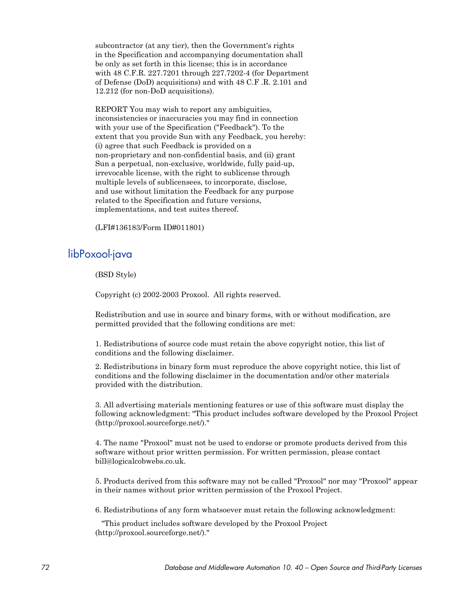subcontractor (at any tier), then the Government's rights in the Specification and accompanying documentation shall be only as set forth in this license; this is in accordance with 48 C.F.R. 227.7201 through 227.7202-4 (for Department of Defense (DoD) acquisitions) and with 48 C.F .R. 2.101 and 12.212 (for non-DoD acquisitions).

REPORT You may wish to report any ambiguities, inconsistencies or inaccuracies you may find in connection with your use of the Specification ("Feedback"). To the extent that you provide Sun with any Feedback, you hereby: (i) agree that such Feedback is provided on a non-proprietary and non-confidential basis, and (ii) grant Sun a perpetual, non-exclusive, worldwide, fully paid-up, irrevocable license, with the right to sublicense through multiple levels of sublicensees, to incorporate, disclose, and use without limitation the Feedback for any purpose related to the Specification and future versions, implementations, and test suites thereof.

(LFI#136183/Form ID#011801)

### libPoxool-java

(BSD Style)

Copyright (c) 2002-2003 Proxool. All rights reserved.

Redistribution and use in source and binary forms, with or without modification, are permitted provided that the following conditions are met:

1. Redistributions of source code must retain the above copyright notice, this list of conditions and the following disclaimer.

2. Redistributions in binary form must reproduce the above copyright notice, this list of conditions and the following disclaimer in the documentation and/or other materials provided with the distribution.

3. All advertising materials mentioning features or use of this software must display the following acknowledgment: "This product includes software developed by the Proxool Project (http://proxool.sourceforge.net/)."

4. The name "Proxool" must not be used to endorse or promote products derived from this software without prior written permission. For written permission, please contact bill@logicalcobwebs.co.uk.

5. Products derived from this software may not be called "Proxool" nor may "Proxool" appear in their names without prior written permission of the Proxool Project.

6. Redistributions of any form whatsoever must retain the following acknowledgment:

 "This product includes software developed by the Proxool Project (http://proxool.sourceforge.net/)."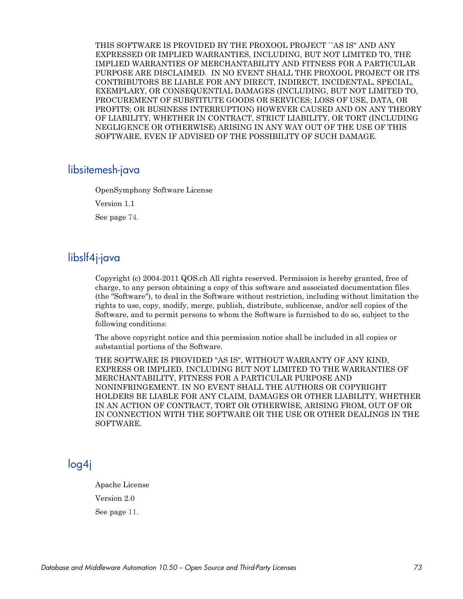THIS SOFTWARE IS PROVIDED BY THE PROXOOL PROJECT ``AS IS'' AND ANY EXPRESSED OR IMPLIED WARRANTIES, INCLUDING, BUT NOT LIMITED TO, THE IMPLIED WARRANTIES OF MERCHANTABILITY AND FITNESS FOR A PARTICULAR PURPOSE ARE DISCLAIMED. IN NO EVENT SHALL THE PROXOOL PROJECT OR ITS CONTRIBUTORS BE LIABLE FOR ANY DIRECT, INDIRECT, INCIDENTAL, SPECIAL, EXEMPLARY, OR CONSEQUENTIAL DAMAGES (INCLUDING, BUT NOT LIMITED TO, PROCUREMENT OF SUBSTITUTE GOODS OR SERVICES; LOSS OF USE, DATA, OR PROFITS; OR BUSINESS INTERRUPTION) HOWEVER CAUSED AND ON ANY THEORY OF LIABILITY, WHETHER IN CONTRACT, STRICT LIABILITY, OR TORT (INCLUDING NEGLIGENCE OR OTHERWISE) ARISING IN ANY WAY OUT OF THE USE OF THIS SOFTWARE, EVEN IF ADVISED OF THE POSSIBILITY OF SUCH DAMAGE.

# libsitemesh-java

OpenSymphony Software License

Version 1.1

See page [74.](#page-73-0)

# libslf4j-java

Copyright (c) 2004-2011 QOS.ch All rights reserved. Permission is hereby granted, free of charge, to any person obtaining a copy of this software and associated documentation files (the "Software"), to deal in the Software without restriction, including without limitation the rights to use, copy, modify, merge, publish, distribute, sublicense, and/or sell copies of the Software, and to permit persons to whom the Software is furnished to do so, subject to the following conditions:

The above copyright notice and this permission notice shall be included in all copies or substantial portions of the Software.

THE SOFTWARE IS PROVIDED "AS IS", WITHOUT WARRANTY OF ANY KIND, EXPRESS OR IMPLIED, INCLUDING BUT NOT LIMITED TO THE WARRANTIES OF MERCHANTABILITY, FITNESS FOR A PARTICULAR PURPOSE AND NONINFRINGEMENT. IN NO EVENT SHALL THE AUTHORS OR COPYRIGHT HOLDERS BE LIABLE FOR ANY CLAIM, DAMAGES OR OTHER LIABILITY, WHETHER IN AN ACTION OF CONTRACT, TORT OR OTHERWISE, ARISING FROM, OUT OF OR IN CONNECTION WITH THE SOFTWARE OR THE USE OR OTHER DEALINGS IN THE SOFTWARE.

# log4j

Apache License Version 2.0 See page [11.](#page-10-0)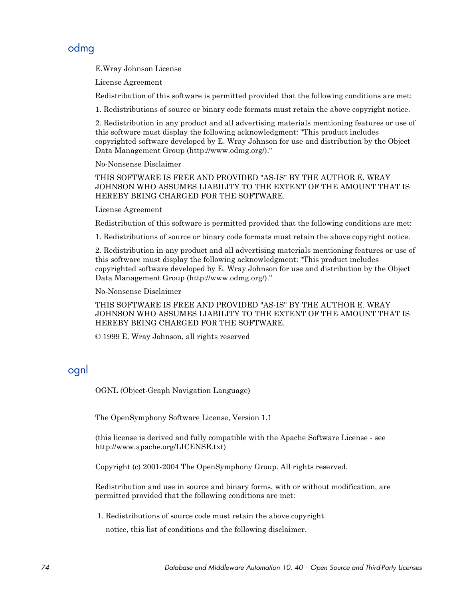

E.Wray Johnson License

License Agreement

Redistribution of this software is permitted provided that the following conditions are met:

1. Redistributions of source or binary code formats must retain the above copyright notice.

2. Redistribution in any product and all advertising materials mentioning features or use of this software must display the following acknowledgment: "This product includes copyrighted software developed by E. Wray Johnson for use and distribution by the Object Data Management Group (http://www.odmg.org/)."

No-Nonsense Disclaimer

THIS SOFTWARE IS FREE AND PROVIDED "AS-IS" BY THE AUTHOR E. WRAY JOHNSON WHO ASSUMES LIABILITY TO THE EXTENT OF THE AMOUNT THAT IS HEREBY BEING CHARGED FOR THE SOFTWARE.

#### License Agreement

Redistribution of this software is permitted provided that the following conditions are met:

1. Redistributions of source or binary code formats must retain the above copyright notice.

2. Redistribution in any product and all advertising materials mentioning features or use of this software must display the following acknowledgment: "This product includes copyrighted software developed by E. Wray Johnson for use and distribution by the Object Data Management Group (http://www.odmg.org/)."

No-Nonsense Disclaimer

THIS SOFTWARE IS FREE AND PROVIDED "AS-IS" BY THE AUTHOR E. WRAY JOHNSON WHO ASSUMES LIABILITY TO THE EXTENT OF THE AMOUNT THAT IS HEREBY BEING CHARGED FOR THE SOFTWARE.

© 1999 E. Wray Johnson, all rights reserved

## <span id="page-73-0"></span>ognl

OGNL (Object-Graph Navigation Language)

The OpenSymphony Software License, Version 1.1

(this license is derived and fully compatible with the Apache Software License - see http://www.apache.org/LICENSE.txt)

Copyright (c) 2001-2004 The OpenSymphony Group. All rights reserved.

Redistribution and use in source and binary forms, with or without modification, are permitted provided that the following conditions are met:

1. Redistributions of source code must retain the above copyright

notice, this list of conditions and the following disclaimer.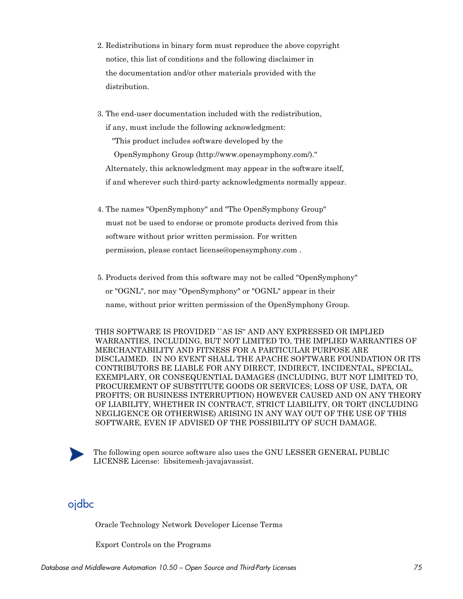- 2. Redistributions in binary form must reproduce the above copyright notice, this list of conditions and the following disclaimer in the documentation and/or other materials provided with the distribution.
- 3. The end-user documentation included with the redistribution, if any, must include the following acknowledgment:

 "This product includes software developed by the OpenSymphony Group (http://www.opensymphony.com/)." Alternately, this acknowledgment may appear in the software itself, if and wherever such third-party acknowledgments normally appear.

- 4. The names "OpenSymphony" and "The OpenSymphony Group" must not be used to endorse or promote products derived from this software without prior written permission. For written permission, please contact license@opensymphony.com .
- 5. Products derived from this software may not be called "OpenSymphony" or "OGNL", nor may "OpenSymphony" or "OGNL" appear in their name, without prior written permission of the OpenSymphony Group.

THIS SOFTWARE IS PROVIDED ``AS IS'' AND ANY EXPRESSED OR IMPLIED WARRANTIES, INCLUDING, BUT NOT LIMITED TO, THE IMPLIED WARRANTIES OF MERCHANTABILITY AND FITNESS FOR A PARTICULAR PURPOSE ARE DISCLAIMED. IN NO EVENT SHALL THE APACHE SOFTWARE FOUNDATION OR ITS CONTRIBUTORS BE LIABLE FOR ANY DIRECT, INDIRECT, INCIDENTAL, SPECIAL, EXEMPLARY, OR CONSEQUENTIAL DAMAGES (INCLUDING, BUT NOT LIMITED TO, PROCUREMENT OF SUBSTITUTE GOODS OR SERVICES; LOSS OF USE, DATA, OR PROFITS; OR BUSINESS INTERRUPTION) HOWEVER CAUSED AND ON ANY THEORY OF LIABILITY, WHETHER IN CONTRACT, STRICT LIABILITY, OR TORT (INCLUDING NEGLIGENCE OR OTHERWISE) ARISING IN ANY WAY OUT OF THE USE OF THIS SOFTWARE, EVEN IF ADVISED OF THE POSSIBILITY OF SUCH DAMAGE.

The following open source software also uses the [GNU LESSER GENERAL PUBLIC](#page-16-0)  [LICENSE](#page-16-0) License: libsitemesh-javajavassist.

# ojdbc

Oracle Technology Network Developer License Terms

Export Controls on the Programs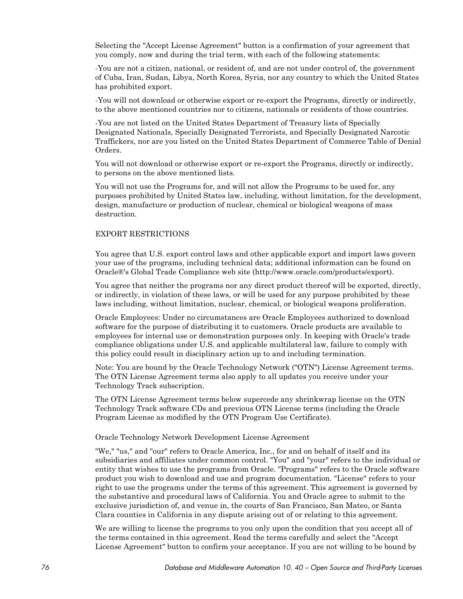Selecting the "Accept License Agreement" button is a confirmation of your agreement that you comply, now and during the trial term, with each of the following statements:

-You are not a citizen, national, or resident of, and are not under control of, the government of Cuba, Iran, Sudan, Libya, North Korea, Syria, nor any country to which the United States has prohibited export.

-You will not download or otherwise export or re-export the Programs, directly or indirectly, to the above mentioned countries nor to citizens, nationals or residents of those countries.

-You are not listed on the United States Department of Treasury lists of Specially Designated Nationals, Specially Designated Terrorists, and Specially Designated Narcotic Traffickers, nor are you listed on the United States Department of Commerce Table of Denial Orders.

You will not download or otherwise export or re-export the Programs, directly or indirectly, to persons on the above mentioned lists.

You will not use the Programs for, and will not allow the Programs to be used for, any purposes prohibited by United States law, including, without limitation, for the development, design, manufacture or production of nuclear, chemical or biological weapons of mass destruction.

### EXPORT RESTRICTIONS

You agree that U.S. export control laws and other applicable export and import laws govern your use of the programs, including technical data; additional information can be found on Oracle®'s Global Trade Compliance web site (http://www.oracle.com/products/export).

You agree that neither the programs nor any direct product thereof will be exported, directly, or indirectly, in violation of these laws, or will be used for any purpose prohibited by these laws including, without limitation, nuclear, chemical, or biological weapons proliferation.

Oracle Employees: Under no circumstances are Oracle Employees authorized to download software for the purpose of distributing it to customers. Oracle products are available to employees for internal use or demonstration purposes only. In keeping with Oracle's trade compliance obligations under U.S. and applicable multilateral law, failure to comply with this policy could result in disciplinary action up to and including termination.

Note: You are bound by the Oracle Technology Network ("OTN") License Agreement terms. The OTN License Agreement terms also apply to all updates you receive under your Technology Track subscription.

The OTN License Agreement terms below supercede any shrinkwrap license on the OTN Technology Track software CDs and previous OTN License terms (including the Oracle Program License as modified by the OTN Program Use Certificate).

Oracle Technology Network Development License Agreement

"We," "us," and "our" refers to Oracle America, Inc., for and on behalf of itself and its subsidiaries and affiliates under common control. "You" and "your" refers to the individual or entity that wishes to use the programs from Oracle. "Programs" refers to the Oracle software product you wish to download and use and program documentation. "License" refers to your right to use the programs under the terms of this agreement. This agreement is governed by the substantive and procedural laws of California. You and Oracle agree to submit to the exclusive jurisdiction of, and venue in, the courts of San Francisco, San Mateo, or Santa Clara counties in California in any dispute arising out of or relating to this agreement.

We are willing to license the programs to you only upon the condition that you accept all of the terms contained in this agreement. Read the terms carefully and select the "Accept License Agreement" button to confirm your acceptance. If you are not willing to be bound by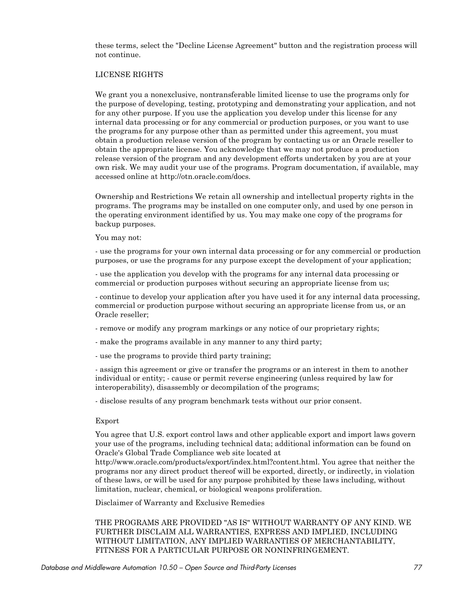these terms, select the "Decline License Agreement" button and the registration process will not continue.

## LICENSE RIGHTS

We grant you a nonexclusive, nontransferable limited license to use the programs only for the purpose of developing, testing, prototyping and demonstrating your application, and not for any other purpose. If you use the application you develop under this license for any internal data processing or for any commercial or production purposes, or you want to use the programs for any purpose other than as permitted under this agreement, you must obtain a production release version of the program by contacting us or an Oracle reseller to obtain the appropriate license. You acknowledge that we may not produce a production release version of the program and any development efforts undertaken by you are at your own risk. We may audit your use of the programs. Program documentation, if available, may accessed online at http://otn.oracle.com/docs.

Ownership and Restrictions We retain all ownership and intellectual property rights in the programs. The programs may be installed on one computer only, and used by one person in the operating environment identified by us. You may make one copy of the programs for backup purposes.

You may not:

- use the programs for your own internal data processing or for any commercial or production purposes, or use the programs for any purpose except the development of your application;

- use the application you develop with the programs for any internal data processing or commercial or production purposes without securing an appropriate license from us;

- continue to develop your application after you have used it for any internal data processing, commercial or production purpose without securing an appropriate license from us, or an Oracle reseller;

- remove or modify any program markings or any notice of our proprietary rights;

- make the programs available in any manner to any third party;

- use the programs to provide third party training;

- assign this agreement or give or transfer the programs or an interest in them to another individual or entity; - cause or permit reverse engineering (unless required by law for interoperability), disassembly or decompilation of the programs;

- disclose results of any program benchmark tests without our prior consent.

#### Export

You agree that U.S. export control laws and other applicable export and import laws govern your use of the programs, including technical data; additional information can be found on Oracle's Global Trade Compliance web site located at

http://www.oracle.com/products/export/index.html?content.html. You agree that neither the programs nor any direct product thereof will be exported, directly, or indirectly, in violation of these laws, or will be used for any purpose prohibited by these laws including, without limitation, nuclear, chemical, or biological weapons proliferation.

Disclaimer of Warranty and Exclusive Remedies

THE PROGRAMS ARE PROVIDED "AS IS" WITHOUT WARRANTY OF ANY KIND. WE FURTHER DISCLAIM ALL WARRANTIES, EXPRESS AND IMPLIED, INCLUDING WITHOUT LIMITATION, ANY IMPLIED WARRANTIES OF MERCHANTABILITY, FITNESS FOR A PARTICULAR PURPOSE OR NONINFRINGEMENT.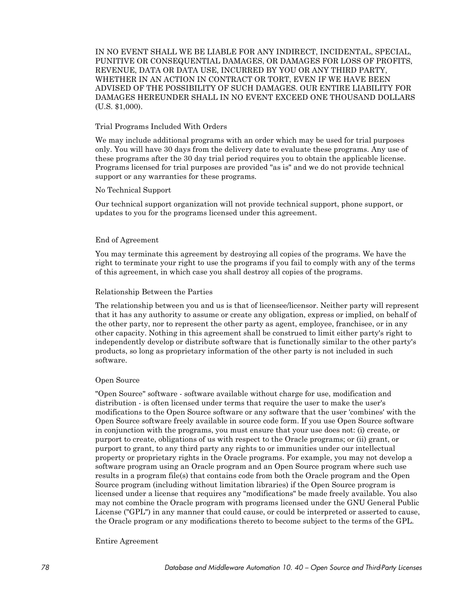IN NO EVENT SHALL WE BE LIABLE FOR ANY INDIRECT, INCIDENTAL, SPECIAL, PUNITIVE OR CONSEQUENTIAL DAMAGES, OR DAMAGES FOR LOSS OF PROFITS, REVENUE, DATA OR DATA USE, INCURRED BY YOU OR ANY THIRD PARTY, WHETHER IN AN ACTION IN CONTRACT OR TORT, EVEN IF WE HAVE BEEN ADVISED OF THE POSSIBILITY OF SUCH DAMAGES. OUR ENTIRE LIABILITY FOR DAMAGES HEREUNDER SHALL IN NO EVENT EXCEED ONE THOUSAND DOLLARS (U.S. \$1,000).

### Trial Programs Included With Orders

We may include additional programs with an order which may be used for trial purposes only. You will have 30 days from the delivery date to evaluate these programs. Any use of these programs after the 30 day trial period requires you to obtain the applicable license. Programs licensed for trial purposes are provided "as is" and we do not provide technical support or any warranties for these programs.

#### No Technical Support

Our technical support organization will not provide technical support, phone support, or updates to you for the programs licensed under this agreement.

### End of Agreement

You may terminate this agreement by destroying all copies of the programs. We have the right to terminate your right to use the programs if you fail to comply with any of the terms of this agreement, in which case you shall destroy all copies of the programs.

### Relationship Between the Parties

The relationship between you and us is that of licensee/licensor. Neither party will represent that it has any authority to assume or create any obligation, express or implied, on behalf of the other party, nor to represent the other party as agent, employee, franchisee, or in any other capacity. Nothing in this agreement shall be construed to limit either party's right to independently develop or distribute software that is functionally similar to the other party's products, so long as proprietary information of the other party is not included in such software.

#### Open Source

"Open Source" software - software available without charge for use, modification and distribution - is often licensed under terms that require the user to make the user's modifications to the Open Source software or any software that the user 'combines' with the Open Source software freely available in source code form. If you use Open Source software in conjunction with the programs, you must ensure that your use does not: (i) create, or purport to create, obligations of us with respect to the Oracle programs; or (ii) grant, or purport to grant, to any third party any rights to or immunities under our intellectual property or proprietary rights in the Oracle programs. For example, you may not develop a software program using an Oracle program and an Open Source program where such use results in a program file(s) that contains code from both the Oracle program and the Open Source program (including without limitation libraries) if the Open Source program is licensed under a license that requires any "modifications" be made freely available. You also may not combine the Oracle program with programs licensed under the GNU General Public License ("GPL") in any manner that could cause, or could be interpreted or asserted to cause, the Oracle program or any modifications thereto to become subject to the terms of the GPL.

#### Entire Agreement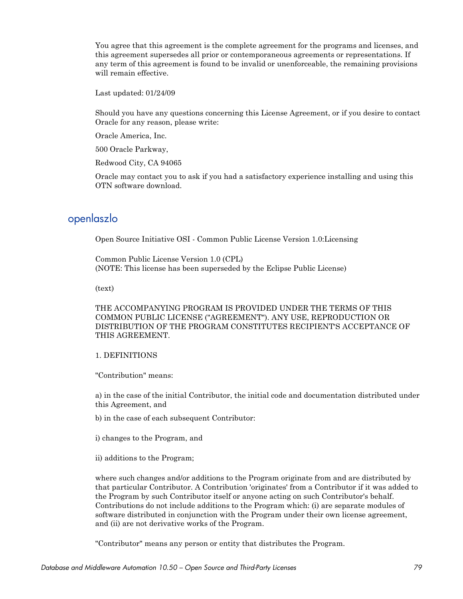You agree that this agreement is the complete agreement for the programs and licenses, and this agreement supersedes all prior or contemporaneous agreements or representations. If any term of this agreement is found to be invalid or unenforceable, the remaining provisions will remain effective.

Last updated: 01/24/09

Should you have any questions concerning this License Agreement, or if you desire to contact Oracle for any reason, please write:

Oracle America, Inc.

500 Oracle Parkway,

Redwood City, CA 94065

Oracle may contact you to ask if you had a satisfactory experience installing and using this OTN software download.

# openlaszlo

Open Source Initiative OSI - Common Public License Version 1.0:Licensing

Common Public License Version 1.0 (CPL) (NOTE: This license has been superseded by the Eclipse Public License)

(text)

## THE ACCOMPANYING PROGRAM IS PROVIDED UNDER THE TERMS OF THIS COMMON PUBLIC LICENSE ("AGREEMENT"). ANY USE, REPRODUCTION OR DISTRIBUTION OF THE PROGRAM CONSTITUTES RECIPIENT'S ACCEPTANCE OF THIS AGREEMENT.

#### 1. DEFINITIONS

"Contribution" means:

a) in the case of the initial Contributor, the initial code and documentation distributed under this Agreement, and

b) in the case of each subsequent Contributor:

i) changes to the Program, and

ii) additions to the Program;

where such changes and/or additions to the Program originate from and are distributed by that particular Contributor. A Contribution 'originates' from a Contributor if it was added to the Program by such Contributor itself or anyone acting on such Contributor's behalf. Contributions do not include additions to the Program which: (i) are separate modules of software distributed in conjunction with the Program under their own license agreement, and (ii) are not derivative works of the Program.

"Contributor" means any person or entity that distributes the Program.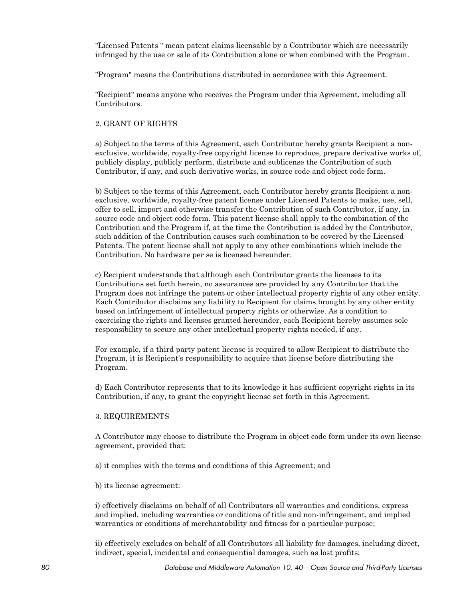"Licensed Patents " mean patent claims licensable by a Contributor which are necessarily infringed by the use or sale of its Contribution alone or when combined with the Program.

"Program" means the Contributions distributed in accordance with this Agreement.

"Recipient" means anyone who receives the Program under this Agreement, including all Contributors.

### 2. GRANT OF RIGHTS

a) Subject to the terms of this Agreement, each Contributor hereby grants Recipient a nonexclusive, worldwide, royalty-free copyright license to reproduce, prepare derivative works of, publicly display, publicly perform, distribute and sublicense the Contribution of such Contributor, if any, and such derivative works, in source code and object code form.

b) Subject to the terms of this Agreement, each Contributor hereby grants Recipient a nonexclusive, worldwide, royalty-free patent license under Licensed Patents to make, use, sell, offer to sell, import and otherwise transfer the Contribution of such Contributor, if any, in source code and object code form. This patent license shall apply to the combination of the Contribution and the Program if, at the time the Contribution is added by the Contributor, such addition of the Contribution causes such combination to be covered by the Licensed Patents. The patent license shall not apply to any other combinations which include the Contribution. No hardware per se is licensed hereunder.

c) Recipient understands that although each Contributor grants the licenses to its Contributions set forth herein, no assurances are provided by any Contributor that the Program does not infringe the patent or other intellectual property rights of any other entity. Each Contributor disclaims any liability to Recipient for claims brought by any other entity based on infringement of intellectual property rights or otherwise. As a condition to exercising the rights and licenses granted hereunder, each Recipient hereby assumes sole responsibility to secure any other intellectual property rights needed, if any.

For example, if a third party patent license is required to allow Recipient to distribute the Program, it is Recipient's responsibility to acquire that license before distributing the Program.

d) Each Contributor represents that to its knowledge it has sufficient copyright rights in its Contribution, if any, to grant the copyright license set forth in this Agreement.

#### 3. REQUIREMENTS

A Contributor may choose to distribute the Program in object code form under its own license agreement, provided that:

a) it complies with the terms and conditions of this Agreement; and

b) its license agreement:

i) effectively disclaims on behalf of all Contributors all warranties and conditions, express and implied, including warranties or conditions of title and non-infringement, and implied warranties or conditions of merchantability and fitness for a particular purpose;

ii) effectively excludes on behalf of all Contributors all liability for damages, including direct, indirect, special, incidental and consequential damages, such as lost profits;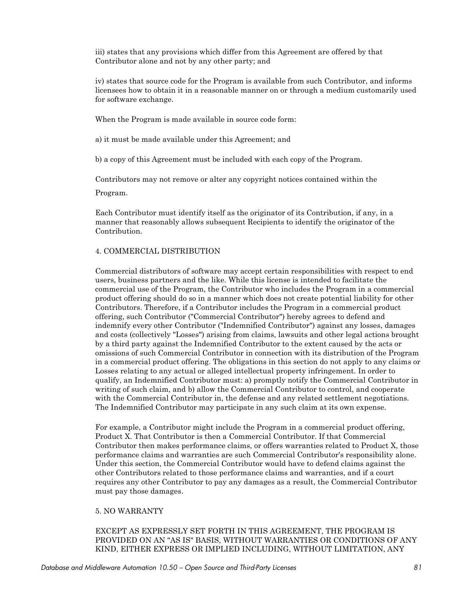iii) states that any provisions which differ from this Agreement are offered by that Contributor alone and not by any other party; and

iv) states that source code for the Program is available from such Contributor, and informs licensees how to obtain it in a reasonable manner on or through a medium customarily used for software exchange.

When the Program is made available in source code form:

a) it must be made available under this Agreement; and

b) a copy of this Agreement must be included with each copy of the Program.

Contributors may not remove or alter any copyright notices contained within the

Program.

Each Contributor must identify itself as the originator of its Contribution, if any, in a manner that reasonably allows subsequent Recipients to identify the originator of the Contribution.

### 4. COMMERCIAL DISTRIBUTION

Commercial distributors of software may accept certain responsibilities with respect to end users, business partners and the like. While this license is intended to facilitate the commercial use of the Program, the Contributor who includes the Program in a commercial product offering should do so in a manner which does not create potential liability for other Contributors. Therefore, if a Contributor includes the Program in a commercial product offering, such Contributor ("Commercial Contributor") hereby agrees to defend and indemnify every other Contributor ("Indemnified Contributor") against any losses, damages and costs (collectively "Losses") arising from claims, lawsuits and other legal actions brought by a third party against the Indemnified Contributor to the extent caused by the acts or omissions of such Commercial Contributor in connection with its distribution of the Program in a commercial product offering. The obligations in this section do not apply to any claims or Losses relating to any actual or alleged intellectual property infringement. In order to qualify, an Indemnified Contributor must: a) promptly notify the Commercial Contributor in writing of such claim, and b) allow the Commercial Contributor to control, and cooperate with the Commercial Contributor in, the defense and any related settlement negotiations. The Indemnified Contributor may participate in any such claim at its own expense.

For example, a Contributor might include the Program in a commercial product offering, Product X. That Contributor is then a Commercial Contributor. If that Commercial Contributor then makes performance claims, or offers warranties related to Product X, those performance claims and warranties are such Commercial Contributor's responsibility alone. Under this section, the Commercial Contributor would have to defend claims against the other Contributors related to those performance claims and warranties, and if a court requires any other Contributor to pay any damages as a result, the Commercial Contributor must pay those damages.

### 5. NO WARRANTY

EXCEPT AS EXPRESSLY SET FORTH IN THIS AGREEMENT, THE PROGRAM IS PROVIDED ON AN "AS IS" BASIS, WITHOUT WARRANTIES OR CONDITIONS OF ANY KIND, EITHER EXPRESS OR IMPLIED INCLUDING, WITHOUT LIMITATION, ANY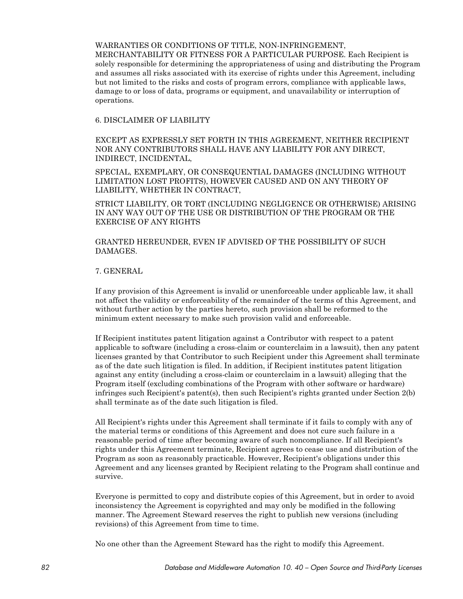## WARRANTIES OR CONDITIONS OF TITLE, NON-INFRINGEMENT,

MERCHANTABILITY OR FITNESS FOR A PARTICULAR PURPOSE. Each Recipient is solely responsible for determining the appropriateness of using and distributing the Program and assumes all risks associated with its exercise of rights under this Agreement, including but not limited to the risks and costs of program errors, compliance with applicable laws, damage to or loss of data, programs or equipment, and unavailability or interruption of operations.

### 6. DISCLAIMER OF LIABILITY

EXCEPT AS EXPRESSLY SET FORTH IN THIS AGREEMENT, NEITHER RECIPIENT NOR ANY CONTRIBUTORS SHALL HAVE ANY LIABILITY FOR ANY DIRECT, INDIRECT, INCIDENTAL,

SPECIAL, EXEMPLARY, OR CONSEQUENTIAL DAMAGES (INCLUDING WITHOUT LIMITATION LOST PROFITS), HOWEVER CAUSED AND ON ANY THEORY OF LIABILITY, WHETHER IN CONTRACT,

STRICT LIABILITY, OR TORT (INCLUDING NEGLIGENCE OR OTHERWISE) ARISING IN ANY WAY OUT OF THE USE OR DISTRIBUTION OF THE PROGRAM OR THE EXERCISE OF ANY RIGHTS

GRANTED HEREUNDER, EVEN IF ADVISED OF THE POSSIBILITY OF SUCH DAMAGES.

## 7. GENERAL

If any provision of this Agreement is invalid or unenforceable under applicable law, it shall not affect the validity or enforceability of the remainder of the terms of this Agreement, and without further action by the parties hereto, such provision shall be reformed to the minimum extent necessary to make such provision valid and enforceable.

If Recipient institutes patent litigation against a Contributor with respect to a patent applicable to software (including a cross-claim or counterclaim in a lawsuit), then any patent licenses granted by that Contributor to such Recipient under this Agreement shall terminate as of the date such litigation is filed. In addition, if Recipient institutes patent litigation against any entity (including a cross-claim or counterclaim in a lawsuit) alleging that the Program itself (excluding combinations of the Program with other software or hardware) infringes such Recipient's patent(s), then such Recipient's rights granted under Section 2(b) shall terminate as of the date such litigation is filed.

All Recipient's rights under this Agreement shall terminate if it fails to comply with any of the material terms or conditions of this Agreement and does not cure such failure in a reasonable period of time after becoming aware of such noncompliance. If all Recipient's rights under this Agreement terminate, Recipient agrees to cease use and distribution of the Program as soon as reasonably practicable. However, Recipient's obligations under this Agreement and any licenses granted by Recipient relating to the Program shall continue and survive.

Everyone is permitted to copy and distribute copies of this Agreement, but in order to avoid inconsistency the Agreement is copyrighted and may only be modified in the following manner. The Agreement Steward reserves the right to publish new versions (including revisions) of this Agreement from time to time.

No one other than the Agreement Steward has the right to modify this Agreement.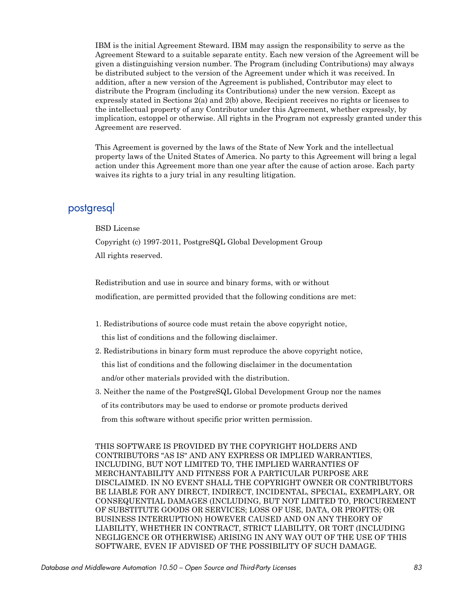IBM is the initial Agreement Steward. IBM may assign the responsibility to serve as the Agreement Steward to a suitable separate entity. Each new version of the Agreement will be given a distinguishing version number. The Program (including Contributions) may always be distributed subject to the version of the Agreement under which it was received. In addition, after a new version of the Agreement is published, Contributor may elect to distribute the Program (including its Contributions) under the new version. Except as expressly stated in Sections 2(a) and 2(b) above, Recipient receives no rights or licenses to the intellectual property of any Contributor under this Agreement, whether expressly, by implication, estoppel or otherwise. All rights in the Program not expressly granted under this Agreement are reserved.

This Agreement is governed by the laws of the State of New York and the intellectual property laws of the United States of America. No party to this Agreement will bring a legal action under this Agreement more than one year after the cause of action arose. Each party waives its rights to a jury trial in any resulting litigation.

# postgresql

### BSD License

Copyright (c) 1997-2011, PostgreSQL Global Development Group All rights reserved.

Redistribution and use in source and binary forms, with or without modification, are permitted provided that the following conditions are met:

- 1. Redistributions of source code must retain the above copyright notice, this list of conditions and the following disclaimer.
- 2. Redistributions in binary form must reproduce the above copyright notice, this list of conditions and the following disclaimer in the documentation and/or other materials provided with the distribution.
- 3. Neither the name of the PostgreSQL Global Development Group nor the names of its contributors may be used to endorse or promote products derived from this software without specific prior written permission.

THIS SOFTWARE IS PROVIDED BY THE COPYRIGHT HOLDERS AND CONTRIBUTORS "AS IS" AND ANY EXPRESS OR IMPLIED WARRANTIES, INCLUDING, BUT NOT LIMITED TO, THE IMPLIED WARRANTIES OF MERCHANTABILITY AND FITNESS FOR A PARTICULAR PURPOSE ARE DISCLAIMED. IN NO EVENT SHALL THE COPYRIGHT OWNER OR CONTRIBUTORS BE LIABLE FOR ANY DIRECT, INDIRECT, INCIDENTAL, SPECIAL, EXEMPLARY, OR CONSEQUENTIAL DAMAGES (INCLUDING, BUT NOT LIMITED TO, PROCUREMENT OF SUBSTITUTE GOODS OR SERVICES; LOSS OF USE, DATA, OR PROFITS; OR BUSINESS INTERRUPTION) HOWEVER CAUSED AND ON ANY THEORY OF LIABILITY, WHETHER IN CONTRACT, STRICT LIABILITY, OR TORT (INCLUDING NEGLIGENCE OR OTHERWISE) ARISING IN ANY WAY OUT OF THE USE OF THIS SOFTWARE, EVEN IF ADVISED OF THE POSSIBILITY OF SUCH DAMAGE.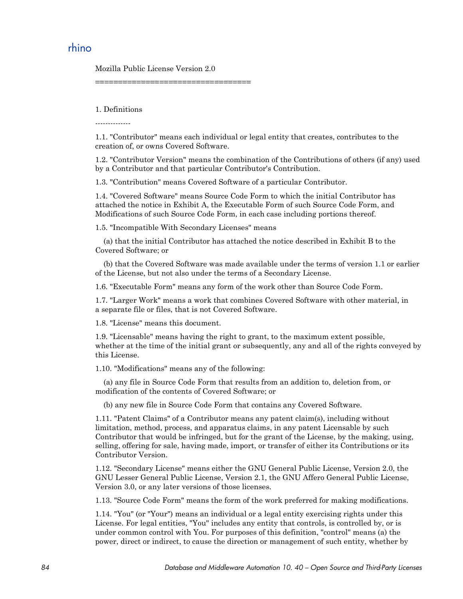# rhino

Mozilla Public License Version 2.0

==================================

1. Definitions

--------------

1.1. "Contributor" means each individual or legal entity that creates, contributes to the creation of, or owns Covered Software.

1.2. "Contributor Version" means the combination of the Contributions of others (if any) used by a Contributor and that particular Contributor's Contribution.

1.3. "Contribution" means Covered Software of a particular Contributor.

1.4. "Covered Software" means Source Code Form to which the initial Contributor has attached the notice in Exhibit A, the Executable Form of such Source Code Form, and Modifications of such Source Code Form, in each case including portions thereof.

1.5. "Incompatible With Secondary Licenses" means

 (a) that the initial Contributor has attached the notice described in Exhibit B to the Covered Software; or

 (b) that the Covered Software was made available under the terms of version 1.1 or earlier of the License, but not also under the terms of a Secondary License.

1.6. "Executable Form" means any form of the work other than Source Code Form.

1.7. "Larger Work" means a work that combines Covered Software with other material, in a separate file or files, that is not Covered Software.

1.8. "License" means this document.

1.9. "Licensable" means having the right to grant, to the maximum extent possible, whether at the time of the initial grant or subsequently, any and all of the rights conveyed by this License.

1.10. "Modifications" means any of the following:

 (a) any file in Source Code Form that results from an addition to, deletion from, or modification of the contents of Covered Software; or

(b) any new file in Source Code Form that contains any Covered Software.

1.11. "Patent Claims" of a Contributor means any patent claim(s), including without limitation, method, process, and apparatus claims, in any patent Licensable by such Contributor that would be infringed, but for the grant of the License, by the making, using, selling, offering for sale, having made, import, or transfer of either its Contributions or its Contributor Version.

1.12. "Secondary License" means either the GNU General Public License, Version 2.0, the GNU Lesser General Public License, Version 2.1, the GNU Affero General Public License, Version 3.0, or any later versions of those licenses.

1.13. "Source Code Form" means the form of the work preferred for making modifications.

1.14. "You" (or "Your") means an individual or a legal entity exercising rights under this License. For legal entities, "You" includes any entity that controls, is controlled by, or is under common control with You. For purposes of this definition, "control" means (a) the power, direct or indirect, to cause the direction or management of such entity, whether by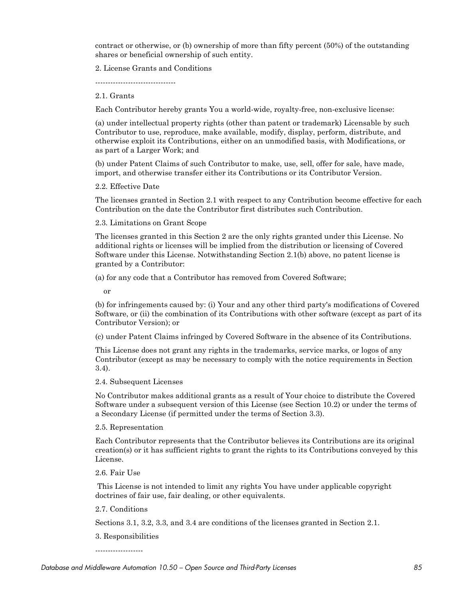contract or otherwise, or (b) ownership of more than fifty percent (50%) of the outstanding shares or beneficial ownership of such entity.

2. License Grants and Conditions

--------------------------------

### 2.1. Grants

Each Contributor hereby grants You a world-wide, royalty-free, non-exclusive license:

(a) under intellectual property rights (other than patent or trademark) Licensable by such Contributor to use, reproduce, make available, modify, display, perform, distribute, and otherwise exploit its Contributions, either on an unmodified basis, with Modifications, or as part of a Larger Work; and

(b) under Patent Claims of such Contributor to make, use, sell, offer for sale, have made, import, and otherwise transfer either its Contributions or its Contributor Version.

2.2. Effective Date

The licenses granted in Section 2.1 with respect to any Contribution become effective for each Contribution on the date the Contributor first distributes such Contribution.

2.3. Limitations on Grant Scope

The licenses granted in this Section 2 are the only rights granted under this License. No additional rights or licenses will be implied from the distribution or licensing of Covered Software under this License. Notwithstanding Section 2.1(b) above, no patent license is granted by a Contributor:

(a) for any code that a Contributor has removed from Covered Software;

or

(b) for infringements caused by: (i) Your and any other third party's modifications of Covered Software, or (ii) the combination of its Contributions with other software (except as part of its Contributor Version); or

(c) under Patent Claims infringed by Covered Software in the absence of its Contributions.

This License does not grant any rights in the trademarks, service marks, or logos of any Contributor (except as may be necessary to comply with the notice requirements in Section 3.4).

2.4. Subsequent Licenses

No Contributor makes additional grants as a result of Your choice to distribute the Covered Software under a subsequent version of this License (see Section 10.2) or under the terms of a Secondary License (if permitted under the terms of Section 3.3).

#### 2.5. Representation

Each Contributor represents that the Contributor believes its Contributions are its original creation(s) or it has sufficient rights to grant the rights to its Contributions conveyed by this License.

2.6. Fair Use

This License is not intended to limit any rights You have under applicable copyright doctrines of fair use, fair dealing, or other equivalents.

2.7. Conditions

Sections 3.1, 3.2, 3.3, and 3.4 are conditions of the licenses granted in Section 2.1.

3. Responsibilities

-------------------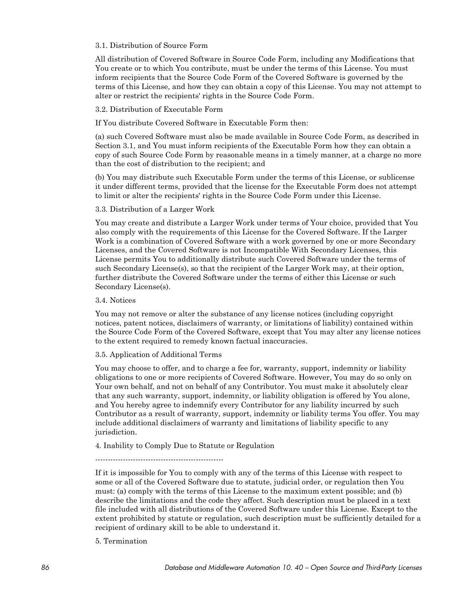### 3.1. Distribution of Source Form

All distribution of Covered Software in Source Code Form, including any Modifications that You create or to which You contribute, must be under the terms of this License. You must inform recipients that the Source Code Form of the Covered Software is governed by the terms of this License, and how they can obtain a copy of this License. You may not attempt to alter or restrict the recipients' rights in the Source Code Form.

### 3.2. Distribution of Executable Form

If You distribute Covered Software in Executable Form then:

(a) such Covered Software must also be made available in Source Code Form, as described in Section 3.1, and You must inform recipients of the Executable Form how they can obtain a copy of such Source Code Form by reasonable means in a timely manner, at a charge no more than the cost of distribution to the recipient; and

(b) You may distribute such Executable Form under the terms of this License, or sublicense it under different terms, provided that the license for the Executable Form does not attempt to limit or alter the recipients' rights in the Source Code Form under this License.

### 3.3. Distribution of a Larger Work

You may create and distribute a Larger Work under terms of Your choice, provided that You also comply with the requirements of this License for the Covered Software. If the Larger Work is a combination of Covered Software with a work governed by one or more Secondary Licenses, and the Covered Software is not Incompatible With Secondary Licenses, this License permits You to additionally distribute such Covered Software under the terms of such Secondary License(s), so that the recipient of the Larger Work may, at their option, further distribute the Covered Software under the terms of either this License or such Secondary License(s).

#### 3.4. Notices

You may not remove or alter the substance of any license notices (including copyright notices, patent notices, disclaimers of warranty, or limitations of liability) contained within the Source Code Form of the Covered Software, except that You may alter any license notices to the extent required to remedy known factual inaccuracies.

#### 3.5. Application of Additional Terms

You may choose to offer, and to charge a fee for, warranty, support, indemnity or liability obligations to one or more recipients of Covered Software. However, You may do so only on Your own behalf, and not on behalf of any Contributor. You must make it absolutely clear that any such warranty, support, indemnity, or liability obligation is offered by You alone, and You hereby agree to indemnify every Contributor for any liability incurred by such Contributor as a result of warranty, support, indemnity or liability terms You offer. You may include additional disclaimers of warranty and limitations of liability specific to any jurisdiction.

4. Inability to Comply Due to Statute or Regulation

#### ---------------------------------------------------

If it is impossible for You to comply with any of the terms of this License with respect to some or all of the Covered Software due to statute, judicial order, or regulation then You must: (a) comply with the terms of this License to the maximum extent possible; and (b) describe the limitations and the code they affect. Such description must be placed in a text file included with all distributions of the Covered Software under this License. Except to the extent prohibited by statute or regulation, such description must be sufficiently detailed for a recipient of ordinary skill to be able to understand it.

5. Termination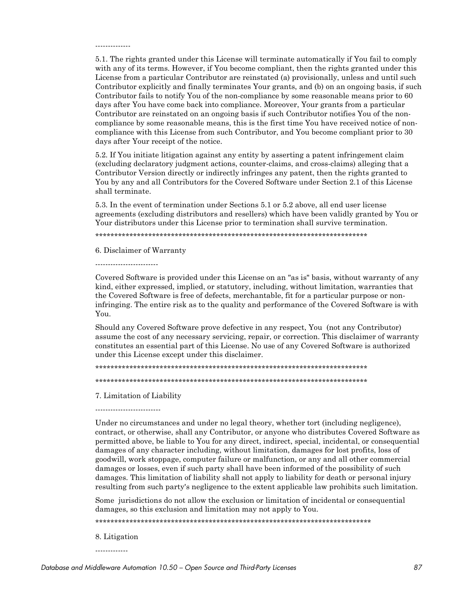--------------

5.1. The rights granted under this License will terminate automatically if You fail to comply with any of its terms. However, if You become compliant, then the rights granted under this License from a particular Contributor are reinstated (a) provisionally, unless and until such Contributor explicitly and finally terminates Your grants, and (b) on an ongoing basis, if such Contributor fails to notify You of the non-compliance by some reasonable means prior to 60 days after You have come back into compliance. Moreover, Your grants from a particular Contributor are reinstated on an ongoing basis if such Contributor notifies You of the noncompliance by some reasonable means, this is the first time You have received notice of noncompliance with this License from such Contributor, and You become compliant prior to 30 days after Your receipt of the notice.

5.2. If You initiate litigation against any entity by asserting a patent infringement claim (excluding declaratory judgment actions, counter-claims, and cross-claims) alleging that a Contributor Version directly or indirectly infringes any patent, then the rights granted to You by any and all Contributors for the Covered Software under Section 2.1 of this License shall terminate.

5.3. In the event of termination under Sections 5.1 or 5.2 above, all end user license agreements (excluding distributors and resellers) which have been validly granted by You or Your distributors under this License prior to termination shall survive termination.

\*\*\*\*\*\*\*\*\*\*\*\*\*\*\*\*\*\*\*\*\*\*\*\*\*\*\*\*\*\*\*\*\*\*\*\*\*\*\*\*\*\*\*\*\*\*\*\*\*\*\*\*\*\*\*\*\*\*\*\*\*\*\*\*\*\*\*\*\*\*\*\*

6. Disclaimer of Warranty

-------------------------

Covered Software is provided under this License on an "as is" basis, without warranty of any kind, either expressed, implied, or statutory, including, without limitation, warranties that the Covered Software is free of defects, merchantable, fit for a particular purpose or noninfringing. The entire risk as to the quality and performance of the Covered Software is with You.

Should any Covered Software prove defective in any respect, You (not any Contributor) assume the cost of any necessary servicing, repair, or correction. This disclaimer of warranty constitutes an essential part of this License. No use of any Covered Software is authorized under this License except under this disclaimer.

\*\*\*\*\*\*\*\*\*\*\*\*\*\*\*\*\*\*\*\*\*\*\*\*\*\*\*\*\*\*\*\*\*\*\*\*\*\*\*\*\*\*\*\*\*\*\*\*\*\*\*\*\*\*\*\*\*\*\*\*\*\*\*\*\*\*\*\*\*\*\*\*

\*\*\*\*\*\*\*\*\*\*\*\*\*\*\*\*\*\*\*\*\*\*\*\*\*\*\*\*\*\*\*\*\*\*\*\*\*\*\*\*\*\*\*\*\*\*\*\*\*\*\*\*\*\*\*\*\*\*\*\*\*\*\*\*\*\*\*\*\*\*\*\*

7. Limitation of Liability

--------------------------

Under no circumstances and under no legal theory, whether tort (including negligence), contract, or otherwise, shall any Contributor, or anyone who distributes Covered Software as permitted above, be liable to You for any direct, indirect, special, incidental, or consequential damages of any character including, without limitation, damages for lost profits, loss of goodwill, work stoppage, computer failure or malfunction, or any and all other commercial damages or losses, even if such party shall have been informed of the possibility of such damages. This limitation of liability shall not apply to liability for death or personal injury resulting from such party's negligence to the extent applicable law prohibits such limitation.

Some jurisdictions do not allow the exclusion or limitation of incidental or consequential damages, so this exclusion and limitation may not apply to You.

\*\*\*\*\*\*\*\*\*\*\*\*\*\*\*\*\*\*\*\*\*\*\*\*\*\*\*\*\*\*\*\*\*\*\*\*\*\*\*\*\*\*\*\*\*\*\*\*\*\*\*\*\*\*\*\*\*\*\*\*\*\*\*\*\*\*\*\*\*\*\*\*\*

8. Litigation

-------------

*Database and Middleware Automation 10.50 – Open Source and Third-Party Licenses 87*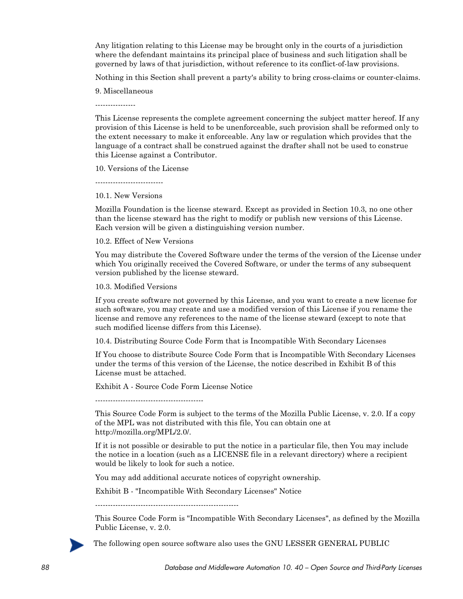Any litigation relating to this License may be brought only in the courts of a jurisdiction where the defendant maintains its principal place of business and such litigation shall be governed by laws of that jurisdiction, without reference to its conflict-of-law provisions.

Nothing in this Section shall prevent a party's ability to bring cross-claims or counter-claims.

9. Miscellaneous

----------------

This License represents the complete agreement concerning the subject matter hereof. If any provision of this License is held to be unenforceable, such provision shall be reformed only to the extent necessary to make it enforceable. Any law or regulation which provides that the language of a contract shall be construed against the drafter shall not be used to construe this License against a Contributor.

10. Versions of the License

---------------------------

10.1. New Versions

Mozilla Foundation is the license steward. Except as provided in Section 10.3, no one other than the license steward has the right to modify or publish new versions of this License. Each version will be given a distinguishing version number.

10.2. Effect of New Versions

You may distribute the Covered Software under the terms of the version of the License under which You originally received the Covered Software, or under the terms of any subsequent version published by the license steward.

10.3. Modified Versions

If you create software not governed by this License, and you want to create a new license for such software, you may create and use a modified version of this License if you rename the license and remove any references to the name of the license steward (except to note that such modified license differs from this License).

10.4. Distributing Source Code Form that is Incompatible With Secondary Licenses

If You choose to distribute Source Code Form that is Incompatible With Secondary Licenses under the terms of this version of the License, the notice described in Exhibit B of this License must be attached.

Exhibit A - Source Code Form License Notice

-------------------------------------------

This Source Code Form is subject to the terms of the Mozilla Public License, v. 2.0. If a copy of the MPL was not distributed with this file, You can obtain one at http://mozilla.org/MPL/2.0/.

If it is not possible or desirable to put the notice in a particular file, then You may include the notice in a location (such as a LICENSE file in a relevant directory) where a recipient would be likely to look for such a notice.

You may add additional accurate notices of copyright ownership.

Exhibit B - "Incompatible With Secondary Licenses" Notice

---------------------------------------------------------

This Source Code Form is "Incompatible With Secondary Licenses", as defined by the Mozilla Public License, v. 2.0.

The following open source software also uses the [GNU LESSER GENERAL PUBLIC](#page-16-0)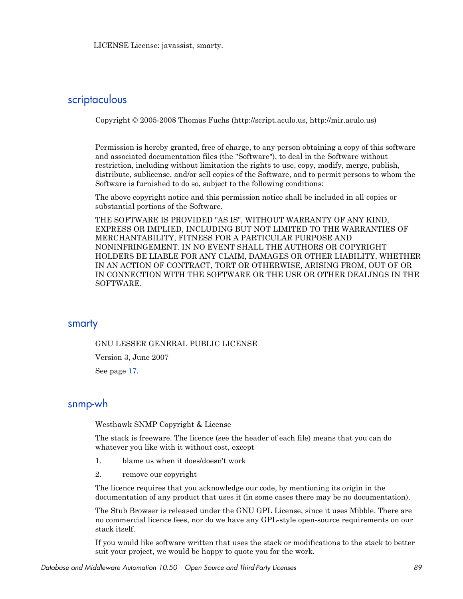[LICENSE](#page-16-0) License: javassist, smarty.

# scriptaculous

Copyright © 2005-2008 Thomas Fuchs (http://script.aculo.us, http://mir.aculo.us)

Permission is hereby granted, free of charge, to any person obtaining a copy of this software and associated documentation files (the "Software"), to deal in the Software without restriction, including without limitation the rights to use, copy, modify, merge, publish, distribute, sublicense, and/or sell copies of the Software, and to permit persons to whom the Software is furnished to do so, subject to the following conditions:

The above copyright notice and this permission notice shall be included in all copies or substantial portions of the Software.

THE SOFTWARE IS PROVIDED "AS IS", WITHOUT WARRANTY OF ANY KIND, EXPRESS OR IMPLIED, INCLUDING BUT NOT LIMITED TO THE WARRANTIES OF MERCHANTABILITY, FITNESS FOR A PARTICULAR PURPOSE AND NONINFRINGEMENT. IN NO EVENT SHALL THE AUTHORS OR COPYRIGHT HOLDERS BE LIABLE FOR ANY CLAIM, DAMAGES OR OTHER LIABILITY, WHETHER IN AN ACTION OF CONTRACT, TORT OR OTHERWISE, ARISING FROM, OUT OF OR IN CONNECTION WITH THE SOFTWARE OR THE USE OR OTHER DEALINGS IN THE SOFTWARE.

## smarty

[GNU LESSER GENERAL PUBLIC LICENSE](#page-16-0)

Version 3, June 2007

See page [17.](#page-16-0)

# snmp-wh

Westhawk SNMP Copyright & License

The stack is freeware. The licence (see the header of each file) means that you can do whatever you like with it without cost, except

- 1. blame us when it does/doesn't work
- 2. remove our copyright

The licence requires that you acknowledge our code, by mentioning its origin in the documentation of any product that uses it (in some cases there may be no documentation).

The Stub Browser is released under the GNU GPL License, since it uses Mibble. There are no commercial licence fees, nor do we have any GPL-style open-source requirements on our stack itself.

If you would like software written that uses the stack or modifications to the stack to better suit your project, we would be happy to quote you for the work.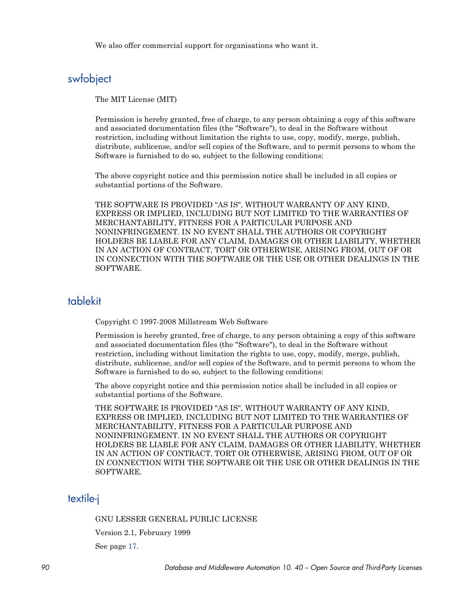We also offer commercial support for organisations who want it.

# swfobject

The MIT License (MIT)

Permission is hereby granted, free of charge, to any person obtaining a copy of this software and associated documentation files (the "Software"), to deal in the Software without restriction, including without limitation the rights to use, copy, modify, merge, publish, distribute, sublicense, and/or sell copies of the Software, and to permit persons to whom the Software is furnished to do so, subject to the following conditions:

The above copyright notice and this permission notice shall be included in all copies or substantial portions of the Software.

THE SOFTWARE IS PROVIDED "AS IS", WITHOUT WARRANTY OF ANY KIND, EXPRESS OR IMPLIED, INCLUDING BUT NOT LIMITED TO THE WARRANTIES OF MERCHANTABILITY, FITNESS FOR A PARTICULAR PURPOSE AND NONINFRINGEMENT. IN NO EVENT SHALL THE AUTHORS OR COPYRIGHT HOLDERS BE LIABLE FOR ANY CLAIM, DAMAGES OR OTHER LIABILITY, WHETHER IN AN ACTION OF CONTRACT, TORT OR OTHERWISE, ARISING FROM, OUT OF OR IN CONNECTION WITH THE SOFTWARE OR THE USE OR OTHER DEALINGS IN THE SOFTWARE.

# tablekit

Copyright © 1997-2008 Millstream Web Software

Permission is hereby granted, free of charge, to any person obtaining a copy of this software and associated documentation files (the "Software"), to deal in the Software without restriction, including without limitation the rights to use, copy, modify, merge, publish, distribute, sublicense, and/or sell copies of the Software, and to permit persons to whom the Software is furnished to do so, subject to the following conditions:

The above copyright notice and this permission notice shall be included in all copies or substantial portions of the Software.

THE SOFTWARE IS PROVIDED "AS IS", WITHOUT WARRANTY OF ANY KIND, EXPRESS OR IMPLIED, INCLUDING BUT NOT LIMITED TO THE WARRANTIES OF MERCHANTABILITY, FITNESS FOR A PARTICULAR PURPOSE AND NONINFRINGEMENT. IN NO EVENT SHALL THE AUTHORS OR COPYRIGHT HOLDERS BE LIABLE FOR ANY CLAIM, DAMAGES OR OTHER LIABILITY, WHETHER IN AN ACTION OF CONTRACT, TORT OR OTHERWISE, ARISING FROM, OUT OF OR IN CONNECTION WITH THE SOFTWARE OR THE USE OR OTHER DEALINGS IN THE SOFTWARE.

# textile-j

[GNU LESSER GENERAL PUBLIC LICENSE](#page-16-0)

Version 2.1, February 1999

See page [17.](#page-16-0)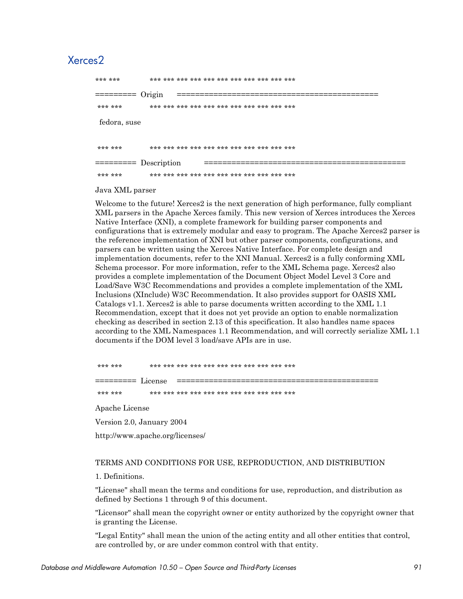# Xerces2

| *** ***      | *** *** *** *** *** *** *** *** *** *** *** *** |  |  |
|--------------|-------------------------------------------------|--|--|
| =========    | Origin                                          |  |  |
| *** ***      | *** *** *** *** *** *** *** *** *** *** *** *** |  |  |
| fedora, suse |                                                 |  |  |
| *** ***      | *** *** *** *** *** *** *** *** *** *** *** *** |  |  |
|              |                                                 |  |  |
| *** ***      | *** *** *** *** *** *** *** *** *** *** *** *** |  |  |

### Java XML parser

Welcome to the future! Xerces2 is the next generation of high performance, fully compliant XML parsers in the Apache Xerces family. This new version of Xerces introduces the Xerces Native Interface (XNI), a complete framework for building parser components and configurations that is extremely modular and easy to program. The Apache Xerces2 parser is the reference implementation of XNI but other parser components, configurations, and parsers can be written using the Xerces Native Interface. For complete design and implementation documents, refer to the XNI Manual. Xerces2 is a fully conforming XML Schema processor. For more information, refer to the XML Schema page. Xerces2 also provides a complete implementation of the Document Object Model Level 3 Core and Load/Save W3C Recommendations and provides a complete implementation of the XML Inclusions (XInclude) W3C Recommendation. It also provides support for OASIS XML Catalogs v1.1. Xerces2 is able to parse documents written according to the XML 1.1 Recommendation, except that it does not yet provide an option to enable normalization checking as described in section 2.13 of this specification. It also handles name spaces according to the XML Namespaces 1.1 Recommendation, and will correctly serialize XML 1.1 documents if the DOM level 3 load/save APIs are in use.

```
*** *** *** *** *** *** *** *** *** *** *** *** ***
```
========= License ============================================

\*\*\* \*\*\* \*\*\* \*\*\* \*\*\* \*\*\* \*\*\* \*\*\* \*\*\* \*\*\* \*\*\* \*\*\* \*\*\*

Apache License

Version 2.0, January 2004

http://www.apache.org/licenses/

#### TERMS AND CONDITIONS FOR USE, REPRODUCTION, AND DISTRIBUTION

#### 1. Definitions.

"License" shall mean the terms and conditions for use, reproduction, and distribution as defined by Sections 1 through 9 of this document.

"Licensor" shall mean the copyright owner or entity authorized by the copyright owner that is granting the License.

"Legal Entity" shall mean the union of the acting entity and all other entities that control, are controlled by, or are under common control with that entity.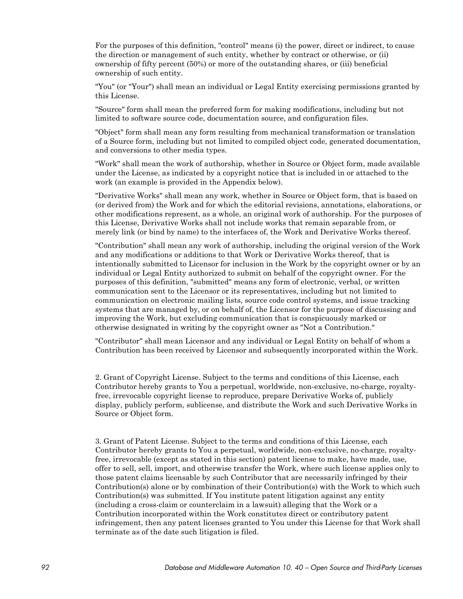For the purposes of this definition, "control" means (i) the power, direct or indirect, to cause the direction or management of such entity, whether by contract or otherwise, or (ii) ownership of fifty percent (50%) or more of the outstanding shares, or (iii) beneficial ownership of such entity.

"You" (or "Your") shall mean an individual or Legal Entity exercising permissions granted by this License.

"Source" form shall mean the preferred form for making modifications, including but not limited to software source code, documentation source, and configuration files.

"Object" form shall mean any form resulting from mechanical transformation or translation of a Source form, including but not limited to compiled object code, generated documentation, and conversions to other media types.

"Work" shall mean the work of authorship, whether in Source or Object form, made available under the License, as indicated by a copyright notice that is included in or attached to the work (an example is provided in the Appendix below).

"Derivative Works" shall mean any work, whether in Source or Object form, that is based on (or derived from) the Work and for which the editorial revisions, annotations, elaborations, or other modifications represent, as a whole, an original work of authorship. For the purposes of this License, Derivative Works shall not include works that remain separable from, or merely link (or bind by name) to the interfaces of, the Work and Derivative Works thereof.

"Contribution" shall mean any work of authorship, including the original version of the Work and any modifications or additions to that Work or Derivative Works thereof, that is intentionally submitted to Licensor for inclusion in the Work by the copyright owner or by an individual or Legal Entity authorized to submit on behalf of the copyright owner. For the purposes of this definition, "submitted" means any form of electronic, verbal, or written communication sent to the Licensor or its representatives, including but not limited to communication on electronic mailing lists, source code control systems, and issue tracking systems that are managed by, or on behalf of, the Licensor for the purpose of discussing and improving the Work, but excluding communication that is conspicuously marked or otherwise designated in writing by the copyright owner as "Not a Contribution."

"Contributor" shall mean Licensor and any individual or Legal Entity on behalf of whom a Contribution has been received by Licensor and subsequently incorporated within the Work.

2. Grant of Copyright License. Subject to the terms and conditions of this License, each Contributor hereby grants to You a perpetual, worldwide, non-exclusive, no-charge, royaltyfree, irrevocable copyright license to reproduce, prepare Derivative Works of, publicly display, publicly perform, sublicense, and distribute the Work and such Derivative Works in Source or Object form.

3. Grant of Patent License. Subject to the terms and conditions of this License, each Contributor hereby grants to You a perpetual, worldwide, non-exclusive, no-charge, royaltyfree, irrevocable (except as stated in this section) patent license to make, have made, use, offer to sell, sell, import, and otherwise transfer the Work, where such license applies only to those patent claims licensable by such Contributor that are necessarily infringed by their Contribution(s) alone or by combination of their Contribution(s) with the Work to which such Contribution(s) was submitted. If You institute patent litigation against any entity (including a cross-claim or counterclaim in a lawsuit) alleging that the Work or a Contribution incorporated within the Work constitutes direct or contributory patent infringement, then any patent licenses granted to You under this License for that Work shall terminate as of the date such litigation is filed.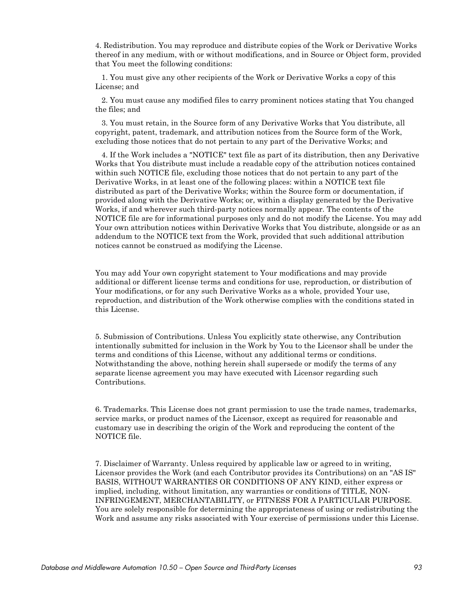4. Redistribution. You may reproduce and distribute copies of the Work or Derivative Works thereof in any medium, with or without modifications, and in Source or Object form, provided that You meet the following conditions:

 1. You must give any other recipients of the Work or Derivative Works a copy of this License; and

 2. You must cause any modified files to carry prominent notices stating that You changed the files; and

 3. You must retain, in the Source form of any Derivative Works that You distribute, all copyright, patent, trademark, and attribution notices from the Source form of the Work, excluding those notices that do not pertain to any part of the Derivative Works; and

 4. If the Work includes a "NOTICE" text file as part of its distribution, then any Derivative Works that You distribute must include a readable copy of the attribution notices contained within such NOTICE file, excluding those notices that do not pertain to any part of the Derivative Works, in at least one of the following places: within a NOTICE text file distributed as part of the Derivative Works; within the Source form or documentation, if provided along with the Derivative Works; or, within a display generated by the Derivative Works, if and wherever such third-party notices normally appear. The contents of the NOTICE file are for informational purposes only and do not modify the License. You may add Your own attribution notices within Derivative Works that You distribute, alongside or as an addendum to the NOTICE text from the Work, provided that such additional attribution notices cannot be construed as modifying the License.

You may add Your own copyright statement to Your modifications and may provide additional or different license terms and conditions for use, reproduction, or distribution of Your modifications, or for any such Derivative Works as a whole, provided Your use, reproduction, and distribution of the Work otherwise complies with the conditions stated in this License.

5. Submission of Contributions. Unless You explicitly state otherwise, any Contribution intentionally submitted for inclusion in the Work by You to the Licensor shall be under the terms and conditions of this License, without any additional terms or conditions. Notwithstanding the above, nothing herein shall supersede or modify the terms of any separate license agreement you may have executed with Licensor regarding such Contributions.

6. Trademarks. This License does not grant permission to use the trade names, trademarks, service marks, or product names of the Licensor, except as required for reasonable and customary use in describing the origin of the Work and reproducing the content of the NOTICE file.

7. Disclaimer of Warranty. Unless required by applicable law or agreed to in writing, Licensor provides the Work (and each Contributor provides its Contributions) on an "AS IS" BASIS, WITHOUT WARRANTIES OR CONDITIONS OF ANY KIND, either express or implied, including, without limitation, any warranties or conditions of TITLE, NON-INFRINGEMENT, MERCHANTABILITY, or FITNESS FOR A PARTICULAR PURPOSE. You are solely responsible for determining the appropriateness of using or redistributing the Work and assume any risks associated with Your exercise of permissions under this License.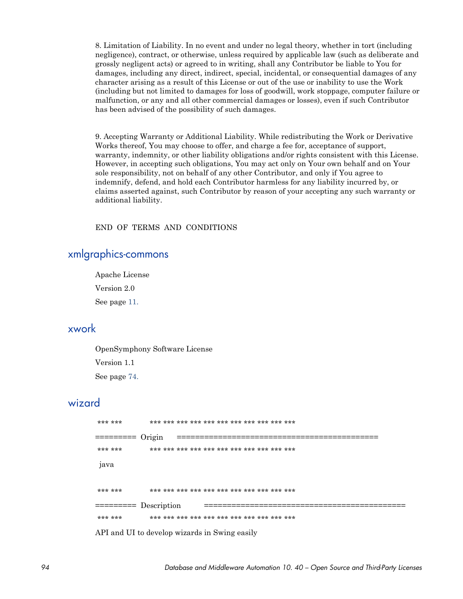8. Limitation of Liability. In no event and under no legal theory, whether in tort (including negligence), contract, or otherwise, unless required by applicable law (such as deliberate and grossly negligent acts) or agreed to in writing, shall any Contributor be liable to You for damages, including any direct, indirect, special, incidental, or consequential damages of any character arising as a result of this License or out of the use or inability to use the Work (including but not limited to damages for loss of goodwill, work stoppage, computer failure or malfunction, or any and all other commercial damages or losses), even if such Contributor has been advised of the possibility of such damages.

9. Accepting Warranty or Additional Liability. While redistributing the Work or Derivative Works thereof, You may choose to offer, and charge a fee for, acceptance of support, warranty, indemnity, or other liability obligations and/or rights consistent with this License. However, in accepting such obligations, You may act only on Your own behalf and on Your sole responsibility, not on behalf of any other Contributor, and only if You agree to indemnify, defend, and hold each Contributor harmless for any liability incurred by, or claims asserted against, such Contributor by reason of your accepting any such warranty or additional liability.

END OF TERMS AND CONDITIONS

# xmlgraphics-commons

Apache License Version 2.0 See page [11.](#page-10-0)

# xwork

OpenSymphony Software License Version 1.1 See page [74.](#page-73-0)

# wizard

\*\*\* \*\*\* \*\*\* \*\*\* \*\*\* \*\*\* \*\*\* \*\*\* \*\*\* \*\*\* \*\*\* \*\*\* \*\*\* ========= Origin ============================================ \*\*\* \*\*\* \*\*\* \*\*\* \*\*\* \*\*\* \*\*\* \*\*\* \*\*\* \*\*\* \*\*\* \*\*\* \*\*\* java \*\*\* \*\*\* \*\*\* \*\*\* \*\*\* \*\*\* \*\*\* \*\*\* \*\*\* \*\*\* \*\*\* \*\*\* \*\*\* ========= Description ============================================ \*\*\* \*\*\* \*\*\* \*\*\* \*\*\* \*\*\* \*\*\* \*\*\* \*\*\* \*\*\* \*\*\* \*\*\* \*\*\*

API and UI to develop wizards in Swing easily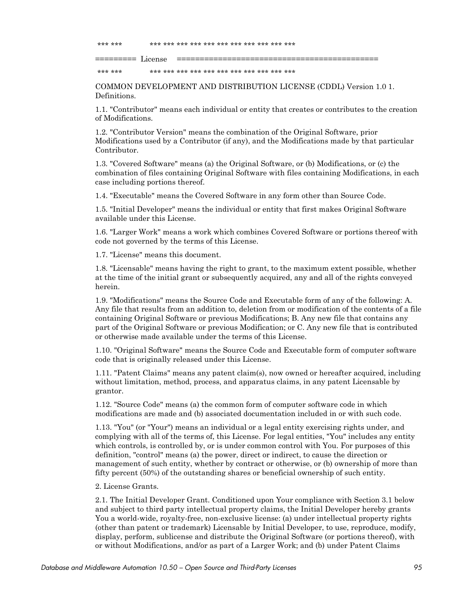\*\*\* \*\*\* \*\*\* \*\*\* \*\*\* \*\*\* \*\*\* \*\*\* \*\*\* \*\*\* \*\*\* \*\*\* \*\*\*

========= License ============================================

\*\*\* \*\*\* \*\*\* \*\*\* \*\*\* \*\*\* \*\*\* \*\*\* \*\*\* \*\*\* \*\*\* \*\*\* \*\*\*

COMMON DEVELOPMENT AND DISTRIBUTION LICENSE (CDDL) Version 1.0 1. Definitions.

1.1. "Contributor" means each individual or entity that creates or contributes to the creation of Modifications.

1.2. "Contributor Version" means the combination of the Original Software, prior Modifications used by a Contributor (if any), and the Modifications made by that particular Contributor.

1.3. "Covered Software" means (a) the Original Software, or (b) Modifications, or (c) the combination of files containing Original Software with files containing Modifications, in each case including portions thereof.

1.4. "Executable" means the Covered Software in any form other than Source Code.

1.5. "Initial Developer" means the individual or entity that first makes Original Software available under this License.

1.6. "Larger Work" means a work which combines Covered Software or portions thereof with code not governed by the terms of this License.

1.7. "License" means this document.

1.8. "Licensable" means having the right to grant, to the maximum extent possible, whether at the time of the initial grant or subsequently acquired, any and all of the rights conveyed herein.

1.9. "Modifications" means the Source Code and Executable form of any of the following: A. Any file that results from an addition to, deletion from or modification of the contents of a file containing Original Software or previous Modifications; B. Any new file that contains any part of the Original Software or previous Modification; or C. Any new file that is contributed or otherwise made available under the terms of this License.

1.10. "Original Software" means the Source Code and Executable form of computer software code that is originally released under this License.

1.11. "Patent Claims" means any patent claim(s), now owned or hereafter acquired, including without limitation, method, process, and apparatus claims, in any patent Licensable by grantor.

1.12. "Source Code" means (a) the common form of computer software code in which modifications are made and (b) associated documentation included in or with such code.

1.13. "You" (or "Your") means an individual or a legal entity exercising rights under, and complying with all of the terms of, this License. For legal entities, "You" includes any entity which controls, is controlled by, or is under common control with You. For purposes of this definition, "control" means (a) the power, direct or indirect, to cause the direction or management of such entity, whether by contract or otherwise, or (b) ownership of more than fifty percent (50%) of the outstanding shares or beneficial ownership of such entity.

2. License Grants.

2.1. The Initial Developer Grant. Conditioned upon Your compliance with Section 3.1 below and subject to third party intellectual property claims, the Initial Developer hereby grants You a world-wide, royalty-free, non-exclusive license: (a) under intellectual property rights (other than patent or trademark) Licensable by Initial Developer, to use, reproduce, modify, display, perform, sublicense and distribute the Original Software (or portions thereof), with or without Modifications, and/or as part of a Larger Work; and (b) under Patent Claims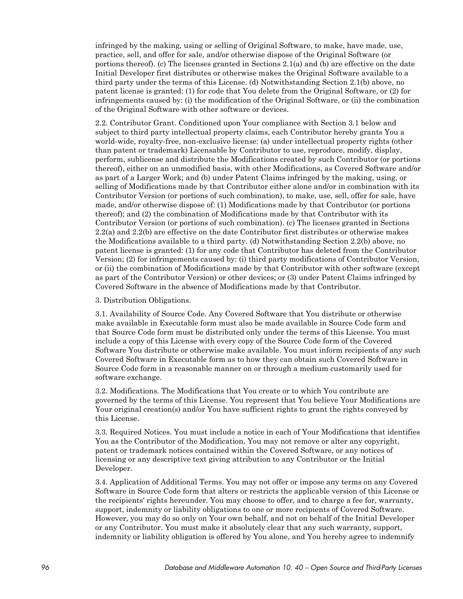infringed by the making, using or selling of Original Software, to make, have made, use, practice, sell, and offer for sale, and/or otherwise dispose of the Original Software (or portions thereof). (c) The licenses granted in Sections 2.1(a) and (b) are effective on the date Initial Developer first distributes or otherwise makes the Original Software available to a third party under the terms of this License. (d) Notwithstanding Section 2.1(b) above, no patent license is granted: (1) for code that You delete from the Original Software, or (2) for infringements caused by: (i) the modification of the Original Software, or (ii) the combination of the Original Software with other software or devices.

2.2. Contributor Grant. Conditioned upon Your compliance with Section 3.1 below and subject to third party intellectual property claims, each Contributor hereby grants You a world-wide, royalty-free, non-exclusive license: (a) under intellectual property rights (other than patent or trademark) Licensable by Contributor to use, reproduce, modify, display, perform, sublicense and distribute the Modifications created by such Contributor (or portions thereof), either on an unmodified basis, with other Modifications, as Covered Software and/or as part of a Larger Work; and (b) under Patent Claims infringed by the making, using, or selling of Modifications made by that Contributor either alone and/or in combination with its Contributor Version (or portions of such combination), to make, use, sell, offer for sale, have made, and/or otherwise dispose of: (1) Modifications made by that Contributor (or portions thereof); and (2) the combination of Modifications made by that Contributor with its Contributor Version (or portions of such combination). (c) The licenses granted in Sections 2.2(a) and 2.2(b) are effective on the date Contributor first distributes or otherwise makes the Modifications available to a third party. (d) Notwithstanding Section 2.2(b) above, no patent license is granted: (1) for any code that Contributor has deleted from the Contributor Version; (2) for infringements caused by: (i) third party modifications of Contributor Version, or (ii) the combination of Modifications made by that Contributor with other software (except as part of the Contributor Version) or other devices; or (3) under Patent Claims infringed by Covered Software in the absence of Modifications made by that Contributor.

#### 3. Distribution Obligations.

3.1. Availability of Source Code. Any Covered Software that You distribute or otherwise make available in Executable form must also be made available in Source Code form and that Source Code form must be distributed only under the terms of this License. You must include a copy of this License with every copy of the Source Code form of the Covered Software You distribute or otherwise make available. You must inform recipients of any such Covered Software in Executable form as to how they can obtain such Covered Software in Source Code form in a reasonable manner on or through a medium customarily used for software exchange.

3.2. Modifications. The Modifications that You create or to which You contribute are governed by the terms of this License. You represent that You believe Your Modifications are Your original creation(s) and/or You have sufficient rights to grant the rights conveyed by this License.

3.3. Required Notices. You must include a notice in each of Your Modifications that identifies You as the Contributor of the Modification. You may not remove or alter any copyright, patent or trademark notices contained within the Covered Software, or any notices of licensing or any descriptive text giving attribution to any Contributor or the Initial Developer.

3.4. Application of Additional Terms. You may not offer or impose any terms on any Covered Software in Source Code form that alters or restricts the applicable version of this License or the recipients' rights hereunder. You may choose to offer, and to charge a fee for, warranty, support, indemnity or liability obligations to one or more recipients of Covered Software. However, you may do so only on Your own behalf, and not on behalf of the Initial Developer or any Contributor. You must make it absolutely clear that any such warranty, support, indemnity or liability obligation is offered by You alone, and You hereby agree to indemnify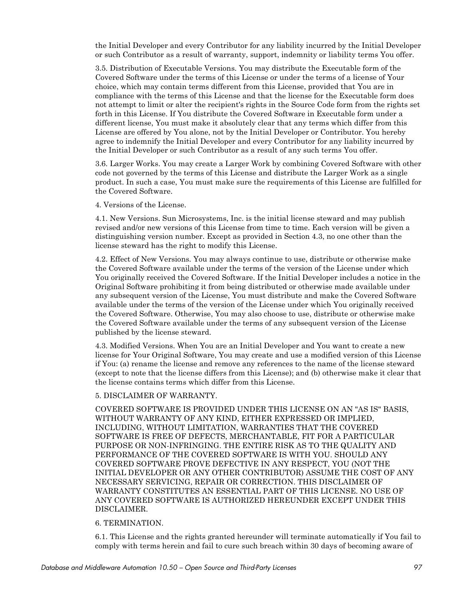the Initial Developer and every Contributor for any liability incurred by the Initial Developer or such Contributor as a result of warranty, support, indemnity or liability terms You offer.

3.5. Distribution of Executable Versions. You may distribute the Executable form of the Covered Software under the terms of this License or under the terms of a license of Your choice, which may contain terms different from this License, provided that You are in compliance with the terms of this License and that the license for the Executable form does not attempt to limit or alter the recipient's rights in the Source Code form from the rights set forth in this License. If You distribute the Covered Software in Executable form under a different license, You must make it absolutely clear that any terms which differ from this License are offered by You alone, not by the Initial Developer or Contributor. You hereby agree to indemnify the Initial Developer and every Contributor for any liability incurred by the Initial Developer or such Contributor as a result of any such terms You offer.

3.6. Larger Works. You may create a Larger Work by combining Covered Software with other code not governed by the terms of this License and distribute the Larger Work as a single product. In such a case, You must make sure the requirements of this License are fulfilled for the Covered Software.

4. Versions of the License.

4.1. New Versions. Sun Microsystems, Inc. is the initial license steward and may publish revised and/or new versions of this License from time to time. Each version will be given a distinguishing version number. Except as provided in Section 4.3, no one other than the license steward has the right to modify this License.

4.2. Effect of New Versions. You may always continue to use, distribute or otherwise make the Covered Software available under the terms of the version of the License under which You originally received the Covered Software. If the Initial Developer includes a notice in the Original Software prohibiting it from being distributed or otherwise made available under any subsequent version of the License, You must distribute and make the Covered Software available under the terms of the version of the License under which You originally received the Covered Software. Otherwise, You may also choose to use, distribute or otherwise make the Covered Software available under the terms of any subsequent version of the License published by the license steward.

4.3. Modified Versions. When You are an Initial Developer and You want to create a new license for Your Original Software, You may create and use a modified version of this License if You: (a) rename the license and remove any references to the name of the license steward (except to note that the license differs from this License); and (b) otherwise make it clear that the license contains terms which differ from this License.

### 5. DISCLAIMER OF WARRANTY.

COVERED SOFTWARE IS PROVIDED UNDER THIS LICENSE ON AN "AS IS" BASIS, WITHOUT WARRANTY OF ANY KIND, EITHER EXPRESSED OR IMPLIED, INCLUDING, WITHOUT LIMITATION, WARRANTIES THAT THE COVERED SOFTWARE IS FREE OF DEFECTS, MERCHANTABLE, FIT FOR A PARTICULAR PURPOSE OR NON-INFRINGING. THE ENTIRE RISK AS TO THE QUALITY AND PERFORMANCE OF THE COVERED SOFTWARE IS WITH YOU. SHOULD ANY COVERED SOFTWARE PROVE DEFECTIVE IN ANY RESPECT, YOU (NOT THE INITIAL DEVELOPER OR ANY OTHER CONTRIBUTOR) ASSUME THE COST OF ANY NECESSARY SERVICING, REPAIR OR CORRECTION. THIS DISCLAIMER OF WARRANTY CONSTITUTES AN ESSENTIAL PART OF THIS LICENSE. NO USE OF ANY COVERED SOFTWARE IS AUTHORIZED HEREUNDER EXCEPT UNDER THIS DISCLAIMER.

#### 6. TERMINATION.

6.1. This License and the rights granted hereunder will terminate automatically if You fail to comply with terms herein and fail to cure such breach within 30 days of becoming aware of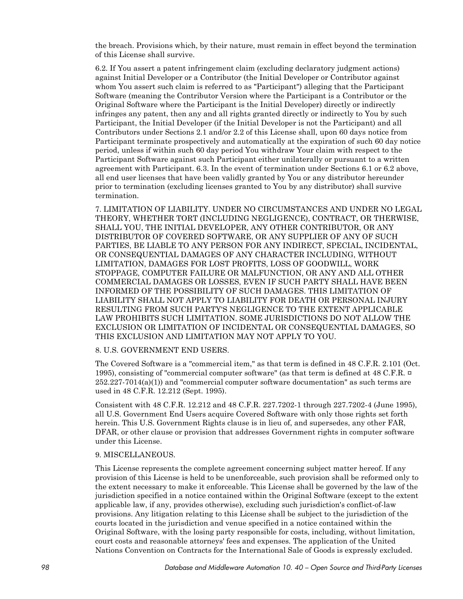the breach. Provisions which, by their nature, must remain in effect beyond the termination of this License shall survive.

6.2. If You assert a patent infringement claim (excluding declaratory judgment actions) against Initial Developer or a Contributor (the Initial Developer or Contributor against whom You assert such claim is referred to as "Participant") alleging that the Participant Software (meaning the Contributor Version where the Participant is a Contributor or the Original Software where the Participant is the Initial Developer) directly or indirectly infringes any patent, then any and all rights granted directly or indirectly to You by such Participant, the Initial Developer (if the Initial Developer is not the Participant) and all Contributors under Sections 2.1 and/or 2.2 of this License shall, upon 60 days notice from Participant terminate prospectively and automatically at the expiration of such 60 day notice period, unless if within such 60 day period You withdraw Your claim with respect to the Participant Software against such Participant either unilaterally or pursuant to a written agreement with Participant. 6.3. In the event of termination under Sections 6.1 or 6.2 above, all end user licenses that have been validly granted by You or any distributor hereunder prior to termination (excluding licenses granted to You by any distributor) shall survive termination.

7. LIMITATION OF LIABILITY. UNDER NO CIRCUMSTANCES AND UNDER NO LEGAL THEORY, WHETHER TORT (INCLUDING NEGLIGENCE), CONTRACT, OR THERWISE, SHALL YOU, THE INITIAL DEVELOPER, ANY OTHER CONTRIBUTOR, OR ANY DISTRIBUTOR OF COVERED SOFTWARE, OR ANY SUPPLIER OF ANY OF SUCH PARTIES, BE LIABLE TO ANY PERSON FOR ANY INDIRECT, SPECIAL, INCIDENTAL, OR CONSEQUENTIAL DAMAGES OF ANY CHARACTER INCLUDING, WITHOUT LIMITATION, DAMAGES FOR LOST PROFITS, LOSS OF GOODWILL, WORK STOPPAGE, COMPUTER FAILURE OR MALFUNCTION, OR ANY AND ALL OTHER COMMERCIAL DAMAGES OR LOSSES, EVEN IF SUCH PARTY SHALL HAVE BEEN INFORMED OF THE POSSIBILITY OF SUCH DAMAGES. THIS LIMITATION OF LIABILITY SHALL NOT APPLY TO LIABILITY FOR DEATH OR PERSONAL INJURY RESULTING FROM SUCH PARTY'S NEGLIGENCE TO THE EXTENT APPLICABLE LAW PROHIBITS SUCH LIMITATION. SOME JURISDICTIONS DO NOT ALLOW THE EXCLUSION OR LIMITATION OF INCIDENTAL OR CONSEQUENTIAL DAMAGES, SO THIS EXCLUSION AND LIMITATION MAY NOT APPLY TO YOU.

### 8. U.S. GOVERNMENT END USERS.

The Covered Software is a "commercial item," as that term is defined in 48 C.F.R. 2.101 (Oct. 1995), consisting of "commercial computer software" (as that term is defined at 48 C.F.R. ¤  $252.227-7014(a)(1)$  and "commercial computer software documentation" as such terms are used in 48 C.F.R. 12.212 (Sept. 1995).

Consistent with 48 C.F.R. 12.212 and 48 C.F.R. 227.7202-1 through 227.7202-4 (June 1995), all U.S. Government End Users acquire Covered Software with only those rights set forth herein. This U.S. Government Rights clause is in lieu of, and supersedes, any other FAR, DFAR, or other clause or provision that addresses Government rights in computer software under this License.

### 9. MISCELLANEOUS.

This License represents the complete agreement concerning subject matter hereof. If any provision of this License is held to be unenforceable, such provision shall be reformed only to the extent necessary to make it enforceable. This License shall be governed by the law of the jurisdiction specified in a notice contained within the Original Software (except to the extent applicable law, if any, provides otherwise), excluding such jurisdiction's conflict-of-law provisions. Any litigation relating to this License shall be subject to the jurisdiction of the courts located in the jurisdiction and venue specified in a notice contained within the Original Software, with the losing party responsible for costs, including, without limitation, court costs and reasonable attorneys' fees and expenses. The application of the United Nations Convention on Contracts for the International Sale of Goods is expressly excluded.